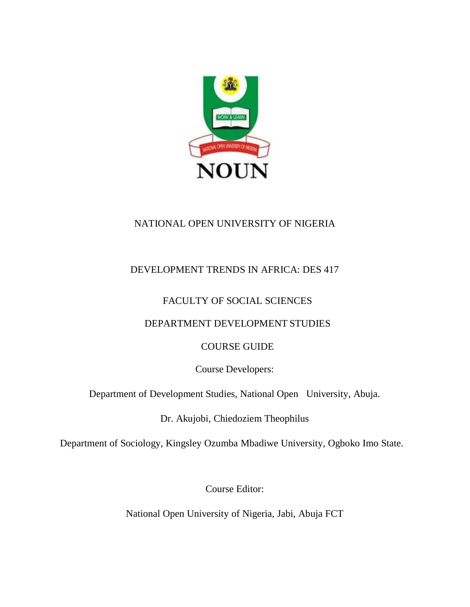

# NATIONAL OPEN UNIVERSITY OF NIGERIA

# DEVELOPMENT TRENDS IN AFRICA: DES 417

# FACULTY OF SOCIAL SCIENCES

# DEPARTMENT DEVELOPMENT STUDIES

# COURSE GUIDE

Course Developers:

Department of Development Studies, National Open University, Abuja.

Dr. Akujobi, Chiedoziem Theophilus

Department of Sociology, Kingsley Ozumba Mbadiwe University, Ogboko Imo State.

Course Editor:

National Open University of Nigeria, Jabi, Abuja FCT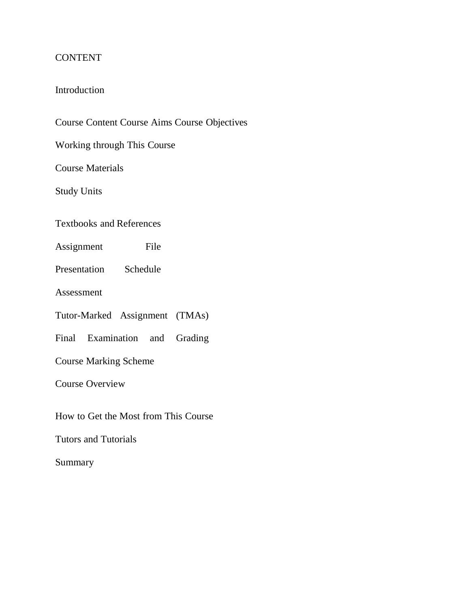# CONTENT

# Introduction

Course Content Course Aims Course Objectives

Working through This Course

Course Materials

Study Units

Textbooks and References

Assignment File

Presentation Schedule

Assessment

Tutor-Marked Assignment (TMAs)

Final Examination and Grading

Course Marking Scheme

Course Overview

How to Get the Most from This Course

Tutors and Tutorials

Summary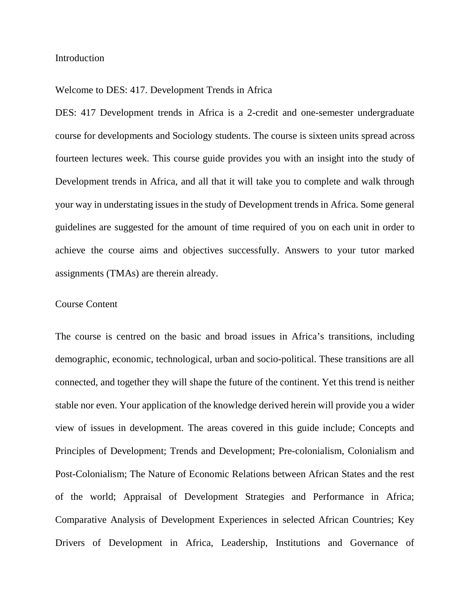#### Introduction

#### Welcome to DES: 417. Development Trends in Africa

DES: 417 Development trends in Africa is a 2-credit and one-semester undergraduate course for developments and Sociology students. The course is sixteen units spread across fourteen lectures week. This course guide provides you with an insight into the study of Development trends in Africa, and all that it will take you to complete and walk through your way in understating issues in the study of Development trends in Africa. Some general guidelines are suggested for the amount of time required of you on each unit in order to achieve the course aims and objectives successfully. Answers to your tutor marked assignments (TMAs) are therein already.

## Course Content

The course is centred on the basic and broad issues in Africa's transitions, including demographic, economic, technological, urban and socio-political. These transitions are all connected, and together they will shape the future of the continent. Yet this trend is neither stable nor even. Your application of the knowledge derived herein will provide you a wider view of issues in development. The areas covered in this guide include; Concepts and Principles of Development; Trends and Development; Pre-colonialism, Colonialism and Post-Colonialism; The Nature of Economic Relations between African States and the rest of the world; Appraisal of Development Strategies and Performance in Africa; Comparative Analysis of Development Experiences in selected African Countries; Key Drivers of Development in Africa, Leadership, Institutions and Governance of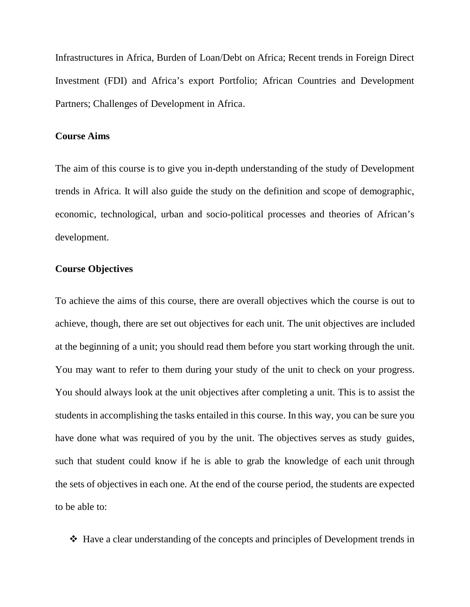Infrastructures in Africa, Burden of Loan/Debt on Africa; Recent trends in Foreign Direct Investment (FDI) and Africa's export Portfolio; African Countries and Development Partners; Challenges of Development in Africa.

#### **Course Aims**

The aim of this course is to give you in-depth understanding of the study of Development trends in Africa. It will also guide the study on the definition and scope of demographic, economic, technological, urban and socio-political processes and theories of African's development.

#### **Course Objectives**

To achieve the aims of this course, there are overall objectives which the course is out to achieve, though, there are set out objectives for each unit. The unit objectives are included at the beginning of a unit; you should read them before you start working through the unit. You may want to refer to them during your study of the unit to check on your progress. You should always look at the unit objectives after completing a unit. This is to assist the students in accomplishing the tasks entailed in this course. In this way, you can be sure you have done what was required of you by the unit. The objectives serves as study guides, such that student could know if he is able to grab the knowledge of each unit through the sets of objectives in each one. At the end of the course period, the students are expected to be able to:

Have a clear understanding of the concepts and principles of Development trends in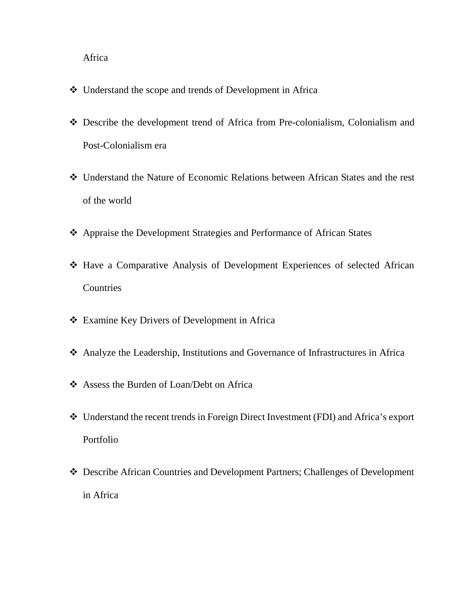## Africa

- Understand the scope and trends of Development in Africa
- Describe the development trend of Africa from Pre-colonialism, Colonialism and Post-Colonialism era
- Understand the Nature of Economic Relations between African States and the rest of the world
- Appraise the Development Strategies and Performance of African States
- Have a Comparative Analysis of Development Experiences of selected African **Countries**
- Examine Key Drivers of Development in Africa
- Analyze the Leadership, Institutions and Governance of Infrastructures in Africa
- Assess the Burden of Loan/Debt on Africa
- Understand the recent trends in Foreign Direct Investment (FDI) and Africa's export Portfolio
- Describe African Countries and Development Partners; Challenges of Development in Africa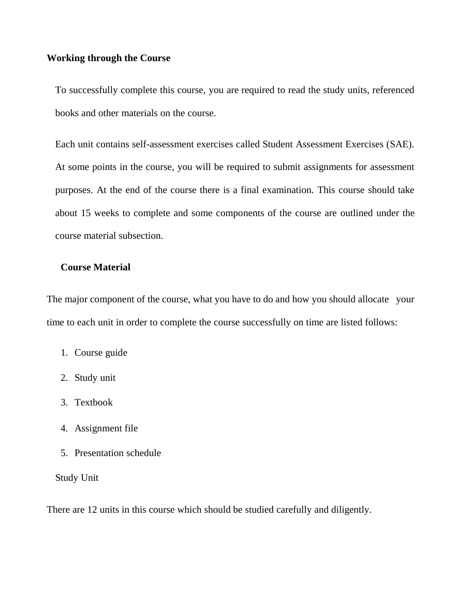### **Working through the Course**

To successfully complete this course, you are required to read the study units, referenced books and other materials on the course.

Each unit contains self-assessment exercises called Student Assessment Exercises (SAE). At some points in the course, you will be required to submit assignments for assessment purposes. At the end of the course there is a final examination. This course should take about 15 weeks to complete and some components of the course are outlined under the course material subsection.

# **Course Material**

The major component of the course, what you have to do and how you should allocate your time to each unit in order to complete the course successfully on time are listed follows:

- 1. Course guide
- 2. Study unit
- 3. Textbook
- 4. Assignment file
- 5. Presentation schedule

#### Study Unit

There are 12 units in this course which should be studied carefully and diligently.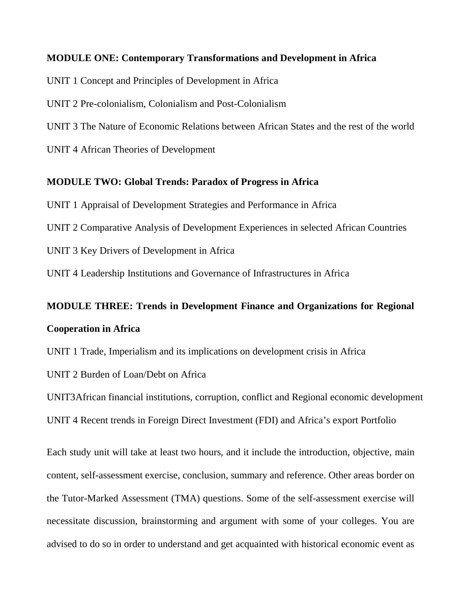## **MODULE ONE: Contemporary Transformations and Development in Africa**

UNIT 1 Concept and Principles of Development in Africa

UNIT 2 Pre-colonialism, Colonialism and Post-Colonialism

UNIT 3 The Nature of Economic Relations between African States and the rest of the world

UNIT 4 African Theories of Development

#### **MODULE TWO: Global Trends: Paradox of Progress in Africa**

UNIT 1 Appraisal of Development Strategies and Performance in Africa

UNIT 2 Comparative Analysis of Development Experiences in selected African Countries

UNIT 3 Key Drivers of Development in Africa

UNIT 4 Leadership Institutions and Governance of Infrastructures in Africa

# **MODULE THREE: Trends in Development Finance and Organizations for Regional Cooperation in Africa**

UNIT 1 Trade, Imperialism and its implications on development crisis in Africa

UNIT 2 Burden of Loan/Debt on Africa

UNIT3African financial institutions, corruption, conflict and Regional economic development UNIT 4 Recent trends in Foreign Direct Investment (FDI) and Africa's export Portfolio

Each study unit will take at least two hours, and it include the introduction, objective, main content, self-assessment exercise, conclusion, summary and reference. Other areas border on the Tutor-Marked Assessment (TMA) questions. Some of the self-assessment exercise will necessitate discussion, brainstorming and argument with some of your colleges. You are advised to do so in order to understand and get acquainted with historical economic event as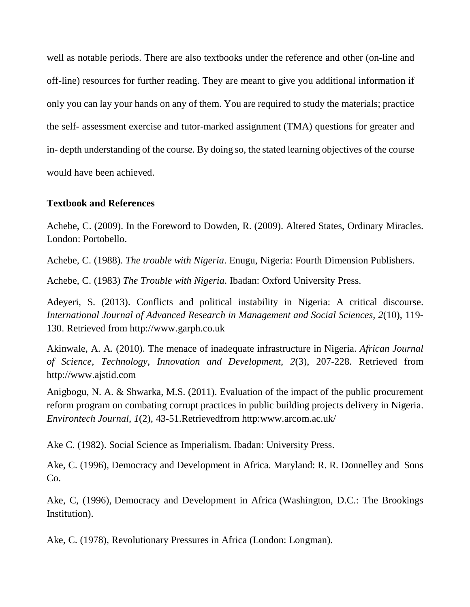well as notable periods. There are also textbooks under the reference and other (on-line and off-line) resources for further reading. They are meant to give you additional information if only you can lay your hands on any of them. You are required to study the materials; practice the self- assessment exercise and tutor-marked assignment (TMA) questions for greater and in- depth understanding of the course. By doing so, the stated learning objectives of the course would have been achieved.

# **Textbook and References**

Achebe, C. (2009). In the Foreword to Dowden, R. (2009). Altered States, Ordinary Miracles. London: Portobello.

Achebe, C. (1988). *The trouble with Nigeria*. Enugu, Nigeria: Fourth Dimension Publishers.

Achebe, C. (1983) *The Trouble with Nigeria*. Ibadan: Oxford University Press.

Adeyeri, S. (2013). Conflicts and political instability in Nigeria: A critical discourse. *International Journal of Advanced Research in Management and Social Sciences, 2*(10), 119- 130. Retrieved from http://www.garph.co.uk

Akinwale, A. A. (2010). The menace of inadequate infrastructure in Nigeria. *African Journal of Science, Technology, Innovation and Development, 2*(3), 207-228. Retrieved from http://www.ajstid.com

Anigbogu, N. A. & Shwarka, M.S. (2011). Evaluation of the impact of the public procurement reform program on combating corrupt practices in public building projects delivery in Nigeria. *Environtech Journal, 1*(2), 43-51.Retrievedfrom http:www.arcom.ac.uk/

Ake C. (1982). Social Science as Imperialism. Ibadan: University Press.

Ake, C. (1996), Democracy and Development in Africa. Maryland: R. R. Donnelley and Sons Co.

Ake, C, (1996), Democracy and Development in Africa (Washington, D.C.: The Brookings Institution).

Ake, C. (1978), Revolutionary Pressures in Africa (London: Longman).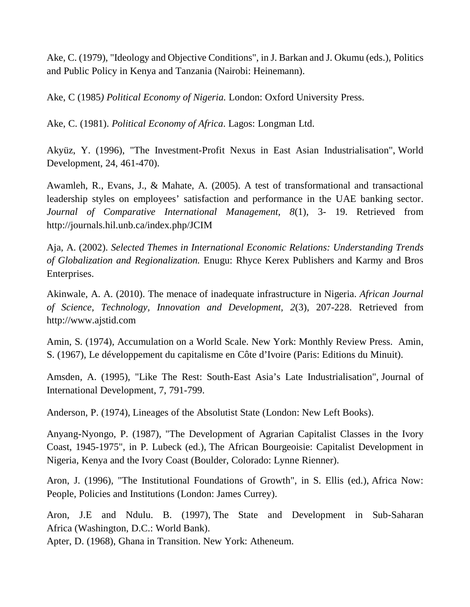Ake, C. (1979), "Ideology and Objective Conditions", in J. Barkan and J. Okumu (eds.), Politics and Public Policy in Kenya and Tanzania (Nairobi: Heinemann).

Ake, C (1985*) Political Economy of Nigeria.* London: Oxford University Press.

Ake, C. (1981). *Political Economy of Africa*. Lagos: Longman Ltd.

Akyüz, Y. (1996), "The Investment-Profit Nexus in East Asian Industrialisation", World Development, 24, 461-470).

Awamleh, R., Evans, J., & Mahate, A. (2005). A test of transformational and transactional leadership styles on employees' satisfaction and performance in the UAE banking sector. *Journal of Comparative International Management, 8*(1), 3- 19. Retrieved from http://journals.hil.unb.ca/index.php/JCIM

Aja, A. (2002). *Selected Themes in International Economic Relations: Understanding Trends of Globalization and Regionalization.* Enugu: Rhyce Kerex Publishers and Karmy and Bros Enterprises.

Akinwale, A. A. (2010). The menace of inadequate infrastructure in Nigeria. *African Journal of Science, Technology, Innovation and Development, 2*(3), 207-228. Retrieved from http://www.ajstid.com

Amin, S. (1974), Accumulation on a World Scale. New York: Monthly Review Press. Amin, S. (1967), Le développement du capitalisme en Côte d'Ivoire (Paris: Editions du Minuit).

Amsden, A. (1995), "Like The Rest: South-East Asia's Late Industrialisation", Journal of International Development, 7, 791-799.

Anderson, P. (1974), Lineages of the Absolutist State (London: New Left Books).

Anyang-Nyongo, P. (1987), "The Development of Agrarian Capitalist Classes in the Ivory Coast, 1945-1975", in P. Lubeck (ed.), The African Bourgeoisie: Capitalist Development in Nigeria, Kenya and the Ivory Coast (Boulder, Colorado: Lynne Rienner).

Aron, J. (1996), "The Institutional Foundations of Growth", in S. Ellis (ed.), Africa Now: People, Policies and Institutions (London: James Currey).

Aron, J.E and Ndulu. B. (1997), The State and Development in Sub-Saharan Africa (Washington, D.C.: World Bank).

Apter, D. (1968), Ghana in Transition. New York: Atheneum.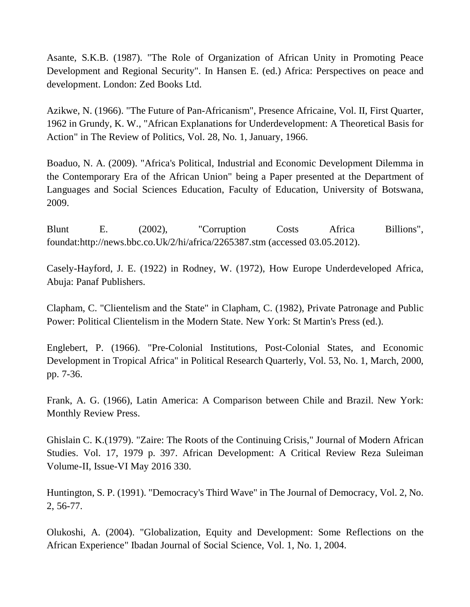Asante, S.K.B. (1987). "The Role of Organization of African Unity in Promoting Peace Development and Regional Security". In Hansen E. (ed.) Africa: Perspectives on peace and development. London: Zed Books Ltd.

Azikwe, N. (1966). "The Future of Pan-Africanism", Presence Africaine, Vol. II, First Quarter, 1962 in Grundy, K. W., "African Explanations for Underdevelopment: A Theoretical Basis for Action" in The Review of Politics, Vol. 28, No. 1, January, 1966.

Boaduo, N. A. (2009). "Africa's Political, Industrial and Economic Development Dilemma in the Contemporary Era of the African Union" being a Paper presented at the Department of Languages and Social Sciences Education, Faculty of Education, University of Botswana, 2009.

Blunt E. (2002), "Corruption Costs Africa Billions", foundat:http://news.bbc.co.Uk/2/hi/africa/2265387.stm (accessed 03.05.2012).

Casely-Hayford, J. E. (1922) in Rodney, W. (1972), How Europe Underdeveloped Africa, Abuja: Panaf Publishers.

Clapham, C. "Clientelism and the State" in Clapham, C. (1982), Private Patronage and Public Power: Political Clientelism in the Modern State. New York: St Martin's Press (ed.).

Englebert, P. (1966). "Pre-Colonial Institutions, Post-Colonial States, and Economic Development in Tropical Africa" in Political Research Quarterly, Vol. 53, No. 1, March, 2000, pp. 7-36.

Frank, A. G. (1966), Latin America: A Comparison between Chile and Brazil. New York: Monthly Review Press.

Ghislain C. K.(1979). "Zaire: The Roots of the Continuing Crisis," Journal of Modern African Studies. Vol. 17, 1979 p. 397. African Development: A Critical Review Reza Suleiman Volume-II, Issue-VI May 2016 330.

Huntington, S. P. (1991). "Democracy's Third Wave" in The Journal of Democracy, Vol. 2, No. 2, 56-77.

Olukoshi, A. (2004). "Globalization, Equity and Development: Some Reflections on the African Experience" Ibadan Journal of Social Science, Vol. 1, No. 1, 2004.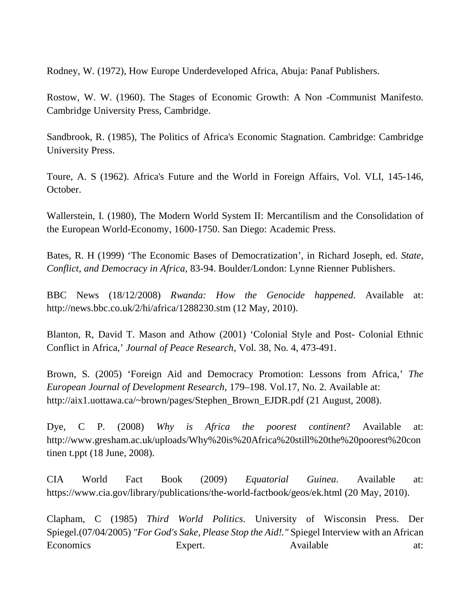Rodney, W. (1972), How Europe Underdeveloped Africa, Abuja: Panaf Publishers.

Rostow, W. W. (1960). The Stages of Economic Growth: A Non -Communist Manifesto. Cambridge University Press, Cambridge.

Sandbrook, R. (1985), The Politics of Africa's Economic Stagnation. Cambridge: Cambridge University Press.

Toure, A. S (1962). Africa's Future and the World in Foreign Affairs, Vol. VLI, 145-146, October.

Wallerstein, I. (1980), The Modern World System II: Mercantilism and the Consolidation of the European World-Economy, 1600-1750. San Diego: Academic Press.

Bates, R. H (1999) 'The Economic Bases of Democratization', in Richard Joseph, ed. *State, Conflict, and Democracy in Africa*, 83-94. Boulder/London: Lynne Rienner Publishers.

BBC News (18/12/2008) *Rwanda: How the Genocide happened*. Available at: http://news.bbc.co.uk/2/hi/africa/1288230.stm (12 May, 2010).

Blanton, R, David T. Mason and Athow (2001) 'Colonial Style and Post- Colonial Ethnic Conflict in Africa,' *Journal of Peace Research*, Vol. 38, No. 4, 473-491.

Brown, S. (2005) 'Foreign Aid and Democracy Promotion: Lessons from Africa,' *The European Journal of Development Research*, 179–198. Vol.17, No. 2. Available at: http://aix1.uottawa.ca/~brown/pages/Stephen\_Brown\_EJDR.pdf (21 August, 2008).

Dye, C P. (2008) *Why is Africa the poorest continent*? Available at: http://www.gresham.ac.uk/uploads/Why%20is%20Africa%20still%20the%20poorest%20con tinen t.ppt (18 June, 2008).

CIA World Fact Book (2009) *Equatorial Guinea*. Available at: https://www.cia.gov/library/publications/the-world-factbook/geos/ek.html (20 May, 2010).

Clapham, C (1985) *Third World Politics*. University of Wisconsin Press. Der Spiegel.(07/04/2005) *"For God's Sake, Please Stop the Aid!."* Spiegel Interview with an African Economics Expert. Available at: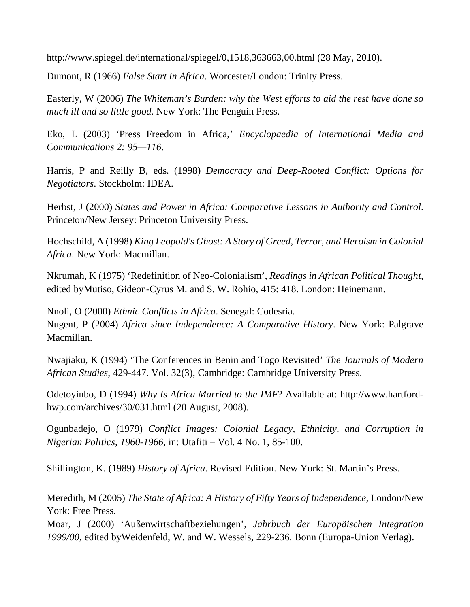http://www.spiegel.de/international/spiegel/0,1518,363663,00.html (28 May, 2010).

Dumont, R (1966) *False Start in Africa*. Worcester/London: Trinity Press.

Easterly, W (2006) *The Whiteman's Burden: why the West efforts to aid the rest have done so much ill and so little good*. New York: The Penguin Press.

Eko, L (2003) 'Press Freedom in Africa,' *Encyclopaedia of International Media and Communications 2: 95—116*.

Harris, P and Reilly B, eds. (1998) *Democracy and Deep-Rooted Conflict: Options for Negotiators*. Stockholm: IDEA.

Herbst, J (2000) *States and Power in Africa: Comparative Lessons in Authority and Control*. Princeton/New Jersey: Princeton University Press.

Hochschild, A (1998) *King Leopold's Ghost: A Story of Greed, Terror, and Heroism in Colonial Africa*. New York: Macmillan.

Nkrumah, K (1975) 'Redefinition of Neo-Colonialism', *Readings in African Political Thought*, edited byMutiso, Gideon-Cyrus M. and S. W. Rohio, 415: 418. London: Heinemann.

Nnoli, O (2000) *Ethnic Conflicts in Africa*. Senegal: Codesria. Nugent, P (2004) *Africa since Independence: A Comparative History*. New York: Palgrave Macmillan.

Nwajiaku, K (1994) 'The Conferences in Benin and Togo Revisited' *The Journals of Modern African Studies*, 429-447. Vol. 32(3), Cambridge: Cambridge University Press.

Odetoyinbo, D (1994) *Why Is Africa Married to the IMF*? Available at: http://www.hartfordhwp.com/archives/30/031.html (20 August, 2008).

Ogunbadejo, O (1979) *Conflict Images: Colonial Legacy, Ethnicity, and Corruption in Nigerian Politics, 1960-1966*, in: Utafiti – Vol. 4 No. 1, 85-100.

Shillington, K. (1989) *History of Africa*. Revised Edition. New York: St. Martin's Press.

Meredith, M (2005) *The State of Africa: A History of Fifty Years of Independence*, London/New York: Free Press.

Moar, J (2000) 'Außenwirtschaftbeziehungen', *Jahrbuch der Europäischen Integration 1999/00*, edited byWeidenfeld, W. and W. Wessels, 229-236. Bonn (Europa-Union Verlag).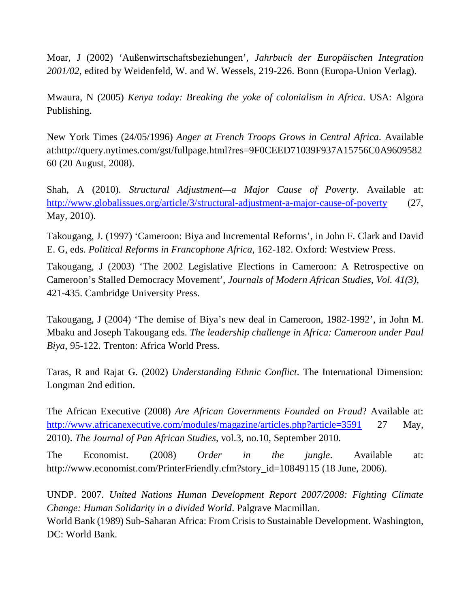Moar, J (2002) 'Außenwirtschaftsbeziehungen', *Jahrbuch der Europäischen Integration 2001/02*, edited by Weidenfeld, W. and W. Wessels, 219-226. Bonn (Europa-Union Verlag).

Mwaura, N (2005) *Kenya today: Breaking the yoke of colonialism in Africa*. USA: Algora Publishing.

New York Times (24/05/1996) *Anger at French Troops Grows in Central Africa*. Available at:http://query.nytimes.com/gst/fullpage.html?res=9F0CEED71039F937A15756C0A9609582 60 (20 August, 2008).

Shah, A (2010). *Structural Adjustment—a Major Cause of Poverty*. Available at: http://www.globalissues.org/article/3/structural-adjustment-a-major-cause-of-poverty (27, May, 2010).

Takougang, J. (1997) 'Cameroon: Biya and Incremental Reforms', in John F. Clark and David E. G, eds. *Political Reforms in Francophone Africa*, 162-182. Oxford: Westview Press.

Takougang, J (2003) 'The 2002 Legislative Elections in Cameroon: A Retrospective on Cameroon's Stalled Democracy Movement', *Journals of Modern African Studies, Vol. 41(3),* 421-435. Cambridge University Press.

Takougang, J (2004) 'The demise of Biya's new deal in Cameroon, 1982-1992', in John M. Mbaku and Joseph Takougang eds. *The leadership challenge in Africa: Cameroon under Paul Biya*, 95-122. Trenton: Africa World Press.

Taras, R and Rajat G. (2002) *Understanding Ethnic Conflict*. The International Dimension: Longman 2nd edition.

The African Executive (2008) *Are African Governments Founded on Fraud*? Available at: http://www.africanexecutive.com/modules/magazine/articles.php?article=3591 27 May, 2010). *The Journal of Pan African Studies*, vol.3, no.10, September 2010.

The Economist. (2008) *Order in the jungle*. Available at: http://www.economist.com/PrinterFriendly.cfm?story\_id=10849115 (18 June, 2006).

UNDP. 2007. *United Nations Human Development Report 2007/2008: Fighting Climate Change: Human Solidarity in a divided World*. Palgrave Macmillan.

World Bank (1989) Sub-Saharan Africa: From Crisis to Sustainable Development. Washington, DC: World Bank.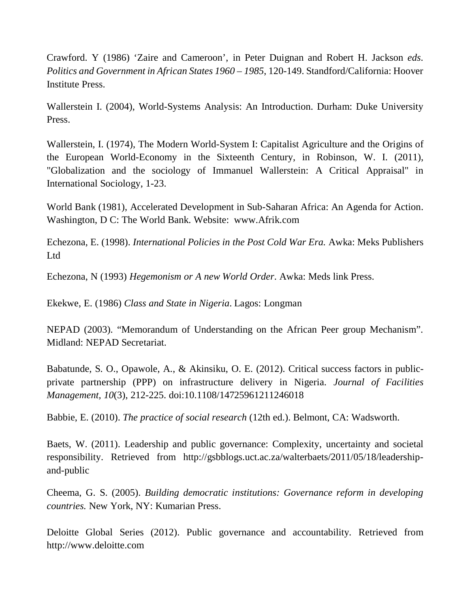Crawford. Y (1986) 'Zaire and Cameroon', in Peter Duignan and Robert H. Jackson *eds. Politics and Government in African States 1960 – 1985*, 120-149. Standford/California: Hoover Institute Press.

Wallerstein I. (2004), World-Systems Analysis: An Introduction. Durham: Duke University Press.

Wallerstein, I. (1974), The Modern World-System I: Capitalist Agriculture and the Origins of the European World-Economy in the Sixteenth Century, in Robinson, W. I. (2011), "Globalization and the sociology of Immanuel Wallerstein: A Critical Appraisal" in International Sociology, 1-23.

World Bank (1981), Accelerated Development in Sub-Saharan Africa: An Agenda for Action. Washington, D C: The World Bank. Website: www.Afrik.com

Echezona, E. (1998). *International Policies in the Post Cold War Era.* Awka: Meks Publishers Ltd

Echezona, N (1993) *Hegemonism or A new World Order*. Awka: Meds link Press.

Ekekwe, E. (1986) *Class and State in Nigeria*. Lagos: Longman

NEPAD (2003). "Memorandum of Understanding on the African Peer group Mechanism". Midland: NEPAD Secretariat.

Babatunde, S. O., Opawole, A., & Akinsiku, O. E. (2012). Critical success factors in publicprivate partnership (PPP) on infrastructure delivery in Nigeria. *Journal of Facilities Management, 10*(3), 212-225. doi:10.1108/14725961211246018

Babbie, E. (2010). *The practice of social research* (12th ed.). Belmont, CA: Wadsworth.

Baets, W. (2011). Leadership and public governance: Complexity, uncertainty and societal responsibility. Retrieved from http://gsbblogs.uct.ac.za/walterbaets/2011/05/18/leadershipand-public

Cheema, G. S. (2005). *Building democratic institutions: Governance reform in developing countries.* New York, NY: Kumarian Press.

Deloitte Global Series (2012). Public governance and accountability*.* Retrieved from http://www.deloitte.com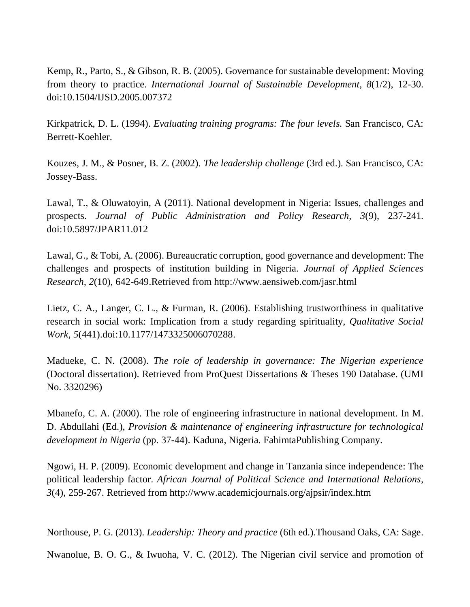Kemp, R., Parto, S., & Gibson, R. B. (2005). Governance for sustainable development: Moving from theory to practice. *International Journal of Sustainable Development, 8*(1/2), 12-30. doi:10.1504/IJSD.2005.007372

Kirkpatrick, D. L. (1994). *Evaluating training programs: The four levels.* San Francisco, CA: Berrett-Koehler.

Kouzes, J. M., & Posner, B. Z. (2002). *The leadership challenge* (3rd ed.). San Francisco, CA: Jossey-Bass.

Lawal, T., & Oluwatoyin, A (2011). National development in Nigeria: Issues, challenges and prospects. *Journal of Public Administration and Policy Research, 3*(9), 237-241. doi:10.5897/JPAR11.012

Lawal, G., & Tobi, A. (2006). Bureaucratic corruption, good governance and development: The challenges and prospects of institution building in Nigeria. *Journal of Applied Sciences Research, 2*(10), 642-649.Retrieved from http://www.aensiweb.com/jasr.html

Lietz, C. A., Langer, C. L., & Furman, R. (2006). Establishing trustworthiness in qualitative research in social work: Implication from a study regarding spirituality, *Qualitative Social Work, 5*(441).doi:10.1177/1473325006070288.

Madueke, C. N. (2008). *The role of leadership in governance: The Nigerian experience*  (Doctoral dissertation). Retrieved from ProQuest Dissertations & Theses 190 Database. (UMI No. 3320296)

Mbanefo, C. A. (2000). The role of engineering infrastructure in national development. In M. D. Abdullahi (Ed.), *Provision & maintenance of engineering infrastructure for technological development in Nigeria* (pp. 37-44). Kaduna, Nigeria. FahimtaPublishing Company.

Ngowi, H. P. (2009). Economic development and change in Tanzania since independence: The political leadership factor. *African Journal of Political Science and International Relations, 3*(4), 259-267. Retrieved from http://www.academicjournals.org/ajpsir/index.htm

Northouse, P. G. (2013). *Leadership: Theory and practice* (6th ed.).Thousand Oaks, CA: Sage.

Nwanolue, B. O. G., & Iwuoha, V. C. (2012). The Nigerian civil service and promotion of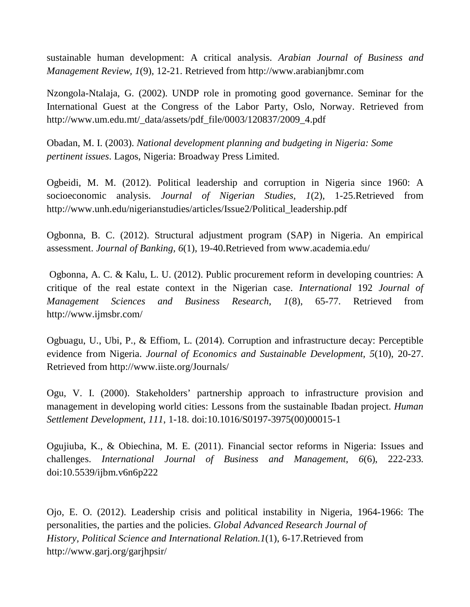sustainable human development: A critical analysis. *Arabian Journal of Business and Management Review, 1*(9), 12-21. Retrieved from http://www.arabianjbmr.com

Nzongola-Ntalaja, G. (2002). UNDP role in promoting good governance. Seminar for the International Guest at the Congress of the Labor Party, Oslo, Norway. Retrieved from http://www.um.edu.mt/\_data/assets/pdf\_file/0003/120837/2009\_4.pdf

Obadan, M. I. (2003). *National development planning and budgeting in Nigeria: Some pertinent issues*. Lagos, Nigeria: Broadway Press Limited.

Ogbeidi, M. M. (2012). Political leadership and corruption in Nigeria since 1960: A socioeconomic analysis. *Journal of Nigerian Studies, 1*(2), 1-25.Retrieved from http://www.unh.edu/nigerianstudies/articles/Issue2/Political\_leadership.pdf

Ogbonna, B. C. (2012). Structural adjustment program (SAP) in Nigeria. An empirical assessment. *Journal of Banking, 6*(1), 19-40.Retrieved from www.academia.edu/

 Ogbonna, A. C. & Kalu, L. U. (2012). Public procurement reform in developing countries: A critique of the real estate context in the Nigerian case. *International* 192 *Journal of Management Sciences and Business Research, 1*(8), 65-77. Retrieved from http://www.ijmsbr.com/

Ogbuagu, U., Ubi, P., & Effiom, L. (2014). Corruption and infrastructure decay: Perceptible evidence from Nigeria. *Journal of Economics and Sustainable Development, 5*(10), 20-27. Retrieved from http://www.iiste.org/Journals/

Ogu, V. I. (2000). Stakeholders' partnership approach to infrastructure provision and management in developing world cities: Lessons from the sustainable Ibadan project. *Human Settlement Development*, *111*, 1-18. doi:10.1016/S0197-3975(00)00015-1

Ogujiuba, K., & Obiechina, M. E. (2011). Financial sector reforms in Nigeria: Issues and challenges. *International Journal of Business and Management, 6*(6), 222-233. doi:10.5539/ijbm.v6n6p222

Ojo, E. O. (2012). Leadership crisis and political instability in Nigeria, 1964-1966: The personalities, the parties and the policies. *Global Advanced Research Journal of History, Political Science and International Relation.1*(1), 6-17.Retrieved from http://www.garj.org/garjhpsir/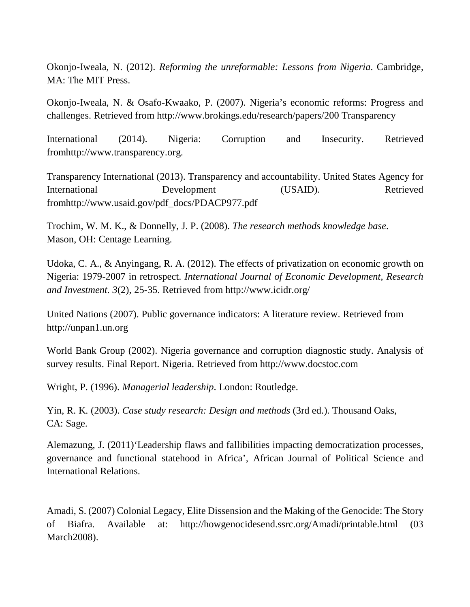Okonjo-Iweala, N. (2012). *Reforming the unreformable: Lessons from Nigeria*. Cambridge, MA: The MIT Press.

Okonjo-Iweala, N. & Osafo-Kwaako, P. (2007). Nigeria's economic reforms: Progress and challenges. Retrieved from http://www.brokings.edu/research/papers/200 Transparency

International (2014). Nigeria: Corruption and Insecurity. Retrieved fromhttp://www.transparency.org.

Transparency International (2013). Transparency and accountability. United States Agency for International Development (USAID). Retrieved fromhttp://www.usaid.gov/pdf\_docs/PDACP977.pdf

Trochim, W. M. K., & Donnelly, J. P. (2008). *The research methods knowledge base*. Mason, OH: Centage Learning.

Udoka, C. A., & Anyingang, R. A. (2012). The effects of privatization on economic growth on Nigeria: 1979-2007 in retrospect. *International Journal of Economic Development, Research and Investment. 3*(2), 25-35. Retrieved from http://www.icidr.org/

United Nations (2007). Public governance indicators: A literature review. Retrieved from http://unpan1.un.org

World Bank Group (2002). Nigeria governance and corruption diagnostic study. Analysis of survey results. Final Report. Nigeria. Retrieved from http://www.docstoc.com

Wright, P. (1996). *Managerial leadership*. London: Routledge.

Yin, R. K. (2003). *Case study research: Design and methods* (3rd ed.). Thousand Oaks, CA: Sage.

Alemazung, J. (2011)'Leadership flaws and fallibilities impacting democratization processes, governance and functional statehood in Africa', African Journal of Political Science and International Relations.

Amadi, S. (2007) Colonial Legacy, Elite Dissension and the Making of the Genocide: The Story of Biafra. Available at: http://howgenocidesend.ssrc.org/Amadi/printable.html (03 March<sub>2008</sub>).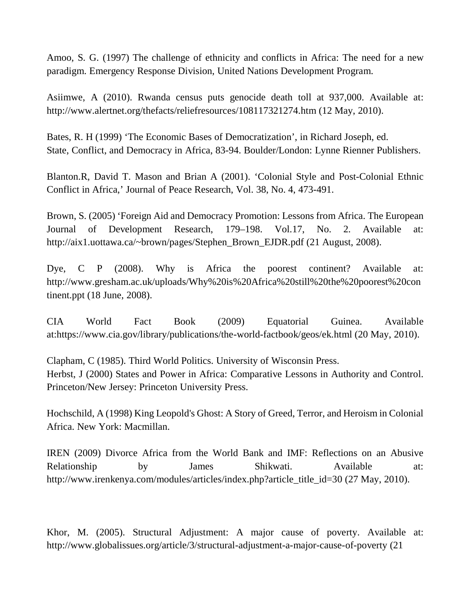Amoo, S. G. (1997) The challenge of ethnicity and conflicts in Africa: The need for a new paradigm. Emergency Response Division, United Nations Development Program.

Asiimwe, A (2010). Rwanda census puts genocide death toll at 937,000. Available at: http://www.alertnet.org/thefacts/reliefresources/108117321274.htm (12 May, 2010).

Bates, R. H (1999) 'The Economic Bases of Democratization', in Richard Joseph, ed. State, Conflict, and Democracy in Africa, 83-94. Boulder/London: Lynne Rienner Publishers.

Blanton.R, David T. Mason and Brian A (2001). 'Colonial Style and Post-Colonial Ethnic Conflict in Africa,' Journal of Peace Research, Vol. 38, No. 4, 473-491.

Brown, S. (2005) 'Foreign Aid and Democracy Promotion: Lessons from Africa. The European Journal of Development Research, 179–198. Vol.17, No. 2. Available at: http://aix1.uottawa.ca/~brown/pages/Stephen\_Brown\_EJDR.pdf (21 August, 2008).

Dye, C P (2008). Why is Africa the poorest continent? Available at: http://www.gresham.ac.uk/uploads/Why%20is%20Africa%20still%20the%20poorest%20con tinent.ppt (18 June, 2008).

CIA World Fact Book (2009) Equatorial Guinea. Available at:https://www.cia.gov/library/publications/the-world-factbook/geos/ek.html (20 May, 2010).

Clapham, C (1985). Third World Politics. University of Wisconsin Press. Herbst, J (2000) States and Power in Africa: Comparative Lessons in Authority and Control. Princeton/New Jersey: Princeton University Press.

Hochschild, A (1998) King Leopold's Ghost: A Story of Greed, Terror, and Heroism in Colonial Africa. New York: Macmillan.

IREN (2009) Divorce Africa from the World Bank and IMF: Reflections on an Abusive Relationship by James Shikwati. Available at: http://www.irenkenya.com/modules/articles/index.php?article\_title\_id=30 (27 May, 2010).

Khor, M. (2005). Structural Adjustment: A major cause of poverty. Available at: http://www.globalissues.org/article/3/structural-adjustment-a-major-cause-of-poverty (21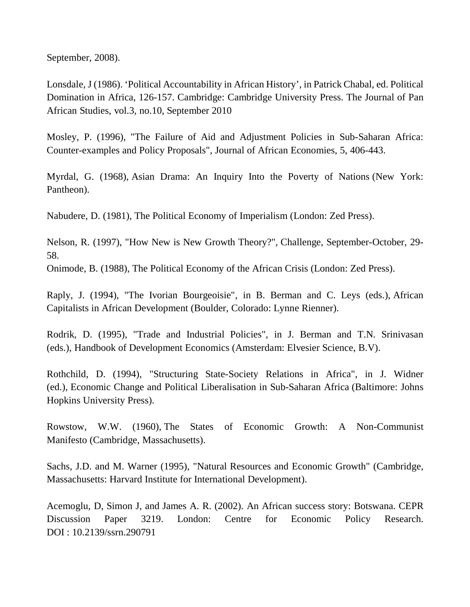September, 2008).

Lonsdale, J (1986). 'Political Accountability in African History', in Patrick Chabal, ed. Political Domination in Africa, 126-157. Cambridge: Cambridge University Press. The Journal of Pan African Studies, vol.3, no.10, September 2010

Mosley, P. (1996), "The Failure of Aid and Adjustment Policies in Sub-Saharan Africa: Counter-examples and Policy Proposals", Journal of African Economies, 5, 406-443.

Myrdal, G. (1968), Asian Drama: An Inquiry Into the Poverty of Nations (New York: Pantheon).

Nabudere, D. (1981), The Political Economy of Imperialism (London: Zed Press).

Nelson, R. (1997), "How New is New Growth Theory?", Challenge, September-October, 29- 58.

Onimode, B. (1988), The Political Economy of the African Crisis (London: Zed Press).

Raply, J. (1994), "The Ivorian Bourgeoisie", in B. Berman and C. Leys (eds.), African Capitalists in African Development (Boulder, Colorado: Lynne Rienner).

Rodrik, D. (1995), "Trade and Industrial Policies", in J. Berman and T.N. Srinivasan (eds.), Handbook of Development Economics (Amsterdam: Elvesier Science, B.V).

Rothchild, D. (1994), "Structuring State-Society Relations in Africa", in J. Widner (ed.), Economic Change and Political Liberalisation in Sub-Saharan Africa (Baltimore: Johns Hopkins University Press).

Rowstow, W.W. (1960), The States of Economic Growth: A Non-Communist Manifesto (Cambridge, Massachusetts).

Sachs, J.D. and M. Warner (1995), "Natural Resources and Economic Growth" (Cambridge, Massachusetts: Harvard Institute for International Development).

Acemoglu, D, Simon J, and James A. R. (2002). An African success story: Botswana. CEPR Discussion Paper 3219. London: Centre for Economic Policy Research. DOI : 10.2139/ssrn.290791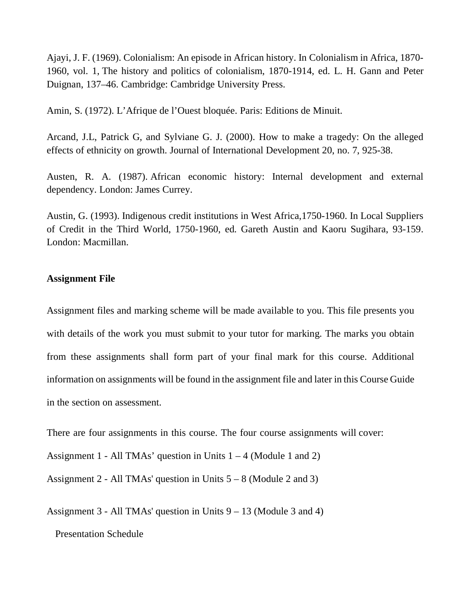Ajayi, J. F. (1969). Colonialism: An episode in African history. In Colonialism in Africa, 1870- 1960, vol. 1, The history and politics of colonialism, 1870-1914, ed. L. H. Gann and Peter Duignan, 137–46. Cambridge: Cambridge University Press.

Amin, S. (1972). L'Afrique de l'Ouest bloquée. Paris: Editions de Minuit.

Arcand, J.L, Patrick G, and Sylviane G. J. (2000). How to make a tragedy: On the alleged effects of ethnicity on growth. Journal of International Development 20, no. 7, 925-38.

Austen, R. A. (1987). African economic history: Internal development and external dependency. London: James Currey.

Austin, G. (1993). Indigenous credit institutions in West Africa,1750-1960. In Local Suppliers of Credit in the Third World, 1750-1960, ed. Gareth Austin and Kaoru Sugihara, 93-159. London: Macmillan.

### **Assignment File**

Assignment files and marking scheme will be made available to you. This file presents you with details of the work you must submit to your tutor for marking. The marks you obtain from these assignments shall form part of your final mark for this course. Additional information on assignments will be found in the assignment file and later in this Course Guide in the section on assessment.

There are four assignments in this course. The four course assignments will cover:

Assignment 1 - All TMAs' question in Units  $1 - 4$  (Module 1 and 2)

Assignment 2 - All TMAs' question in Units  $5 - 8$  (Module 2 and 3)

Assignment 3 - All TMAs' question in Units 9 – 13 (Module 3 and 4)

Presentation Schedule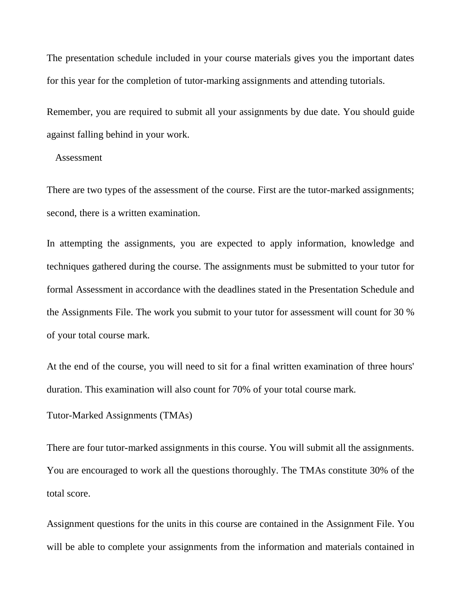The presentation schedule included in your course materials gives you the important dates for this year for the completion of tutor-marking assignments and attending tutorials.

Remember, you are required to submit all your assignments by due date. You should guide against falling behind in your work.

#### Assessment

There are two types of the assessment of the course. First are the tutor-marked assignments; second, there is a written examination.

In attempting the assignments, you are expected to apply information, knowledge and techniques gathered during the course. The assignments must be submitted to your tutor for formal Assessment in accordance with the deadlines stated in the Presentation Schedule and the Assignments File. The work you submit to your tutor for assessment will count for 30 % of your total course mark.

At the end of the course, you will need to sit for a final written examination of three hours' duration. This examination will also count for 70% of your total course mark.

Tutor-Marked Assignments (TMAs)

There are four tutor-marked assignments in this course. You will submit all the assignments. You are encouraged to work all the questions thoroughly. The TMAs constitute 30% of the total score.

Assignment questions for the units in this course are contained in the Assignment File. You will be able to complete your assignments from the information and materials contained in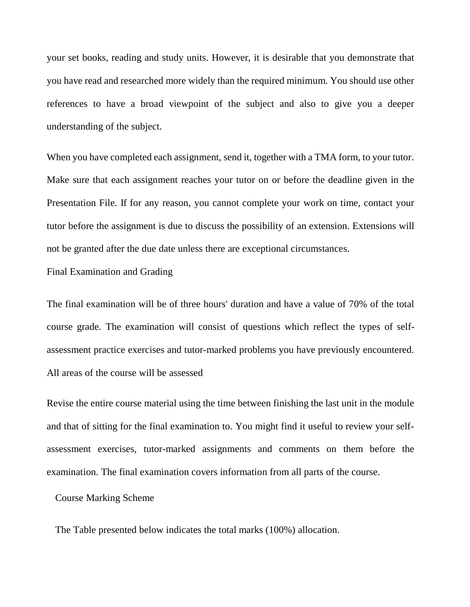your set books, reading and study units. However, it is desirable that you demonstrate that you have read and researched more widely than the required minimum. You should use other references to have a broad viewpoint of the subject and also to give you a deeper understanding of the subject.

When you have completed each assignment, send it, together with a TMA form, to your tutor. Make sure that each assignment reaches your tutor on or before the deadline given in the Presentation File. If for any reason, you cannot complete your work on time, contact your tutor before the assignment is due to discuss the possibility of an extension. Extensions will not be granted after the due date unless there are exceptional circumstances.

Final Examination and Grading

The final examination will be of three hours' duration and have a value of 70% of the total course grade. The examination will consist of questions which reflect the types of selfassessment practice exercises and tutor-marked problems you have previously encountered. All areas of the course will be assessed

Revise the entire course material using the time between finishing the last unit in the module and that of sitting for the final examination to. You might find it useful to review your selfassessment exercises, tutor-marked assignments and comments on them before the examination. The final examination covers information from all parts of the course.

Course Marking Scheme

The Table presented below indicates the total marks (100%) allocation.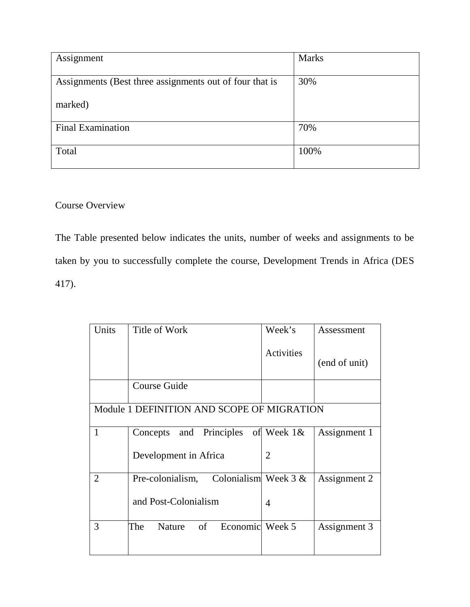| Assignment                                              | <b>Marks</b> |
|---------------------------------------------------------|--------------|
| Assignments (Best three assignments out of four that is | 30%          |
| marked)                                                 |              |
| <b>Final Examination</b>                                | 70%          |
| Total                                                   | 100%         |

# Course Overview

The Table presented below indicates the units, number of weeks and assignments to be taken by you to successfully complete the course, Development Trends in Africa (DES 417).

| Units                                      | Title of Work                              | Week's         | Assessment    |  |
|--------------------------------------------|--------------------------------------------|----------------|---------------|--|
|                                            |                                            | Activities     | (end of unit) |  |
|                                            | <b>Course Guide</b>                        |                |               |  |
| Module 1 DEFINITION AND SCOPE OF MIGRATION |                                            |                |               |  |
| 1                                          | Concepts and Principles                    | of Week $1&$   | Assignment 1  |  |
|                                            | Development in Africa                      | $\overline{2}$ |               |  |
| $\overline{2}$                             | Colonialism Week $3 &$<br>Pre-colonialism, |                | Assignment 2  |  |
|                                            | and Post-Colonialism                       | 4              |               |  |
| 3                                          | of<br>Economic Week 5<br>The<br>Nature     |                | Assignment 3  |  |
|                                            |                                            |                |               |  |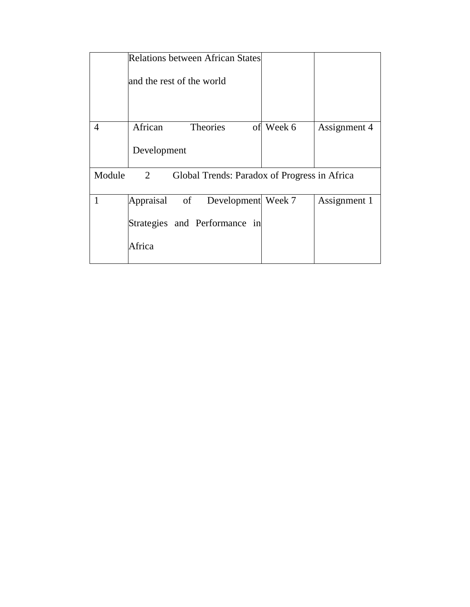|                                                             | <b>Relations between African States</b> |                                 |    |        |              |
|-------------------------------------------------------------|-----------------------------------------|---------------------------------|----|--------|--------------|
|                                                             |                                         | and the rest of the world       |    |        |              |
|                                                             |                                         |                                 |    |        |              |
| 4                                                           | African                                 | Theories                        | of | Week 6 | Assignment 4 |
|                                                             | Development                             |                                 |    |        |              |
| Module<br>2<br>Global Trends: Paradox of Progress in Africa |                                         |                                 |    |        |              |
| 1                                                           |                                         | Appraisal of Development Week 7 |    |        | Assignment 1 |
|                                                             |                                         | Strategies and Performance in   |    |        |              |
|                                                             | Africa                                  |                                 |    |        |              |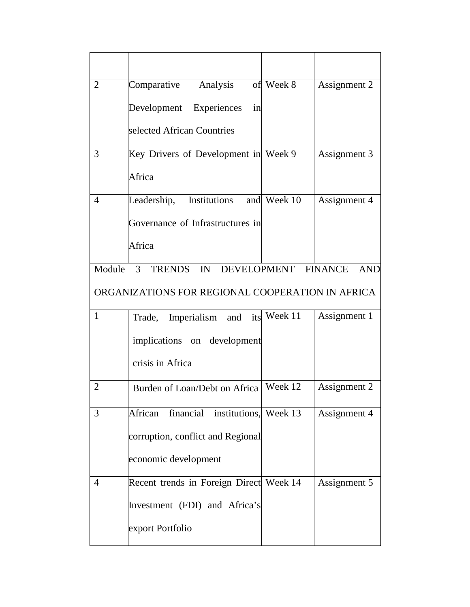| $\overline{2}$                                   | Comparative<br>Analysis                 | of Week 8           | Assignment 2 |  |
|--------------------------------------------------|-----------------------------------------|---------------------|--------------|--|
|                                                  | Development Experiences<br>in           |                     |              |  |
|                                                  | selected African Countries              |                     |              |  |
| 3                                                | Key Drivers of Development in Week 9    |                     | Assignment 3 |  |
|                                                  | Africa                                  |                     |              |  |
| $\overline{4}$                                   | Institutions<br>Leadership,             | and Week 10         | Assignment 4 |  |
|                                                  | Governance of Infrastructures in        |                     |              |  |
|                                                  | Africa                                  |                     |              |  |
| Module                                           | $\mathcal{E}$<br>TRENDS IN              | DEVELOPMENT FINANCE | <b>AND</b>   |  |
| ORGANIZATIONS FOR REGIONAL COOPERATION IN AFRICA |                                         |                     |              |  |
| $\mathbf{1}$                                     | Trade, Imperialism and its Week 11      |                     | Assignment 1 |  |
|                                                  | implications on development             |                     |              |  |
|                                                  | crisis in Africa                        |                     |              |  |
| $\overline{2}$                                   | Burden of Loan/Debt on Africa   Week 12 |                     | Assignment 2 |  |
| 3                                                | African financial institutions, Week 13 |                     | Assignment 4 |  |
|                                                  | corruption, conflict and Regional       |                     |              |  |
|                                                  | economic development                    |                     |              |  |
| $\overline{4}$                                   | Recent trends in Foreign Direct Week 14 |                     | Assignment 5 |  |
|                                                  | Investment (FDI) and Africa's           |                     |              |  |
|                                                  | export Portfolio                        |                     |              |  |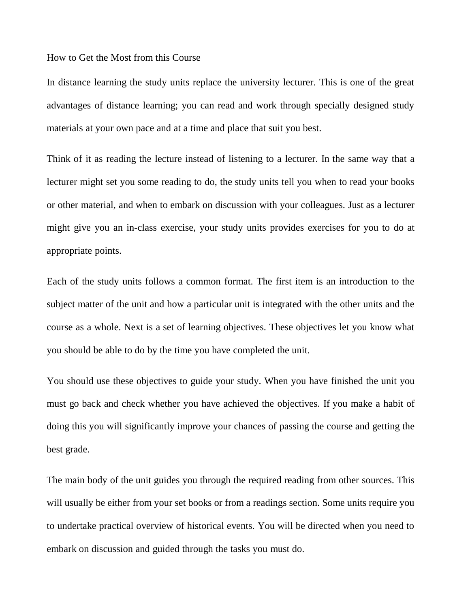#### How to Get the Most from this Course

In distance learning the study units replace the university lecturer. This is one of the great advantages of distance learning; you can read and work through specially designed study materials at your own pace and at a time and place that suit you best.

Think of it as reading the lecture instead of listening to a lecturer. In the same way that a lecturer might set you some reading to do, the study units tell you when to read your books or other material, and when to embark on discussion with your colleagues. Just as a lecturer might give you an in-class exercise, your study units provides exercises for you to do at appropriate points.

Each of the study units follows a common format. The first item is an introduction to the subject matter of the unit and how a particular unit is integrated with the other units and the course as a whole. Next is a set of learning objectives. These objectives let you know what you should be able to do by the time you have completed the unit.

You should use these objectives to guide your study. When you have finished the unit you must go back and check whether you have achieved the objectives. If you make a habit of doing this you will significantly improve your chances of passing the course and getting the best grade.

The main body of the unit guides you through the required reading from other sources. This will usually be either from your set books or from a readings section. Some units require you to undertake practical overview of historical events. You will be directed when you need to embark on discussion and guided through the tasks you must do.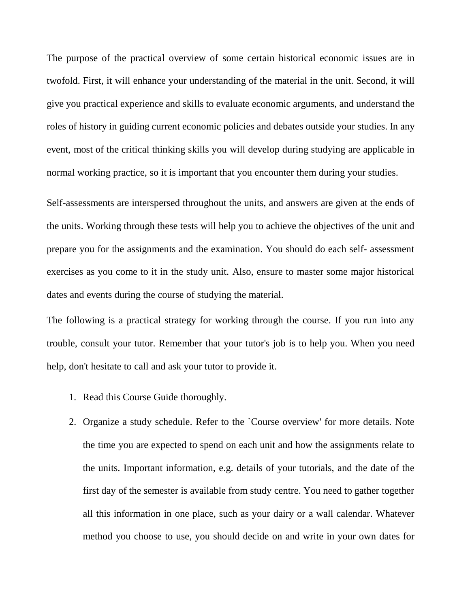The purpose of the practical overview of some certain historical economic issues are in twofold. First, it will enhance your understanding of the material in the unit. Second, it will give you practical experience and skills to evaluate economic arguments, and understand the roles of history in guiding current economic policies and debates outside your studies. In any event, most of the critical thinking skills you will develop during studying are applicable in normal working practice, so it is important that you encounter them during your studies.

Self-assessments are interspersed throughout the units, and answers are given at the ends of the units. Working through these tests will help you to achieve the objectives of the unit and prepare you for the assignments and the examination. You should do each self- assessment exercises as you come to it in the study unit. Also, ensure to master some major historical dates and events during the course of studying the material.

The following is a practical strategy for working through the course. If you run into any trouble, consult your tutor. Remember that your tutor's job is to help you. When you need help, don't hesitate to call and ask your tutor to provide it.

- 1. Read this Course Guide thoroughly.
- 2. Organize a study schedule. Refer to the `Course overview' for more details. Note the time you are expected to spend on each unit and how the assignments relate to the units. Important information, e.g. details of your tutorials, and the date of the first day of the semester is available from study centre. You need to gather together all this information in one place, such as your dairy or a wall calendar. Whatever method you choose to use, you should decide on and write in your own dates for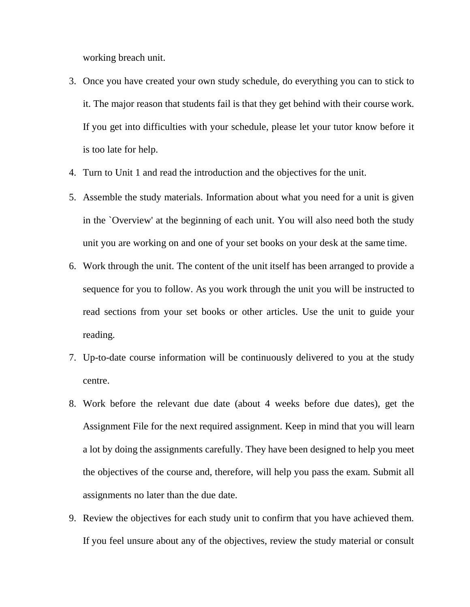working breach unit.

- 3. Once you have created your own study schedule, do everything you can to stick to it. The major reason that students fail is that they get behind with their course work. If you get into difficulties with your schedule, please let your tutor know before it is too late for help.
- 4. Turn to Unit 1 and read the introduction and the objectives for the unit.
- 5. Assemble the study materials. Information about what you need for a unit is given in the `Overview' at the beginning of each unit. You will also need both the study unit you are working on and one of your set books on your desk at the same time.
- 6. Work through the unit. The content of the unit itself has been arranged to provide a sequence for you to follow. As you work through the unit you will be instructed to read sections from your set books or other articles. Use the unit to guide your reading.
- 7. Up-to-date course information will be continuously delivered to you at the study centre.
- 8. Work before the relevant due date (about 4 weeks before due dates), get the Assignment File for the next required assignment. Keep in mind that you will learn a lot by doing the assignments carefully. They have been designed to help you meet the objectives of the course and, therefore, will help you pass the exam. Submit all assignments no later than the due date.
- 9. Review the objectives for each study unit to confirm that you have achieved them. If you feel unsure about any of the objectives, review the study material or consult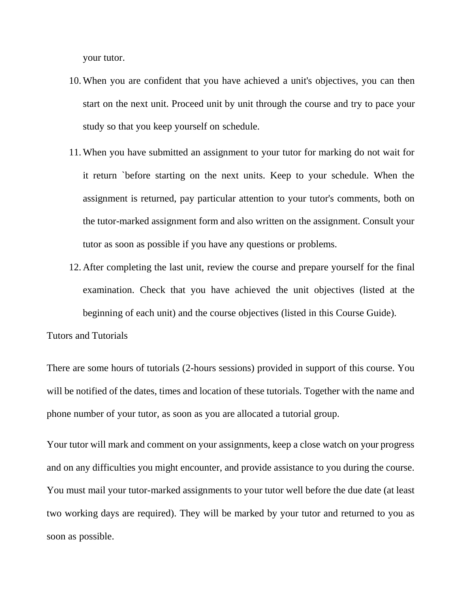your tutor.

- 10. When you are confident that you have achieved a unit's objectives, you can then start on the next unit. Proceed unit by unit through the course and try to pace your study so that you keep yourself on schedule.
- 11. When you have submitted an assignment to your tutor for marking do not wait for it return `before starting on the next units. Keep to your schedule. When the assignment is returned, pay particular attention to your tutor's comments, both on the tutor-marked assignment form and also written on the assignment. Consult your tutor as soon as possible if you have any questions or problems.
- 12. After completing the last unit, review the course and prepare yourself for the final examination. Check that you have achieved the unit objectives (listed at the beginning of each unit) and the course objectives (listed in this Course Guide).

Tutors and Tutorials

There are some hours of tutorials (2-hours sessions) provided in support of this course. You will be notified of the dates, times and location of these tutorials. Together with the name and phone number of your tutor, as soon as you are allocated a tutorial group.

Your tutor will mark and comment on your assignments, keep a close watch on your progress and on any difficulties you might encounter, and provide assistance to you during the course. You must mail your tutor-marked assignments to your tutor well before the due date (at least two working days are required). They will be marked by your tutor and returned to you as soon as possible.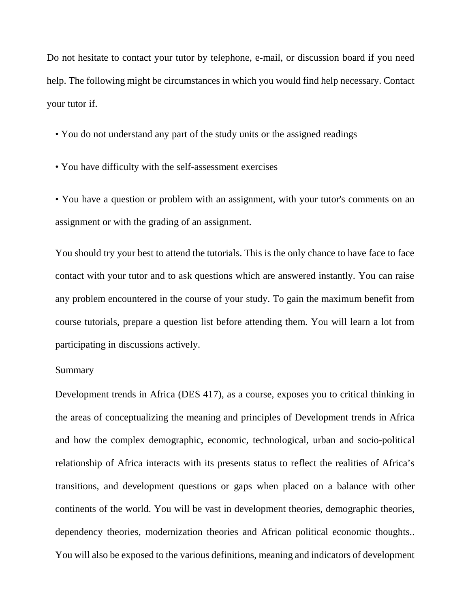Do not hesitate to contact your tutor by telephone, e-mail, or discussion board if you need help. The following might be circumstances in which you would find help necessary. Contact your tutor if.

- You do not understand any part of the study units or the assigned readings
- You have difficulty with the self-assessment exercises

• You have a question or problem with an assignment, with your tutor's comments on an assignment or with the grading of an assignment.

You should try your best to attend the tutorials. This is the only chance to have face to face contact with your tutor and to ask questions which are answered instantly. You can raise any problem encountered in the course of your study. To gain the maximum benefit from course tutorials, prepare a question list before attending them. You will learn a lot from participating in discussions actively.

#### Summary

Development trends in Africa (DES 417), as a course, exposes you to critical thinking in the areas of conceptualizing the meaning and principles of Development trends in Africa and how the complex demographic, economic, technological, urban and socio-political relationship of Africa interacts with its presents status to reflect the realities of Africa's transitions, and development questions or gaps when placed on a balance with other continents of the world. You will be vast in development theories, demographic theories, dependency theories, modernization theories and African political economic thoughts.. You will also be exposed to the various definitions, meaning and indicators of development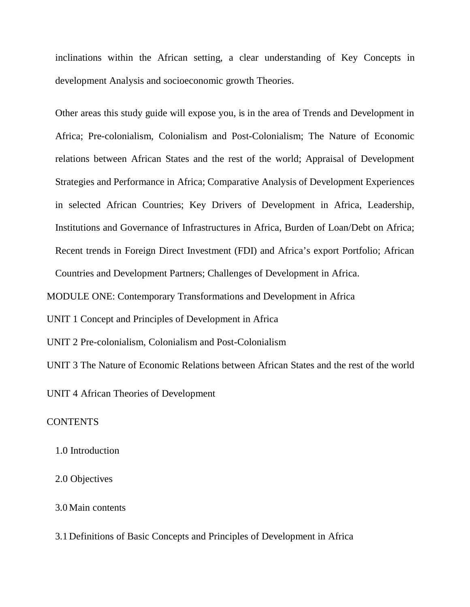inclinations within the African setting, a clear understanding of Key Concepts in development Analysis and socioeconomic growth Theories.

Other areas this study guide will expose you, is in the area of Trends and Development in Africa; Pre-colonialism, Colonialism and Post-Colonialism; The Nature of Economic relations between African States and the rest of the world; Appraisal of Development Strategies and Performance in Africa; Comparative Analysis of Development Experiences in selected African Countries; Key Drivers of Development in Africa, Leadership, Institutions and Governance of Infrastructures in Africa, Burden of Loan/Debt on Africa; Recent trends in Foreign Direct Investment (FDI) and Africa's export Portfolio; African Countries and Development Partners; Challenges of Development in Africa.

MODULE ONE: Contemporary Transformations and Development in Africa

UNIT 1 Concept and Principles of Development in Africa

UNIT 2 Pre-colonialism, Colonialism and Post-Colonialism

UNIT 3 The Nature of Economic Relations between African States and the rest of the world

UNIT 4 African Theories of Development

#### **CONTENTS**

1.0 Introduction

## 2.0 Objectives

### 3.0 Main contents

3.1 Definitions of Basic Concepts and Principles of Development in Africa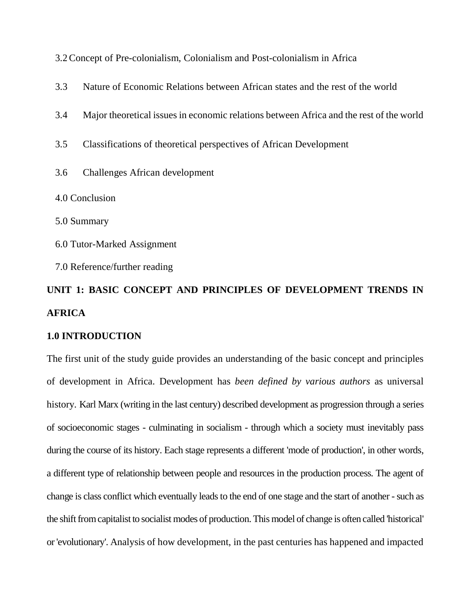- 3.3 Nature of Economic Relations between African states and the rest of the world
- 3.4 Major theoretical issues in economic relations between Africa and the rest of the world
- 3.5 Classifications of theoretical perspectives of African Development
- 3.6 Challenges African development
- 4.0 Conclusion
- 5.0 Summary
- 6.0 Tutor-Marked Assignment
- 7.0 Reference/further reading

# **UNIT 1: BASIC CONCEPT AND PRINCIPLES OF DEVELOPMENT TRENDS IN AFRICA**

#### **1.0 INTRODUCTION**

The first unit of the study guide provides an understanding of the basic concept and principles of development in Africa. Development has *been defined by various authors* as universal history*.* Karl Marx (writing in the last century) described development as progression through a series of socioeconomic stages - culminating in socialism - through which a society must inevitably pass during the course of its history. Each stage represents a different 'mode of production', in other words, a different type of relationship between people and resources in the production process. The agent of change is class conflict which eventually leads to the end of one stage and the start of another - such as the shift from capitalist to socialist modes of production. This model of change is often called 'historical' or 'evolutionary'. Analysis of how development, in the past centuries has happened and impacted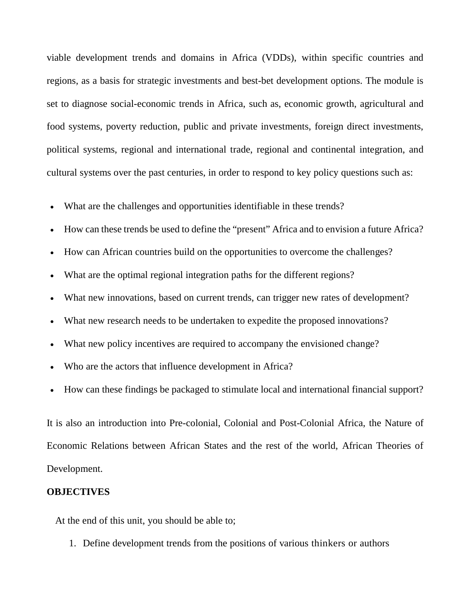viable development trends and domains in Africa (VDDs), within specific countries and regions, as a basis for strategic investments and best-bet development options. The module is set to diagnose social-economic trends in Africa, such as, economic growth, agricultural and food systems, poverty reduction, public and private investments, foreign direct investments, political systems, regional and international trade, regional and continental integration, and cultural systems over the past centuries, in order to respond to key policy questions such as:

- What are the challenges and opportunities identifiable in these trends?
- How can these trends be used to define the "present" Africa and to envision a future Africa?
- How can African countries build on the opportunities to overcome the challenges?
- What are the optimal regional integration paths for the different regions?
- What new innovations, based on current trends, can trigger new rates of development?
- What new research needs to be undertaken to expedite the proposed innovations?
- What new policy incentives are required to accompany the envisioned change?
- Who are the actors that influence development in Africa?
- How can these findings be packaged to stimulate local and international financial support?

It is also an introduction into Pre-colonial, Colonial and Post-Colonial Africa, the Nature of Economic Relations between African States and the rest of the world, African Theories of Development.

## **OBJECTIVES**

At the end of this unit, you should be able to;

1. Define development trends from the positions of various thinkers or authors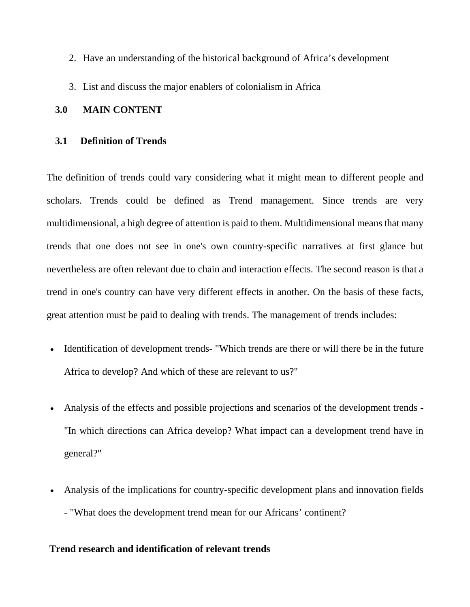- 2. Have an understanding of the historical background of Africa's development
- 3. List and discuss the major enablers of colonialism in Africa

## **3.0 MAIN CONTENT**

## **3.1 Definition of Trends**

The definition of trends could vary considering what it might mean to different people and scholars. Trends could be defined as Trend management. Since trends are very multidimensional, a high degree of attention is paid to them. Multidimensional means that many trends that one does not see in one's own country-specific narratives at first glance but nevertheless are often relevant due to chain and interaction effects. The second reason is that a trend in one's country can have very different effects in another. On the basis of these facts, great attention must be paid to dealing with trends. The management of trends includes:

- Identification of development trends- "Which trends are there or will there be in the future Africa to develop? And which of these are relevant to us?"
- Analysis of the effects and possible projections and scenarios of the development trends "In which directions can Africa develop? What impact can a development trend have in general?"
- Analysis of the implications for country-specific development plans and innovation fields - "What does the development trend mean for our Africans' continent?

# **Trend research and identification of relevant trends**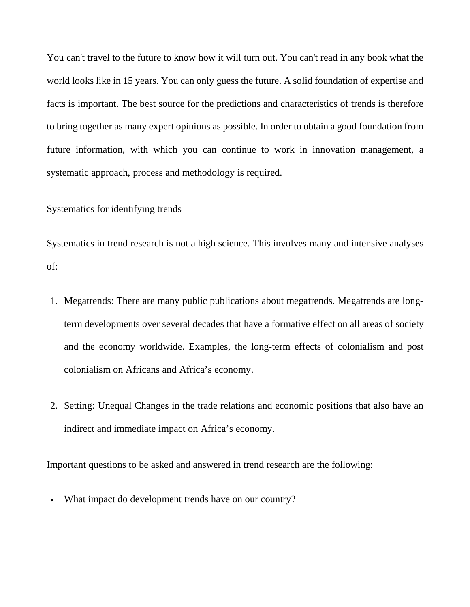You can't travel to the future to know how it will turn out. You can't read in any book what the world looks like in 15 years. You can only guess the future. A solid foundation of expertise and facts is important. The best source for the predictions and characteristics of trends is therefore to bring together as many expert opinions as possible. In order to obtain a good foundation from future information, with which you can continue to work in innovation management, a systematic approach, process and methodology is required.

### Systematics for identifying trends

Systematics in trend research is not a high science. This involves many and intensive analyses of:

- 1. Megatrends: There are many public publications about megatrends. Megatrends are longterm developments over several decades that have a formative effect on all areas of society and the economy worldwide. Examples, the long-term effects of colonialism and post colonialism on Africans and Africa's economy.
- 2. Setting: Unequal Changes in the trade relations and economic positions that also have an indirect and immediate impact on Africa's economy.

Important questions to be asked and answered in trend research are the following:

What impact do development trends have on our country?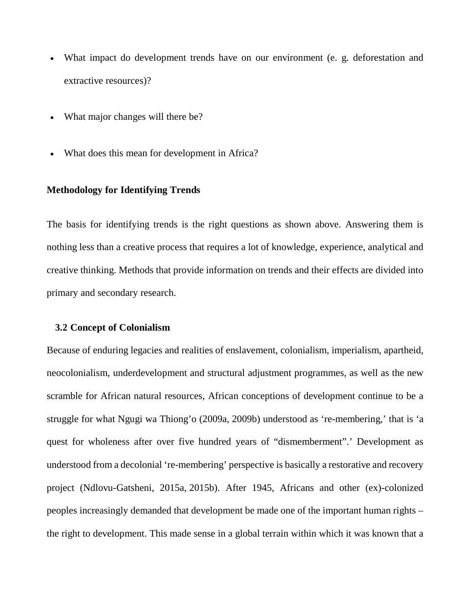- What impact do development trends have on our environment (e. g. deforestation and extractive resources)?
- What major changes will there be?
- What does this mean for development in Africa?

#### **Methodology for Identifying Trends**

The basis for identifying trends is the right questions as shown above. Answering them is nothing less than a creative process that requires a lot of knowledge, experience, analytical and creative thinking. Methods that provide information on trends and their effects are divided into primary and secondary research.

#### **3.2 Concept of Colonialism**

Because of enduring legacies and realities of enslavement, colonialism, imperialism, apartheid, neocolonialism, underdevelopment and structural adjustment programmes, as well as the new scramble for African natural resources, African conceptions of development continue to be a struggle for what Ngugi wa Thiong'o (2009a, 2009b) understood as 're-membering,' that is 'a quest for wholeness after over five hundred years of "dismemberment".' Development as understood from a decolonial 're-membering' perspective is basically a restorative and recovery project (Ndlovu-Gatsheni, 2015a, 2015b). After 1945, Africans and other (ex)-colonized peoples increasingly demanded that development be made one of the important human rights – the right to development. This made sense in a global terrain within which it was known that a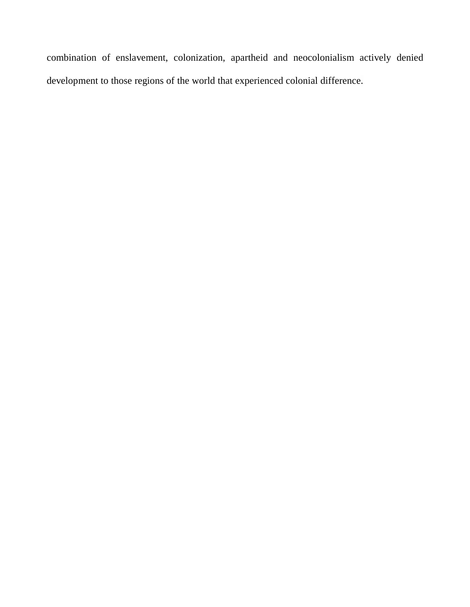combination of enslavement, colonization, apartheid and neocolonialism actively denied development to those regions of the world that experienced colonial difference.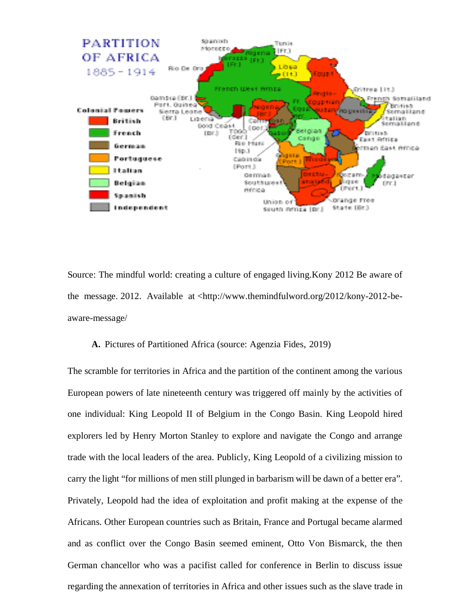

Source: The mindful world: creating a culture of engaged living.Kony 2012 Be aware of the message. 2012. Available at <http://www.themindfulword.org/2012/kony-2012-beaware-message/

### **A.** Pictures of Partitioned Africa (source: Agenzia Fides, 2019)

The scramble for territories in Africa and the partition of the continent among the various European powers of late nineteenth century was triggered off mainly by the activities of one individual: King Leopold II of Belgium in the Congo Basin. King Leopold hired explorers led by Henry Morton Stanley to explore and navigate the Congo and arrange trade with the local leaders of the area. Publicly, King Leopold of a civilizing mission to carry the light "for millions of men still plunged in barbarism will be dawn of a better era". Privately, Leopold had the idea of exploitation and profit making at the expense of the Africans. Other European countries such as Britain, France and Portugal became alarmed and as conflict over the Congo Basin seemed eminent, Otto Von Bismarck, the then German chancellor who was a pacifist called for conference in Berlin to discuss issue regarding the annexation of territories in Africa and other issues such as the slave trade in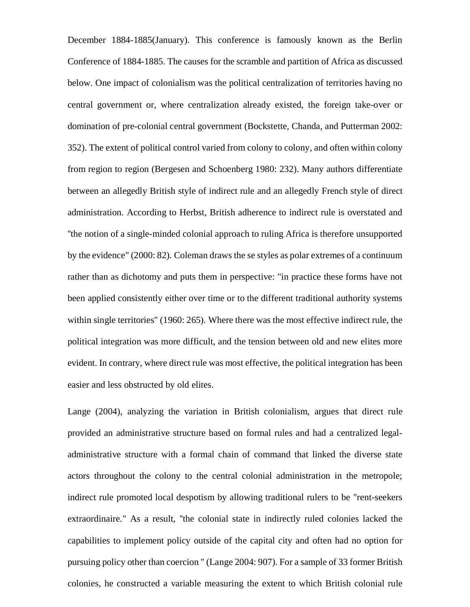December 1884-1885(January). This conference is famously known as the Berlin Conference of 1884-1885. The causes for the scramble and partition of Africa as discussed below. One impact of colonialism was the political centralization of territories having no central government or, where centralization already existed, the foreign take-over or domination of pre-colonial central government (Bockstette, Chanda, and Putterman 2002: 352). The extent of political control varied from colony to colony, and often within colony from region to region (Bergesen and Schoenberg 1980: 232). Many authors differentiate between an allegedly British style of indirect rule and an allegedly French style of direct administration. According to Herbst, British adherence to indirect rule is overstated and ''the notion of a single-minded colonial approach to ruling Africa is therefore unsupported by the evidence" (2000: 82). Coleman draws the se styles as polar extremes of a continuum rather than as dichotomy and puts them in perspective: "in practice these forms have not been applied consistently either over time or to the different traditional authority systems within single territories" (1960: 265). Where there was the most effective indirect rule, the political integration was more difficult, and the tension between old and new elites more evident. In contrary, where direct rule was most effective, the political integration has been easier and less obstructed by old elites.

Lange (2004), analyzing the variation in British colonialism, argues that direct rule provided an administrative structure based on formal rules and had a centralized legaladministrative structure with a formal chain of command that linked the diverse state actors throughout the colony to the central colonial administration in the metropole; indirect rule promoted local despotism by allowing traditional rulers to be "rent-seekers extraordinaire." As a result, ''the colonial state in indirectly ruled colonies lacked the capabilities to implement policy outside of the capital city and often had no option for pursuing policy other than coercion " (Lange 2004: 907). For a sample of 33 former British colonies, he constructed a variable measuring the extent to which British colonial rule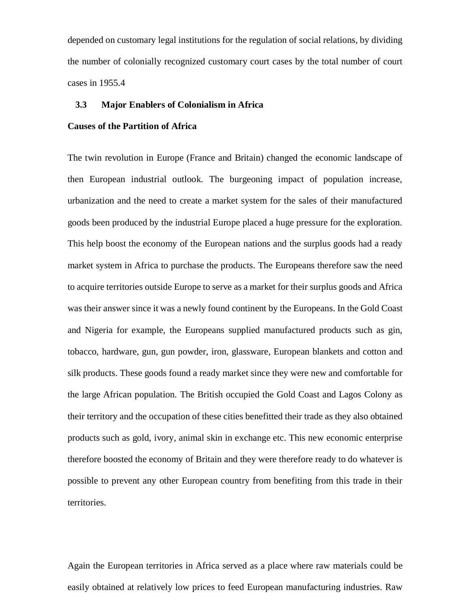depended on customary legal institutions for the regulation of social relations, by dividing the number of colonially recognized customary court cases by the total number of court cases in 1955.4

### **3.3 Major Enablers of Colonialism in Africa**

# **Causes of the Partition of Africa**

The twin revolution in Europe (France and Britain) changed the economic landscape of then European industrial outlook. The burgeoning impact of population increase, urbanization and the need to create a market system for the sales of their manufactured goods been produced by the industrial Europe placed a huge pressure for the exploration. This help boost the economy of the European nations and the surplus goods had a ready market system in Africa to purchase the products. The Europeans therefore saw the need to acquire territories outside Europe to serve as a market for their surplus goods and Africa was their answer since it was a newly found continent by the Europeans. In the Gold Coast and Nigeria for example, the Europeans supplied manufactured products such as gin, tobacco, hardware, gun, gun powder, iron, glassware, European blankets and cotton and silk products. These goods found a ready market since they were new and comfortable for the large African population. The British occupied the Gold Coast and Lagos Colony as their territory and the occupation of these cities benefitted their trade as they also obtained products such as gold, ivory, animal skin in exchange etc. This new economic enterprise therefore boosted the economy of Britain and they were therefore ready to do whatever is possible to prevent any other European country from benefiting from this trade in their territories.

Again the European territories in Africa served as a place where raw materials could be easily obtained at relatively low prices to feed European manufacturing industries. Raw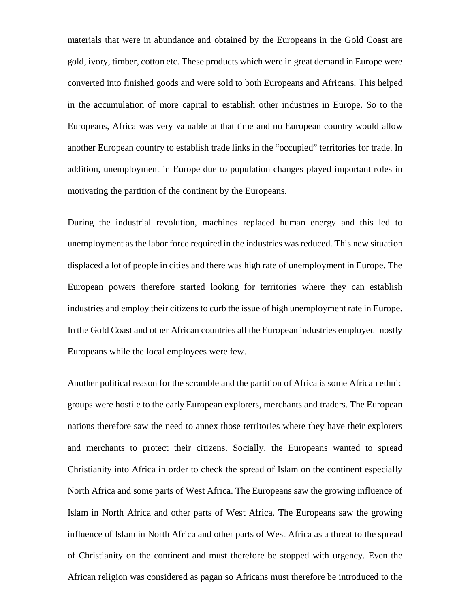materials that were in abundance and obtained by the Europeans in the Gold Coast are gold, ivory, timber, cotton etc. These products which were in great demand in Europe were converted into finished goods and were sold to both Europeans and Africans. This helped in the accumulation of more capital to establish other industries in Europe. So to the Europeans, Africa was very valuable at that time and no European country would allow another European country to establish trade links in the "occupied" territories for trade. In addition, unemployment in Europe due to population changes played important roles in motivating the partition of the continent by the Europeans.

During the industrial revolution, machines replaced human energy and this led to unemployment as the labor force required in the industries was reduced. This new situation displaced a lot of people in cities and there was high rate of unemployment in Europe. The European powers therefore started looking for territories where they can establish industries and employ their citizens to curb the issue of high unemployment rate in Europe. In the Gold Coast and other African countries all the European industries employed mostly Europeans while the local employees were few.

Another political reason for the scramble and the partition of Africa is some African ethnic groups were hostile to the early European explorers, merchants and traders. The European nations therefore saw the need to annex those territories where they have their explorers and merchants to protect their citizens. Socially, the Europeans wanted to spread Christianity into Africa in order to check the spread of Islam on the continent especially North Africa and some parts of West Africa. The Europeans saw the growing influence of Islam in North Africa and other parts of West Africa. The Europeans saw the growing influence of Islam in North Africa and other parts of West Africa as a threat to the spread of Christianity on the continent and must therefore be stopped with urgency. Even the African religion was considered as pagan so Africans must therefore be introduced to the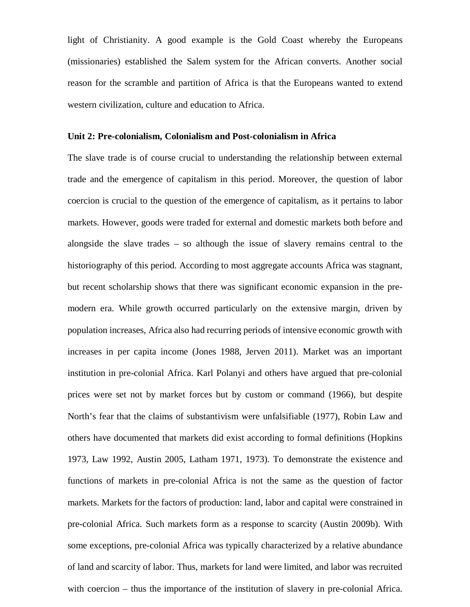light of Christianity. A good example is the Gold Coast whereby the Europeans (missionaries) established the Salem system for the African converts. Another social reason for the scramble and partition of Africa is that the Europeans wanted to extend western civilization, culture and education to Africa.

### **Unit 2: Pre-colonialism, Colonialism and Post-colonialism in Africa**

The slave trade is of course crucial to understanding the relationship between external trade and the emergence of capitalism in this period. Moreover, the question of labor coercion is crucial to the question of the emergence of capitalism, as it pertains to labor markets. However, goods were traded for external and domestic markets both before and alongside the slave trades – so although the issue of slavery remains central to the historiography of this period. According to most aggregate accounts Africa was stagnant, but recent scholarship shows that there was significant economic expansion in the premodern era. While growth occurred particularly on the extensive margin, driven by population increases, Africa also had recurring periods of intensive economic growth with increases in per capita income (Jones 1988, Jerven 2011). Market was an important institution in pre-colonial Africa. Karl Polanyi and others have argued that pre-colonial prices were set not by market forces but by custom or command (1966), but despite North's fear that the claims of substantivism were unfalsifiable (1977), Robin Law and others have documented that markets did exist according to formal definitions (Hopkins 1973, Law 1992, Austin 2005, Latham 1971, 1973). To demonstrate the existence and functions of markets in pre-colonial Africa is not the same as the question of factor markets. Markets for the factors of production: land, labor and capital were constrained in pre-colonial Africa. Such markets form as a response to scarcity (Austin 2009b). With some exceptions, pre-colonial Africa was typically characterized by a relative abundance of land and scarcity of labor. Thus, markets for land were limited, and labor was recruited with coercion – thus the importance of the institution of slavery in pre-colonial Africa.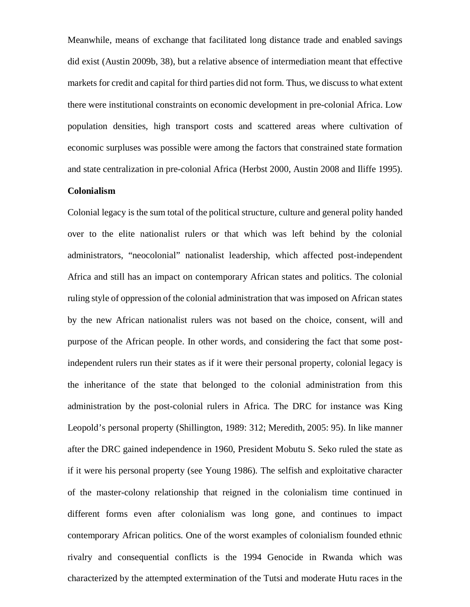Meanwhile, means of exchange that facilitated long distance trade and enabled savings did exist (Austin 2009b, 38), but a relative absence of intermediation meant that effective markets for credit and capital for third parties did not form. Thus, we discuss to what extent there were institutional constraints on economic development in pre-colonial Africa. Low population densities, high transport costs and scattered areas where cultivation of economic surpluses was possible were among the factors that constrained state formation and state centralization in pre-colonial Africa (Herbst 2000, Austin 2008 and Iliffe 1995).

### **Colonialism**

Colonial legacy is the sum total of the political structure, culture and general polity handed over to the elite nationalist rulers or that which was left behind by the colonial administrators, "neocolonial" nationalist leadership, which affected post-independent Africa and still has an impact on contemporary African states and politics. The colonial ruling style of oppression of the colonial administration that was imposed on African states by the new African nationalist rulers was not based on the choice, consent, will and purpose of the African people. In other words, and considering the fact that some postindependent rulers run their states as if it were their personal property, colonial legacy is the inheritance of the state that belonged to the colonial administration from this administration by the post-colonial rulers in Africa. The DRC for instance was King Leopold's personal property (Shillington, 1989: 312; Meredith, 2005: 95). In like manner after the DRC gained independence in 1960, President Mobutu S. Seko ruled the state as if it were his personal property (see Young 1986). The selfish and exploitative character of the master-colony relationship that reigned in the colonialism time continued in different forms even after colonialism was long gone, and continues to impact contemporary African politics. One of the worst examples of colonialism founded ethnic rivalry and consequential conflicts is the 1994 Genocide in Rwanda which was characterized by the attempted extermination of the Tutsi and moderate Hutu races in the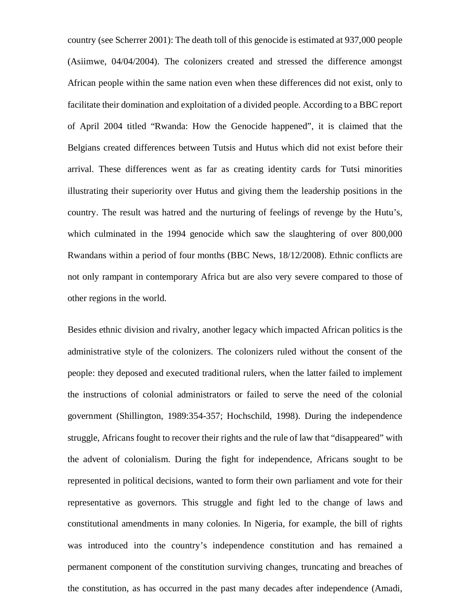country (see Scherrer 2001): The death toll of this genocide is estimated at 937,000 people (Asiimwe, 04/04/2004). The colonizers created and stressed the difference amongst African people within the same nation even when these differences did not exist, only to facilitate their domination and exploitation of a divided people. According to a BBC report of April 2004 titled "Rwanda: How the Genocide happened", it is claimed that the Belgians created differences between Tutsis and Hutus which did not exist before their arrival. These differences went as far as creating identity cards for Tutsi minorities illustrating their superiority over Hutus and giving them the leadership positions in the country. The result was hatred and the nurturing of feelings of revenge by the Hutu's, which culminated in the 1994 genocide which saw the slaughtering of over 800,000 Rwandans within a period of four months (BBC News, 18/12/2008). Ethnic conflicts are not only rampant in contemporary Africa but are also very severe compared to those of other regions in the world.

Besides ethnic division and rivalry, another legacy which impacted African politics is the administrative style of the colonizers. The colonizers ruled without the consent of the people: they deposed and executed traditional rulers, when the latter failed to implement the instructions of colonial administrators or failed to serve the need of the colonial government (Shillington, 1989:354-357; Hochschild, 1998). During the independence struggle, Africans fought to recover their rights and the rule of law that "disappeared" with the advent of colonialism. During the fight for independence, Africans sought to be represented in political decisions, wanted to form their own parliament and vote for their representative as governors. This struggle and fight led to the change of laws and constitutional amendments in many colonies. In Nigeria, for example, the bill of rights was introduced into the country's independence constitution and has remained a permanent component of the constitution surviving changes, truncating and breaches of the constitution, as has occurred in the past many decades after independence (Amadi,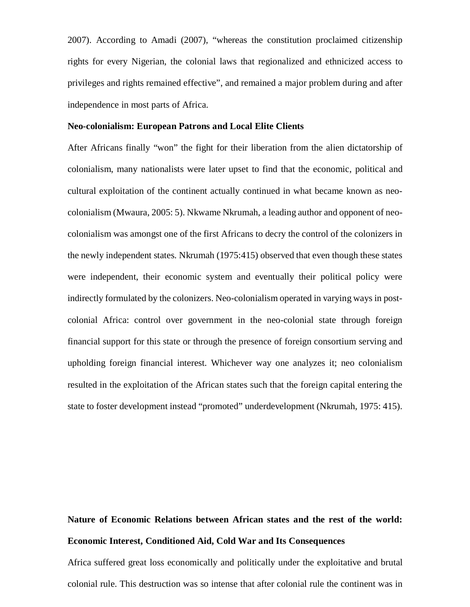2007). According to Amadi (2007), "whereas the constitution proclaimed citizenship rights for every Nigerian, the colonial laws that regionalized and ethnicized access to privileges and rights remained effective", and remained a major problem during and after independence in most parts of Africa.

### **Neo-colonialism: European Patrons and Local Elite Clients**

After Africans finally "won" the fight for their liberation from the alien dictatorship of colonialism, many nationalists were later upset to find that the economic, political and cultural exploitation of the continent actually continued in what became known as neocolonialism (Mwaura, 2005: 5). Nkwame Nkrumah, a leading author and opponent of neocolonialism was amongst one of the first Africans to decry the control of the colonizers in the newly independent states. Nkrumah (1975:415) observed that even though these states were independent, their economic system and eventually their political policy were indirectly formulated by the colonizers. Neo-colonialism operated in varying ways in postcolonial Africa: control over government in the neo-colonial state through foreign financial support for this state or through the presence of foreign consortium serving and upholding foreign financial interest. Whichever way one analyzes it; neo colonialism resulted in the exploitation of the African states such that the foreign capital entering the state to foster development instead "promoted" underdevelopment (Nkrumah, 1975: 415).

# **Nature of Economic Relations between African states and the rest of the world: Economic Interest, Conditioned Aid, Cold War and Its Consequences**

Africa suffered great loss economically and politically under the exploitative and brutal colonial rule. This destruction was so intense that after colonial rule the continent was in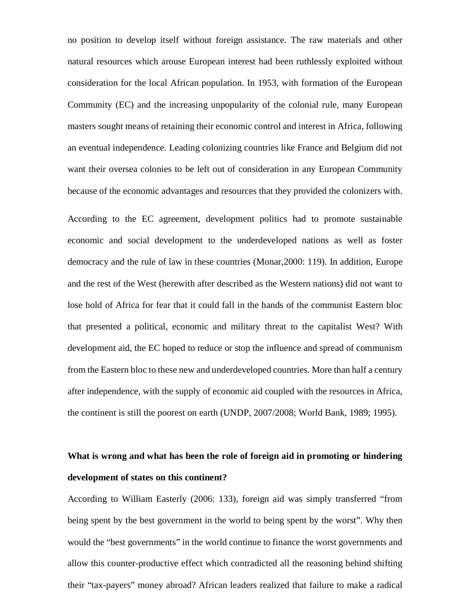no position to develop itself without foreign assistance. The raw materials and other natural resources which arouse European interest had been ruthlessly exploited without consideration for the local African population. In 1953, with formation of the European Community (EC) and the increasing unpopularity of the colonial rule, many European masters sought means of retaining their economic control and interest in Africa, following an eventual independence. Leading colonizing countries like France and Belgium did not want their oversea colonies to be left out of consideration in any European Community because of the economic advantages and resources that they provided the colonizers with.

According to the EC agreement, development politics had to promote sustainable economic and social development to the underdeveloped nations as well as foster democracy and the rule of law in these countries (Monar,2000: 119). In addition, Europe and the rest of the West (herewith after described as the Western nations) did not want to lose hold of Africa for fear that it could fall in the hands of the communist Eastern bloc that presented a political, economic and military threat to the capitalist West? With development aid, the EC hoped to reduce or stop the influence and spread of communism from the Eastern bloc to these new and underdeveloped countries. More than half a century after independence, with the supply of economic aid coupled with the resources in Africa, the continent is still the poorest on earth (UNDP, 2007/2008; World Bank, 1989; 1995).

# **What is wrong and what has been the role of foreign aid in promoting or hindering development of states on this continent?**

According to William Easterly (2006: 133), foreign aid was simply transferred "from being spent by the best government in the world to being spent by the worst". Why then would the "best governments" in the world continue to finance the worst governments and allow this counter-productive effect which contradicted all the reasoning behind shifting their "tax-payers" money abroad? African leaders realized that failure to make a radical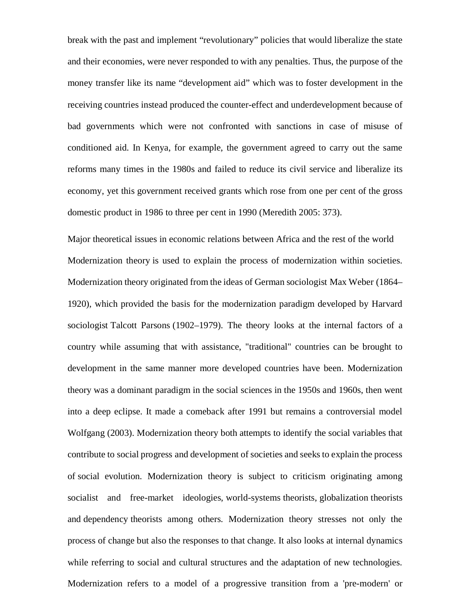break with the past and implement "revolutionary" policies that would liberalize the state and their economies, were never responded to with any penalties. Thus, the purpose of the money transfer like its name "development aid" which was to foster development in the receiving countries instead produced the counter-effect and underdevelopment because of bad governments which were not confronted with sanctions in case of misuse of conditioned aid. In Kenya, for example, the government agreed to carry out the same reforms many times in the 1980s and failed to reduce its civil service and liberalize its economy, yet this government received grants which rose from one per cent of the gross domestic product in 1986 to three per cent in 1990 (Meredith 2005: 373).

Major theoretical issues in economic relations between Africa and the rest of the world Modernization theory is used to explain the process of modernization within societies. Modernization theory originated from the ideas of German sociologist Max Weber (1864– 1920), which provided the basis for the modernization paradigm developed by Harvard sociologist Talcott Parsons (1902–1979). The theory looks at the internal factors of a country while assuming that with assistance, "traditional" countries can be brought to development in the same manner more developed countries have been. Modernization theory was a dominant paradigm in the social sciences in the 1950s and 1960s, then went into a deep eclipse. It made a comeback after 1991 but remains a controversial model Wolfgang (2003). Modernization theory both attempts to identify the social variables that contribute to social progress and development of societies and seeks to explain the process of social evolution. Modernization theory is subject to criticism originating among socialist and free-market ideologies, world-systems theorists, globalization theorists and dependency theorists among others. Modernization theory stresses not only the process of change but also the responses to that change. It also looks at internal dynamics while referring to social and cultural structures and the adaptation of new technologies. Modernization refers to a model of a progressive transition from a 'pre-modern' or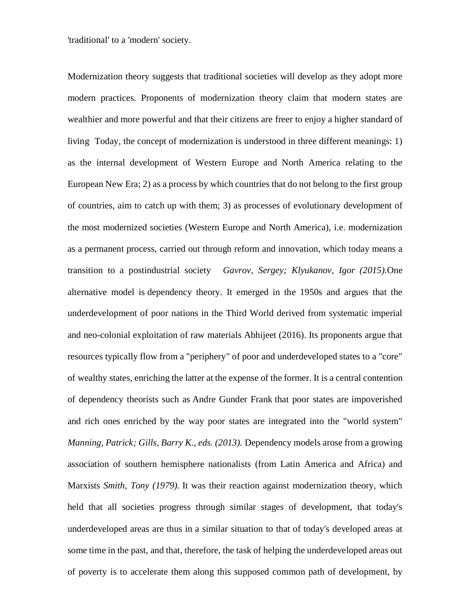'traditional' to a 'modern' society.

Modernization theory suggests that traditional societies will develop as they adopt more modern practices. Proponents of modernization theory claim that modern states are wealthier and more powerful and that their citizens are freer to enjoy a higher standard of living. Today, the concept of modernization is understood in three different meanings: 1) as the internal development of Western Europe and North America relating to the European New Era; 2) as a process by which countries that do not belong to the first group of countries, aim to catch up with them; 3) as processes of evolutionary development of the most modernized societies (Western Europe and North America), i.e. modernization as a permanent process, carried out through reform and innovation, which today means a transition to a postindustrial society *Gavrov, Sergey; Klyukanov, Igor (2015).*One alternative model is dependency theory. It emerged in the 1950s and argues that the underdevelopment of poor nations in the Third World derived from systematic imperial and neo-colonial exploitation of raw materials Abhijeet (2016). Its proponents argue that resources typically flow from a "periphery" of poor and underdeveloped states to a "core" of wealthy states, enriching the latter at the expense of the former. It is a central contention of dependency theorists such as Andre Gunder Frank that poor states are impoverished and rich ones enriched by the way poor states are integrated into the "world system" *Manning, Patrick; Gills, Barry K., eds. (2013).* Dependency models arose from a growing association of southern hemisphere nationalists (from Latin America and Africa) and Marxists *Smith, Tony (1979).* It was their reaction against modernization theory, which held that all societies progress through similar stages of development, that today's underdeveloped areas are thus in a similar situation to that of today's developed areas at some time in the past, and that, therefore, the task of helping the underdeveloped areas out of poverty is to accelerate them along this supposed common path of development, by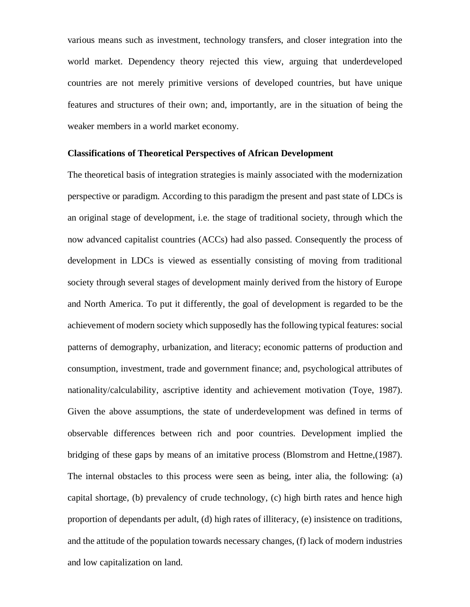various means such as investment, technology transfers, and closer integration into the world market. Dependency theory rejected this view, arguing that underdeveloped countries are not merely primitive versions of developed countries, but have unique features and structures of their own; and, importantly, are in the situation of being the weaker members in a world market economy.

## **Classifications of Theoretical Perspectives of African Development**

The theoretical basis of integration strategies is mainly associated with the modernization perspective or paradigm. According to this paradigm the present and past state of LDCs is an original stage of development, i.e. the stage of traditional society, through which the now advanced capitalist countries (ACCs) had also passed. Consequently the process of development in LDCs is viewed as essentially consisting of moving from traditional society through several stages of development mainly derived from the history of Europe and North America. To put it differently, the goal of development is regarded to be the achievement of modern society which supposedly has the following typical features: social patterns of demography, urbanization, and literacy; economic patterns of production and consumption, investment, trade and government finance; and, psychological attributes of nationality/calculability, ascriptive identity and achievement motivation (Toye, 1987). Given the above assumptions, the state of underdevelopment was defined in terms of observable differences between rich and poor countries. Development implied the bridging of these gaps by means of an imitative process (Blomstrom and Hettne,(1987). The internal obstacles to this process were seen as being, inter alia, the following: (a) capital shortage, (b) prevalency of crude technology, (c) high birth rates and hence high proportion of dependants per adult, (d) high rates of illiteracy, (e) insistence on traditions, and the attitude of the population towards necessary changes, (f) lack of modern industries and low capitalization on land.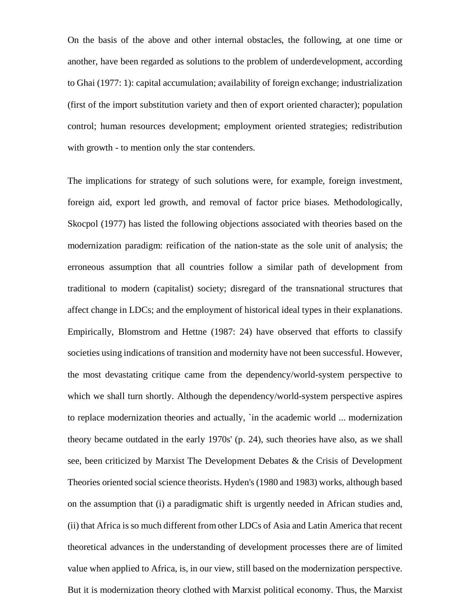On the basis of the above and other internal obstacles, the following, at one time or another, have been regarded as solutions to the problem of underdevelopment, according to Ghai (1977: 1): capital accumulation; availability of foreign exchange; industrialization (first of the import substitution variety and then of export oriented character); population control; human resources development; employment oriented strategies; redistribution with growth - to mention only the star contenders.

The implications for strategy of such solutions were, for example, foreign investment, foreign aid, export led growth, and removal of factor price biases. Methodologically, Skocpol (1977) has listed the following objections associated with theories based on the modernization paradigm: reification of the nation-state as the sole unit of analysis; the erroneous assumption that all countries follow a similar path of development from traditional to modern (capitalist) society; disregard of the transnational structures that affect change in LDCs; and the employment of historical ideal types in their explanations. Empirically, Blomstrom and Hettne (1987: 24) have observed that efforts to classify societies using indications of transition and modernity have not been successful. However, the most devastating critique came from the dependency/world-system perspective to which we shall turn shortly. Although the dependency/world-system perspective aspires to replace modernization theories and actually, `in the academic world ... modernization theory became outdated in the early 1970s' (p. 24), such theories have also, as we shall see, been criticized by Marxist The Development Debates & the Crisis of Development Theories oriented social science theorists. Hyden's (1980 and 1983) works, although based on the assumption that (i) a paradigmatic shift is urgently needed in African studies and, (ii) that Africa is so much different from other LDCs of Asia and Latin America that recent theoretical advances in the understanding of development processes there are of limited value when applied to Africa, is, in our view, still based on the modernization perspective. But it is modernization theory clothed with Marxist political economy. Thus, the Marxist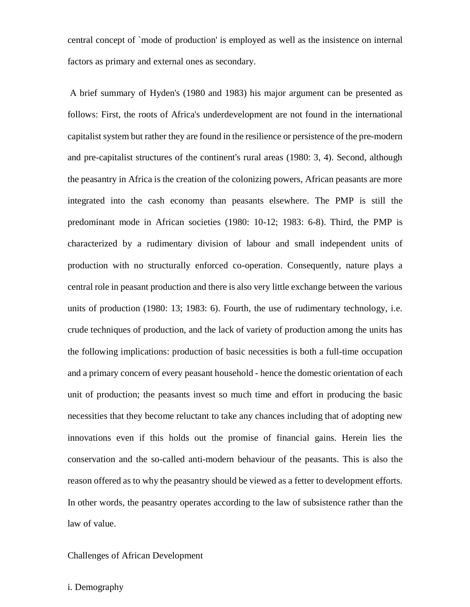central concept of `mode of production' is employed as well as the insistence on internal factors as primary and external ones as secondary.

 A brief summary of Hyden's (1980 and 1983) his major argument can be presented as follows: First, the roots of Africa's underdevelopment are not found in the international capitalist system but rather they are found in the resilience or persistence of the pre-modern and pre-capitalist structures of the continent's rural areas (1980: 3, 4). Second, although the peasantry in Africa is the creation of the colonizing powers, African peasants are more integrated into the cash economy than peasants elsewhere. The PMP is still the predominant mode in African societies (1980: 10-12; 1983: 6-8). Third, the PMP is characterized by a rudimentary division of labour and small independent units of production with no structurally enforced co-operation. Consequently, nature plays a central role in peasant production and there is also very little exchange between the various units of production (1980: 13; 1983: 6). Fourth, the use of rudimentary technology, i.e. crude techniques of production, and the lack of variety of production among the units has the following implications: production of basic necessities is both a full-time occupation and a primary concern of every peasant household - hence the domestic orientation of each unit of production; the peasants invest so much time and effort in producing the basic necessities that they become reluctant to take any chances including that of adopting new innovations even if this holds out the promise of financial gains. Herein lies the conservation and the so-called anti-modern behaviour of the peasants. This is also the reason offered as to why the peasantry should be viewed as a fetter to development efforts. In other words, the peasantry operates according to the law of subsistence rather than the law of value.

# Challenges of African Development

### i. Demography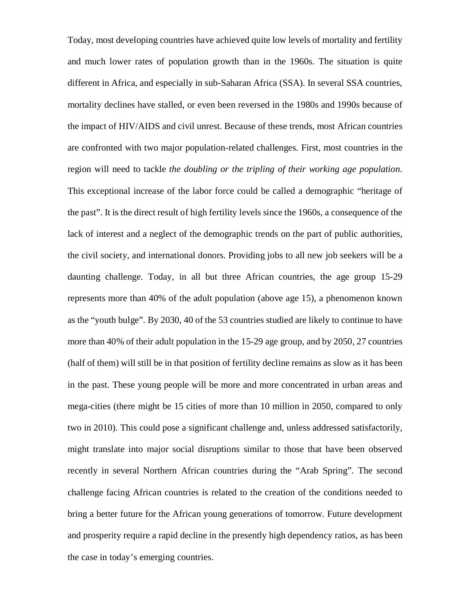Today, most developing countries have achieved quite low levels of mortality and fertility and much lower rates of population growth than in the 1960s. The situation is quite different in Africa, and especially in sub-Saharan Africa (SSA). In several SSA countries, mortality declines have stalled, or even been reversed in the 1980s and 1990s because of the impact of HIV/AIDS and civil unrest. Because of these trends, most African countries are confronted with two major population-related challenges. First, most countries in the region will need to tackle *the doubling or the tripling of their working age population*. This exceptional increase of the labor force could be called a demographic "heritage of the past". It is the direct result of high fertility levels since the 1960s, a consequence of the lack of interest and a neglect of the demographic trends on the part of public authorities, the civil society, and international donors. Providing jobs to all new job seekers will be a daunting challenge. Today, in all but three African countries, the age group 15-29 represents more than 40% of the adult population (above age 15), a phenomenon known as the "youth bulge". By 2030, 40 of the 53 countries studied are likely to continue to have more than 40% of their adult population in the 15-29 age group, and by 2050, 27 countries (half of them) will still be in that position of fertility decline remains as slow as it has been in the past. These young people will be more and more concentrated in urban areas and mega-cities (there might be 15 cities of more than 10 million in 2050, compared to only two in 2010). This could pose a significant challenge and, unless addressed satisfactorily, might translate into major social disruptions similar to those that have been observed recently in several Northern African countries during the "Arab Spring". The second challenge facing African countries is related to the creation of the conditions needed to bring a better future for the African young generations of tomorrow. Future development and prosperity require a rapid decline in the presently high dependency ratios, as has been the case in today's emerging countries.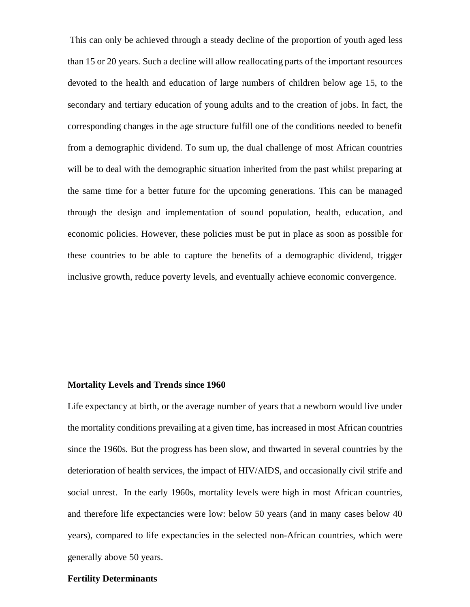This can only be achieved through a steady decline of the proportion of youth aged less than 15 or 20 years. Such a decline will allow reallocating parts of the important resources devoted to the health and education of large numbers of children below age 15, to the secondary and tertiary education of young adults and to the creation of jobs. In fact, the corresponding changes in the age structure fulfill one of the conditions needed to benefit from a demographic dividend. To sum up, the dual challenge of most African countries will be to deal with the demographic situation inherited from the past whilst preparing at the same time for a better future for the upcoming generations. This can be managed through the design and implementation of sound population, health, education, and economic policies. However, these policies must be put in place as soon as possible for these countries to be able to capture the benefits of a demographic dividend, trigger inclusive growth, reduce poverty levels, and eventually achieve economic convergence.

#### **Mortality Levels and Trends since 1960**

Life expectancy at birth, or the average number of years that a newborn would live under the mortality conditions prevailing at a given time, has increased in most African countries since the 1960s. But the progress has been slow, and thwarted in several countries by the deterioration of health services, the impact of HIV/AIDS, and occasionally civil strife and social unrest. In the early 1960s, mortality levels were high in most African countries, and therefore life expectancies were low: below 50 years (and in many cases below 40 years), compared to life expectancies in the selected non-African countries, which were generally above 50 years.

### **Fertility Determinants**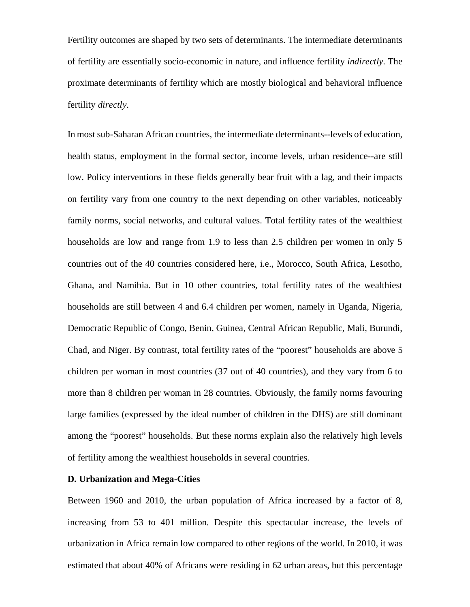Fertility outcomes are shaped by two sets of determinants. The intermediate determinants of fertility are essentially socio-economic in nature, and influence fertility *indirectly*. The proximate determinants of fertility which are mostly biological and behavioral influence fertility *directly*.

In most sub-Saharan African countries, the intermediate determinants--levels of education, health status, employment in the formal sector, income levels, urban residence--are still low. Policy interventions in these fields generally bear fruit with a lag, and their impacts on fertility vary from one country to the next depending on other variables, noticeably family norms, social networks, and cultural values. Total fertility rates of the wealthiest households are low and range from 1.9 to less than 2.5 children per women in only 5 countries out of the 40 countries considered here, i.e., Morocco, South Africa, Lesotho, Ghana, and Namibia. But in 10 other countries, total fertility rates of the wealthiest households are still between 4 and 6.4 children per women, namely in Uganda, Nigeria, Democratic Republic of Congo, Benin, Guinea, Central African Republic, Mali, Burundi, Chad, and Niger. By contrast, total fertility rates of the "poorest" households are above 5 children per woman in most countries (37 out of 40 countries), and they vary from 6 to more than 8 children per woman in 28 countries. Obviously, the family norms favouring large families (expressed by the ideal number of children in the DHS) are still dominant among the "poorest" households. But these norms explain also the relatively high levels of fertility among the wealthiest households in several countries.

### **D. Urbanization and Mega-Cities**

Between 1960 and 2010, the urban population of Africa increased by a factor of 8, increasing from 53 to 401 million. Despite this spectacular increase, the levels of urbanization in Africa remain low compared to other regions of the world. In 2010, it was estimated that about 40% of Africans were residing in 62 urban areas, but this percentage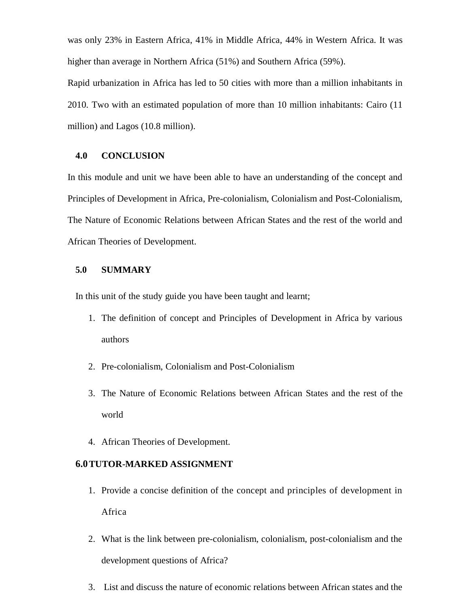was only 23% in Eastern Africa, 41% in Middle Africa, 44% in Western Africa. It was higher than average in Northern Africa (51%) and Southern Africa (59%).

Rapid urbanization in Africa has led to 50 cities with more than a million inhabitants in 2010. Two with an estimated population of more than 10 million inhabitants: Cairo (11 million) and Lagos (10.8 million).

### **4.0 CONCLUSION**

In this module and unit we have been able to have an understanding of the concept and Principles of Development in Africa, Pre-colonialism, Colonialism and Post-Colonialism, The Nature of Economic Relations between African States and the rest of the world and African Theories of Development.

# **5.0 SUMMARY**

In this unit of the study guide you have been taught and learnt;

- 1. The definition of concept and Principles of Development in Africa by various authors
- 2. Pre-colonialism, Colonialism and Post-Colonialism
- 3. The Nature of Economic Relations between African States and the rest of the world
- 4. African Theories of Development.

### **6.0TUTOR-MARKED ASSIGNMENT**

- 1. Provide a concise definition of the concept and principles of development in Africa
- 2. What is the link between pre-colonialism, colonialism, post-colonialism and the development questions of Africa?
- 3. List and discuss the nature of economic relations between African states and the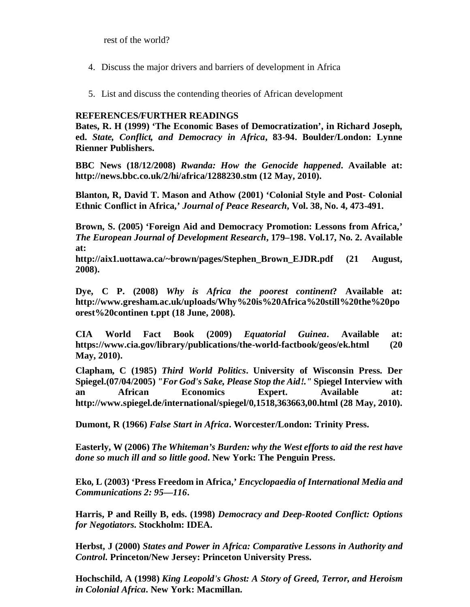rest of the world?

- 4. Discuss the major drivers and barriers of development in Africa
- 5. List and discuss the contending theories of African development

# **REFERENCES/FURTHER READINGS**

**Bates, R. H (1999) 'The Economic Bases of Democratization', in Richard Joseph, ed.** *State, Conflict, and Democracy in Africa***, 83-94. Boulder/London: Lynne Rienner Publishers.** 

**BBC News (18/12/2008)** *Rwanda: How the Genocide happened***. Available at: http://news.bbc.co.uk/2/hi/africa/1288230.stm (12 May, 2010).** 

**Blanton, R, David T. Mason and Athow (2001) 'Colonial Style and Post- Colonial Ethnic Conflict in Africa,'** *Journal of Peace Research***, Vol. 38, No. 4, 473-491.** 

**Brown, S. (2005) 'Foreign Aid and Democracy Promotion: Lessons from Africa,'**  *The European Journal of Development Research***, 179–198. Vol.17, No. 2. Available at:** 

**http://aix1.uottawa.ca/~brown/pages/Stephen\_Brown\_EJDR.pdf (21 August, 2008).** 

**Dye, C P. (2008)** *Why is Africa the poorest continent***? Available at: http://www.gresham.ac.uk/uploads/Why%20is%20Africa%20still%20the%20po orest%20continen t.ppt (18 June, 2008).** 

**CIA World Fact Book (2009)** *Equatorial Guinea***. Available at: https://www.cia.gov/library/publications/the-world-factbook/geos/ek.html (20 May, 2010).** 

**Clapham, C (1985)** *Third World Politics***. University of Wisconsin Press. Der Spiegel.(07/04/2005)** *"For God's Sake, Please Stop the Aid!."* **Spiegel Interview with an African Economics Expert. Available at: http://www.spiegel.de/international/spiegel/0,1518,363663,00.html (28 May, 2010).** 

**Dumont, R (1966)** *False Start in Africa***. Worcester/London: Trinity Press.** 

**Easterly, W (2006)** *The Whiteman's Burden: why the West efforts to aid the rest have done so much ill and so little good***. New York: The Penguin Press.**

**Eko, L (2003) 'Press Freedom in Africa,'** *Encyclopaedia of International Media and Communications 2: 95—116***.** 

**Harris, P and Reilly B, eds. (1998)** *Democracy and Deep-Rooted Conflict: Options for Negotiators***. Stockholm: IDEA.**

**Herbst, J (2000)** *States and Power in Africa: Comparative Lessons in Authority and Control***. Princeton/New Jersey: Princeton University Press.**

**Hochschild, A (1998)** *King Leopold's Ghost: A Story of Greed, Terror, and Heroism in Colonial Africa***. New York: Macmillan.**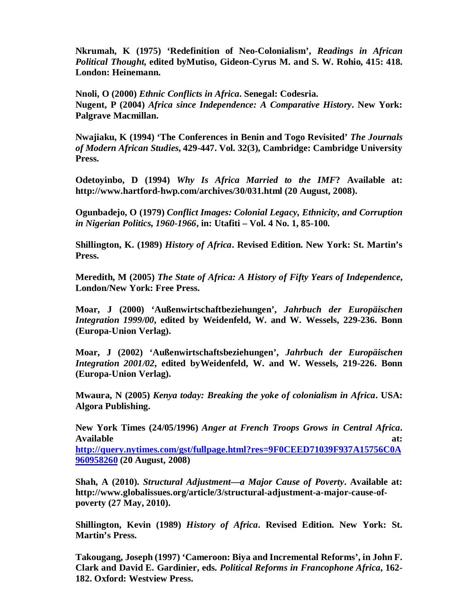**Nkrumah, K (1975) 'Redefinition of Neo-Colonialism',** *Readings in African Political Thought***, edited byMutiso, Gideon-Cyrus M. and S. W. Rohio, 415: 418. London: Heinemann.**

**Nnoli, O (2000)** *Ethnic Conflicts in Africa***. Senegal: Codesria. Nugent, P (2004)** *Africa since Independence: A Comparative History***. New York: Palgrave Macmillan.** 

**Nwajiaku, K (1994) 'The Conferences in Benin and Togo Revisited'** *The Journals of Modern African Studies***, 429-447. Vol. 32(3), Cambridge: Cambridge University Press.**

**Odetoyinbo, D (1994)** *Why Is Africa Married to the IMF***? Available at: http://www.hartford-hwp.com/archives/30/031.html (20 August, 2008).** 

**Ogunbadejo, O (1979)** *Conflict Images: Colonial Legacy, Ethnicity, and Corruption in Nigerian Politics, 1960-1966***, in: Utafiti – Vol. 4 No. 1, 85-100.** 

**Shillington, K. (1989)** *History of Africa***. Revised Edition. New York: St. Martin's Press.** 

**Meredith, M (2005)** *The State of Africa: A History of Fifty Years of Independence***, London/New York: Free Press.** 

**Moar, J (2000) 'Außenwirtschaftbeziehungen',** *Jahrbuch der Europäischen Integration 1999/00***, edited by Weidenfeld, W. and W. Wessels, 229-236. Bonn (Europa-Union Verlag).**

**Moar, J (2002) 'Außenwirtschaftsbeziehungen',** *Jahrbuch der Europäischen Integration 2001/02***, edited byWeidenfeld, W. and W. Wessels, 219-226. Bonn (Europa-Union Verlag).**

**Mwaura, N (2005)** *Kenya today: Breaking the yoke of colonialism in Africa***. USA: Algora Publishing.** 

**New York Times (24/05/1996)** *Anger at French Troops Grows in Central Africa***.**  Available at: **at:** at: **at:** at: **at:** at: **at:** at: **at:** at: **at:** at: **at:** at: **at:** at: **at:** at: **at:** at: **at:** at: **at:** at: **at:** at: **at:** at: **at:** at: **at:** at: **at:** at: **at:** at: **at:** at: **at:** at: **at:** at

**http://query.nytimes.com/gst/fullpage.html?res=9F0CEED71039F937A15756C0A 960958260 (20 August, 2008)** 

**Shah, A (2010).** *Structural Adjustment—a Major Cause of Poverty***. Available at: http://www.globalissues.org/article/3/structural-adjustment-a-major-cause-ofpoverty (27 May, 2010).** 

**Shillington, Kevin (1989)** *History of Africa***. Revised Edition. New York: St. Martin's Press.** 

**Takougang, Joseph (1997) 'Cameroon: Biya and Incremental Reforms', in John F. Clark and David E. Gardinier, eds.** *Political Reforms in Francophone Africa***, 162- 182. Oxford: Westview Press.**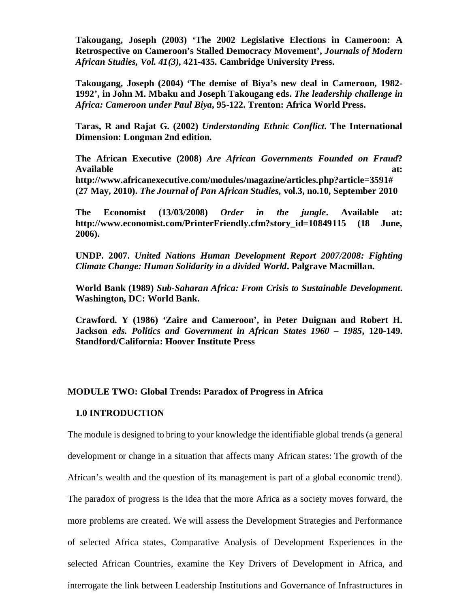**Takougang, Joseph (2003) 'The 2002 Legislative Elections in Cameroon: A Retrospective on Cameroon's Stalled Democracy Movement',** *Journals of Modern African Studies, Vol. 41(3),* **421-435. Cambridge University Press.** 

**Takougang, Joseph (2004) 'The demise of Biya's new deal in Cameroon, 1982- 1992', in John M. Mbaku and Joseph Takougang eds.** *The leadership challenge in Africa: Cameroon under Paul Biya***, 95-122. Trenton: Africa World Press.** 

**Taras, R and Rajat G. (2002)** *Understanding Ethnic Conflict***. The International Dimension: Longman 2nd edition.** 

**The African Executive (2008)** *Are African Governments Founded on Fraud***?**  Available at: **at: at: at: at: at: at: at: at: at: at: at: at: at: at: at: at: at: at: at: at: at: at: at: at: at: at: at: at: at: at: at: at: at: at: at: http://www.africanexecutive.com/modules/magazine/articles.php?article=3591# (27 May, 2010).** *The Journal of Pan African Studies***, vol.3, no.10, September 2010** 

**The Economist (13/03/2008)** *Order in the jungle***. Available at: http://www.economist.com/PrinterFriendly.cfm?story\_id=10849115 (18 June, 2006).** 

**UNDP. 2007.** *United Nations Human Development Report 2007/2008: Fighting Climate Change: Human Solidarity in a divided World***. Palgrave Macmillan.** 

**World Bank (1989)** *Sub-Saharan Africa: From Crisis to Sustainable Development***. Washington, DC: World Bank.** 

**Crawford. Y (1986) 'Zaire and Cameroon', in Peter Duignan and Robert H. Jackson** *eds. Politics and Government in African States 1960 – 1985***, 120-149. Standford/California: Hoover Institute Press** 

# **MODULE TWO: Global Trends: Paradox of Progress in Africa**

# **1.0 INTRODUCTION**

The module is designed to bring to your knowledge the identifiable global trends (a general development or change in a situation that affects many African states: The growth of the African's wealth and the question of its management is part of a global economic trend). The paradox of progress is the idea that the more Africa as a society moves forward, the more problems are created. We will assess the Development Strategies and Performance of selected Africa states, Comparative Analysis of Development Experiences in the selected African Countries, examine the Key Drivers of Development in Africa, and interrogate the link between Leadership Institutions and Governance of Infrastructures in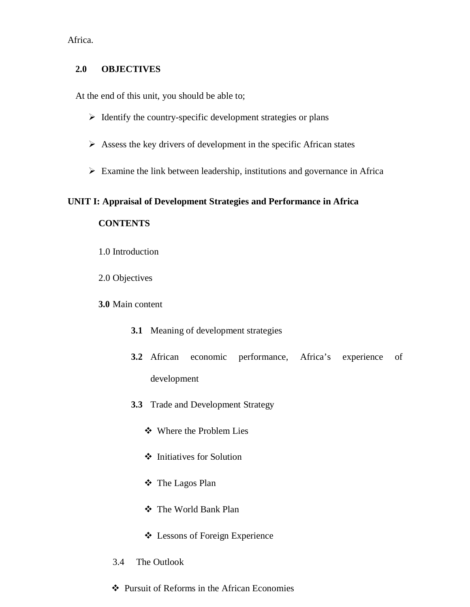Africa.

# **2.0 OBJECTIVES**

At the end of this unit, you should be able to;

- $\triangleright$  Identify the country-specific development strategies or plans
- $\triangleright$  Assess the key drivers of development in the specific African states
- $\triangleright$  Examine the link between leadership, institutions and governance in Africa

# **UNIT I: Appraisal of Development Strategies and Performance in Africa**

# **CONTENTS**

- 1.0 Introduction
- 2.0 Objectives

# **3.0** Main content

- **3.1** Meaning of development strategies
- **3.2** African economic performance, Africa's experience of development
- **3.3** Trade and Development Strategy
	- Where the Problem Lies
	- $\div$  Initiatives for Solution
	- The Lagos Plan
	- The World Bank Plan
	- Lessons of Foreign Experience
- 3.4 The Outlook
- Pursuit of Reforms in the African Economies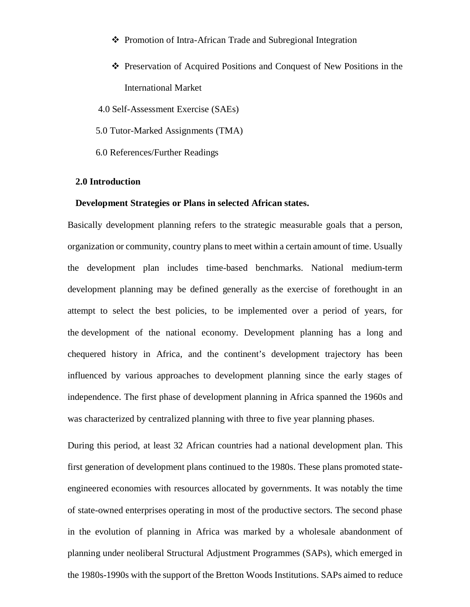- ❖ Promotion of Intra-African Trade and Subregional Integration
- Preservation of Acquired Positions and Conquest of New Positions in the International Market
- 4.0 Self-Assessment Exercise (SAEs)
- 5.0 Tutor-Marked Assignments (TMA)
- 6.0 References/Further Readings

# **2.0 Introduction**

### **Development Strategies or Plans in selected African states.**

Basically development planning refers to the strategic measurable goals that a person, organization or community, country plans to meet within a certain amount of time. Usually the development plan includes time-based benchmarks. National medium-term development planning may be defined generally as the exercise of forethought in an attempt to select the best policies, to be implemented over a period of years, for the development of the national economy. Development planning has a long and chequered history in Africa, and the continent's development trajectory has been influenced by various approaches to development planning since the early stages of independence. The first phase of development planning in Africa spanned the 1960s and was characterized by centralized planning with three to five year planning phases.

During this period, at least 32 African countries had a national development plan. This first generation of development plans continued to the 1980s. These plans promoted stateengineered economies with resources allocated by governments. It was notably the time of state-owned enterprises operating in most of the productive sectors. The second phase in the evolution of planning in Africa was marked by a wholesale abandonment of planning under neoliberal Structural Adjustment Programmes (SAPs), which emerged in the 1980s-1990s with the support of the Bretton Woods Institutions. SAPs aimed to reduce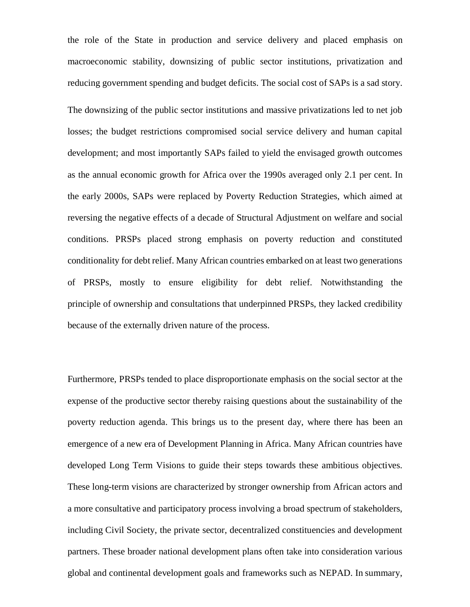the role of the State in production and service delivery and placed emphasis on macroeconomic stability, downsizing of public sector institutions, privatization and reducing government spending and budget deficits. The social cost of SAPs is a sad story.

The downsizing of the public sector institutions and massive privatizations led to net job losses; the budget restrictions compromised social service delivery and human capital development; and most importantly SAPs failed to yield the envisaged growth outcomes as the annual economic growth for Africa over the 1990s averaged only 2.1 per cent. In the early 2000s, SAPs were replaced by Poverty Reduction Strategies, which aimed at reversing the negative effects of a decade of Structural Adjustment on welfare and social conditions. PRSPs placed strong emphasis on poverty reduction and constituted conditionality for debt relief. Many African countries embarked on at least two generations of PRSPs, mostly to ensure eligibility for debt relief. Notwithstanding the principle of ownership and consultations that underpinned PRSPs, they lacked credibility because of the externally driven nature of the process.

Furthermore, PRSPs tended to place disproportionate emphasis on the social sector at the expense of the productive sector thereby raising questions about the sustainability of the poverty reduction agenda. This brings us to the present day, where there has been an emergence of a new era of Development Planning in Africa. Many African countries have developed Long Term Visions to guide their steps towards these ambitious objectives. These long-term visions are characterized by stronger ownership from African actors and a more consultative and participatory process involving a broad spectrum of stakeholders, including Civil Society, the private sector, decentralized constituencies and development partners. These broader national development plans often take into consideration various global and continental development goals and frameworks such as NEPAD. In summary,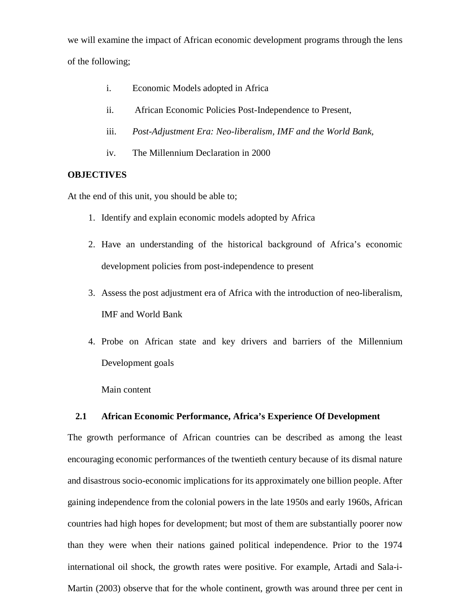we will examine the impact of African economic development programs through the lens of the following;

- i. Economic Models adopted in Africa
- ii. African Economic Policies Post-Independence to Present,
- iii. *Post-Adjustment Era: Neo-liberalism, IMF and the World Bank,*
- iv. The Millennium Declaration in 2000

# **OBJECTIVES**

At the end of this unit, you should be able to;

- 1. Identify and explain economic models adopted by Africa
- 2. Have an understanding of the historical background of Africa's economic development policies from post-independence to present
- 3. Assess the post adjustment era of Africa with the introduction of neo-liberalism, IMF and World Bank
- 4. Probe on African state and key drivers and barriers of the Millennium Development goals

Main content

# **2.1 African Economic Performance, Africa's Experience Of Development**

The growth performance of African countries can be described as among the least encouraging economic performances of the twentieth century because of its dismal nature and disastrous socio-economic implications for its approximately one billion people. After gaining independence from the colonial powers in the late 1950s and early 1960s, African countries had high hopes for development; but most of them are substantially poorer now than they were when their nations gained political independence. Prior to the 1974 international oil shock, the growth rates were positive. For example, Artadi and Sala-i-Martin (2003) observe that for the whole continent, growth was around three per cent in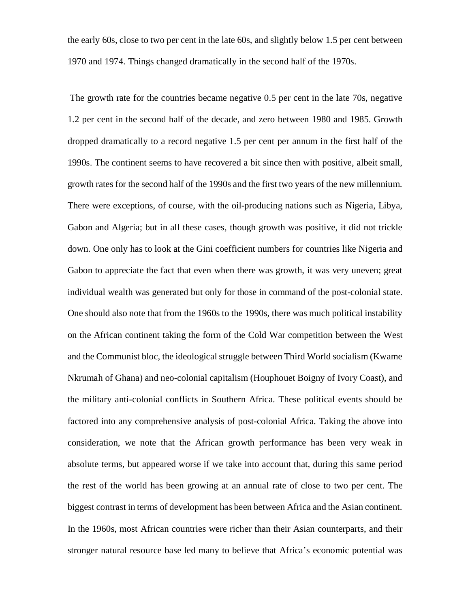the early 60s, close to two per cent in the late 60s, and slightly below 1.5 per cent between 1970 and 1974. Things changed dramatically in the second half of the 1970s.

 The growth rate for the countries became negative 0.5 per cent in the late 70s, negative 1.2 per cent in the second half of the decade, and zero between 1980 and 1985. Growth dropped dramatically to a record negative 1.5 per cent per annum in the first half of the 1990s. The continent seems to have recovered a bit since then with positive, albeit small, growth rates for the second half of the 1990s and the first two years of the new millennium. There were exceptions, of course, with the oil-producing nations such as Nigeria, Libya, Gabon and Algeria; but in all these cases, though growth was positive, it did not trickle down. One only has to look at the Gini coefficient numbers for countries like Nigeria and Gabon to appreciate the fact that even when there was growth, it was very uneven; great individual wealth was generated but only for those in command of the post-colonial state. One should also note that from the 1960s to the 1990s, there was much political instability on the African continent taking the form of the Cold War competition between the West and the Communist bloc, the ideological struggle between Third World socialism (Kwame Nkrumah of Ghana) and neo-colonial capitalism (Houphouet Boigny of Ivory Coast), and the military anti-colonial conflicts in Southern Africa. These political events should be factored into any comprehensive analysis of post-colonial Africa. Taking the above into consideration, we note that the African growth performance has been very weak in absolute terms, but appeared worse if we take into account that, during this same period the rest of the world has been growing at an annual rate of close to two per cent. The biggest contrast in terms of development has been between Africa and the Asian continent. In the 1960s, most African countries were richer than their Asian counterparts, and their stronger natural resource base led many to believe that Africa's economic potential was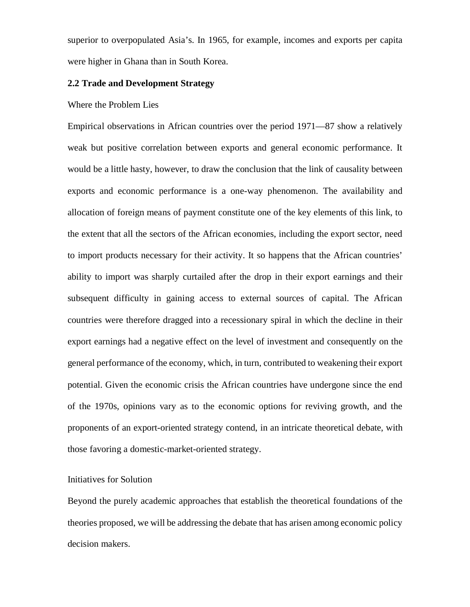superior to overpopulated Asia's. In 1965, for example, incomes and exports per capita were higher in Ghana than in South Korea.

#### **2.2 Trade and Development Strategy**

### Where the Problem Lies

Empirical observations in African countries over the period 1971—87 show a relatively weak but positive correlation between exports and general economic performance. It would be a little hasty, however, to draw the conclusion that the link of causality between exports and economic performance is a one-way phenomenon. The availability and allocation of foreign means of payment constitute one of the key elements of this link, to the extent that all the sectors of the African economies, including the export sector, need to import products necessary for their activity. It so happens that the African countries' ability to import was sharply curtailed after the drop in their export earnings and their subsequent difficulty in gaining access to external sources of capital. The African countries were therefore dragged into a recessionary spiral in which the decline in their export earnings had a negative effect on the level of investment and consequently on the general performance of the economy, which, in turn, contributed to weakening their export potential. Given the economic crisis the African countries have undergone since the end of the 1970s, opinions vary as to the economic options for reviving growth, and the proponents of an export-oriented strategy contend, in an intricate theoretical debate, with those favoring a domestic-market-oriented strategy.

# Initiatives for Solution

Beyond the purely academic approaches that establish the theoretical foundations of the theories proposed, we will be addressing the debate that has arisen among economic policy decision makers.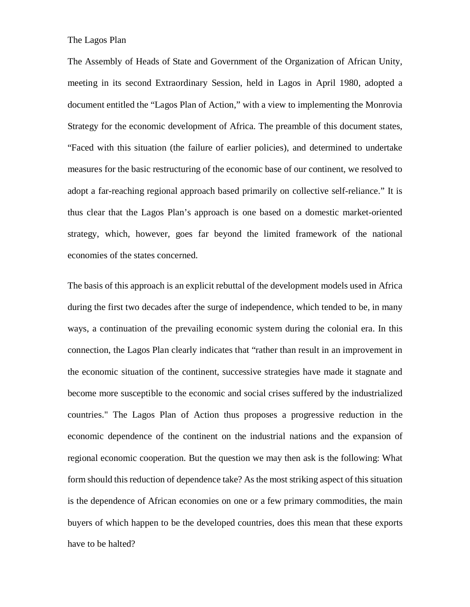The Lagos Plan

The Assembly of Heads of State and Government of the Organization of African Unity, meeting in its second Extraordinary Session, held in Lagos in April 1980, adopted a document entitled the "Lagos Plan of Action," with a view to implementing the Monrovia Strategy for the economic development of Africa. The preamble of this document states, "Faced with this situation (the failure of earlier policies), and determined to undertake measures for the basic restructuring of the economic base of our continent, we resolved to adopt a far-reaching regional approach based primarily on collective self-reliance." It is thus clear that the Lagos Plan's approach is one based on a domestic market-oriented strategy, which, however, goes far beyond the limited framework of the national economies of the states concerned.

The basis of this approach is an explicit rebuttal of the development models used in Africa during the first two decades after the surge of independence, which tended to be, in many ways, a continuation of the prevailing economic system during the colonial era. In this connection, the Lagos Plan clearly indicates that "rather than result in an improvement in the economic situation of the continent, successive strategies have made it stagnate and become more susceptible to the economic and social crises suffered by the industrialized countries." The Lagos Plan of Action thus proposes a progressive reduction in the economic dependence of the continent on the industrial nations and the expansion of regional economic cooperation. But the question we may then ask is the following: What form should this reduction of dependence take? As the most striking aspect of this situation is the dependence of African economies on one or a few primary commodities, the main buyers of which happen to be the developed countries, does this mean that these exports have to be halted?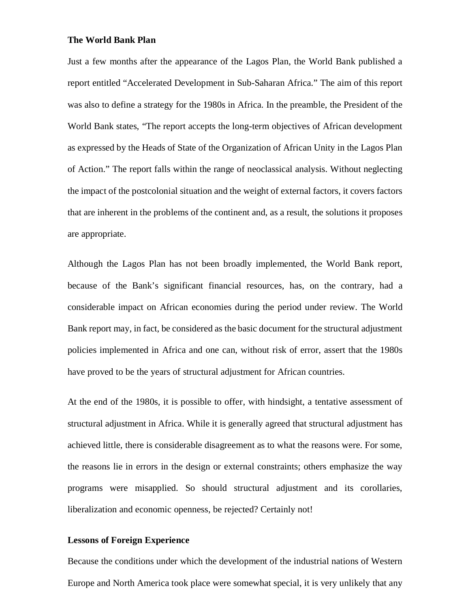### **The World Bank Plan**

Just a few months after the appearance of the Lagos Plan, the World Bank published a report entitled "Accelerated Development in Sub-Saharan Africa." The aim of this report was also to define a strategy for the 1980s in Africa. In the preamble, the President of the World Bank states, "The report accepts the long-term objectives of African development as expressed by the Heads of State of the Organization of African Unity in the Lagos Plan of Action." The report falls within the range of neoclassical analysis. Without neglecting the impact of the postcolonial situation and the weight of external factors, it covers factors that are inherent in the problems of the continent and, as a result, the solutions it proposes are appropriate.

Although the Lagos Plan has not been broadly implemented, the World Bank report, because of the Bank's significant financial resources, has, on the contrary, had a considerable impact on African economies during the period under review. The World Bank report may, in fact, be considered as the basic document for the structural adjustment policies implemented in Africa and one can, without risk of error, assert that the 1980s have proved to be the years of structural adjustment for African countries.

At the end of the 1980s, it is possible to offer, with hindsight, a tentative assessment of structural adjustment in Africa. While it is generally agreed that structural adjustment has achieved little, there is considerable disagreement as to what the reasons were. For some, the reasons lie in errors in the design or external constraints; others emphasize the way programs were misapplied. So should structural adjustment and its corollaries, liberalization and economic openness, be rejected? Certainly not!

# **Lessons of Foreign Experience**

Because the conditions under which the development of the industrial nations of Western Europe and North America took place were somewhat special, it is very unlikely that any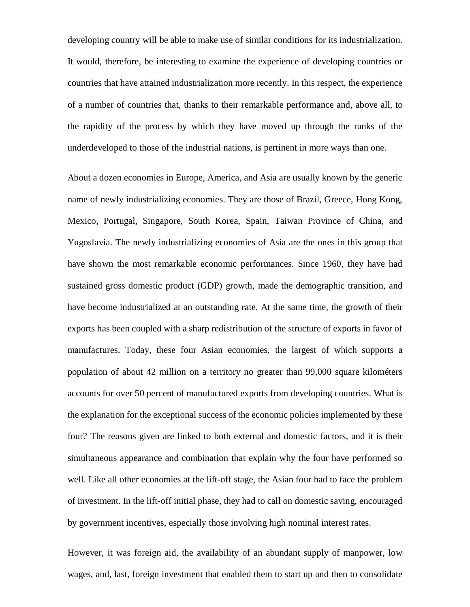developing country will be able to make use of similar conditions for its industrialization. It would, therefore, be interesting to examine the experience of developing countries or countries that have attained industrialization more recently. In this respect, the experience of a number of countries that, thanks to their remarkable performance and, above all, to the rapidity of the process by which they have moved up through the ranks of the underdeveloped to those of the industrial nations, is pertinent in more ways than one.

About a dozen economies in Europe, America, and Asia are usually known by the generic name of newly industrializing economies. They are those of Brazil, Greece, Hong Kong, Mexico, Portugal, Singapore, South Korea, Spain, Taiwan Province of China, and Yugoslavia. The newly industrializing economies of Asia are the ones in this group that have shown the most remarkable economic performances. Since 1960, they have had sustained gross domestic product (GDP) growth, made the demographic transition, and have become industrialized at an outstanding rate. At the same time, the growth of their exports has been coupled with a sharp redistribution of the structure of exports in favor of manufactures. Today, these four Asian economies, the largest of which supports a population of about 42 million on a territory no greater than 99,000 square kilométers accounts for over 50 percent of manufactured exports from developing countries. What is the explanation for the exceptional success of the economic policies implemented by these four? The reasons given are linked to both external and domestic factors, and it is their simultaneous appearance and combination that explain why the four have performed so well. Like all other economies at the lift-off stage, the Asian four had to face the problem of investment. In the lift-off initial phase, they had to call on domestic saving, encouraged by government incentives, especially those involving high nominal interest rates.

However, it was foreign aid, the availability of an abundant supply of manpower, low wages, and, last, foreign investment that enabled them to start up and then to consolidate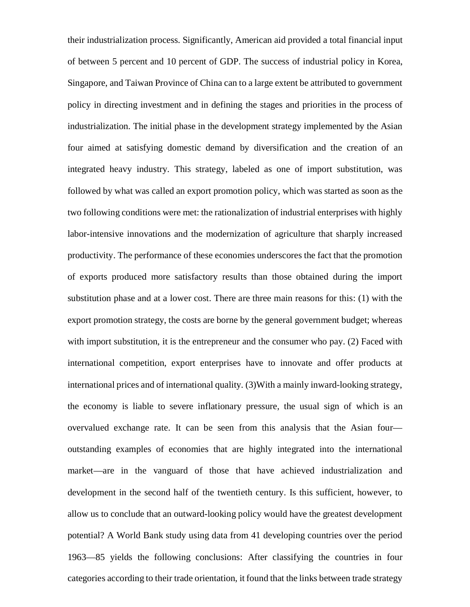their industrialization process. Significantly, American aid provided a total financial input of between 5 percent and 10 percent of GDP. The success of industrial policy in Korea, Singapore, and Taiwan Province of China can to a large extent be attributed to government policy in directing investment and in defining the stages and priorities in the process of industrialization. The initial phase in the development strategy implemented by the Asian four aimed at satisfying domestic demand by diversification and the creation of an integrated heavy industry. This strategy, labeled as one of import substitution, was followed by what was called an export promotion policy, which was started as soon as the two following conditions were met: the rationalization of industrial enterprises with highly labor-intensive innovations and the modernization of agriculture that sharply increased productivity. The performance of these economies underscores the fact that the promotion of exports produced more satisfactory results than those obtained during the import substitution phase and at a lower cost. There are three main reasons for this: (1) with the export promotion strategy, the costs are borne by the general government budget; whereas with import substitution, it is the entrepreneur and the consumer who pay. (2) Faced with international competition, export enterprises have to innovate and offer products at international prices and of international quality. (3)With a mainly inward-looking strategy, the economy is liable to severe inflationary pressure, the usual sign of which is an overvalued exchange rate. It can be seen from this analysis that the Asian four outstanding examples of economies that are highly integrated into the international market—are in the vanguard of those that have achieved industrialization and development in the second half of the twentieth century. Is this sufficient, however, to allow us to conclude that an outward-looking policy would have the greatest development potential? A World Bank study using data from 41 developing countries over the period 1963—85 yields the following conclusions: After classifying the countries in four categories according to their trade orientation, it found that the links between trade strategy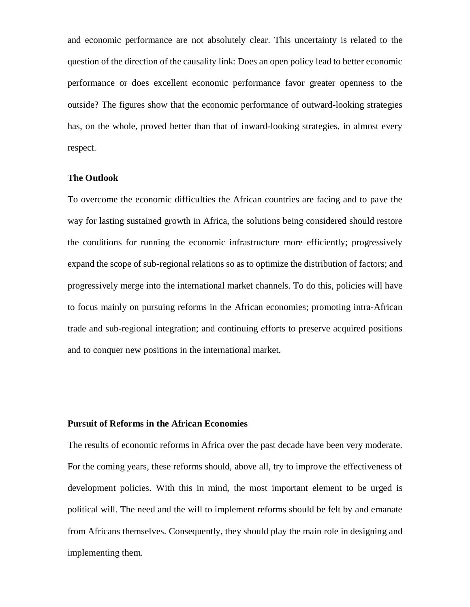and economic performance are not absolutely clear. This uncertainty is related to the question of the direction of the causality link: Does an open policy lead to better economic performance or does excellent economic performance favor greater openness to the outside? The figures show that the economic performance of outward-looking strategies has, on the whole, proved better than that of inward-looking strategies, in almost every respect.

### **The Outlook**

To overcome the economic difficulties the African countries are facing and to pave the way for lasting sustained growth in Africa, the solutions being considered should restore the conditions for running the economic infrastructure more efficiently; progressively expand the scope of sub-regional relations so as to optimize the distribution of factors; and progressively merge into the international market channels. To do this, policies will have to focus mainly on pursuing reforms in the African economies; promoting intra-African trade and sub-regional integration; and continuing efforts to preserve acquired positions and to conquer new positions in the international market.

### **Pursuit of Reforms in the African Economies**

The results of economic reforms in Africa over the past decade have been very moderate. For the coming years, these reforms should, above all, try to improve the effectiveness of development policies. With this in mind, the most important element to be urged is political will. The need and the will to implement reforms should be felt by and emanate from Africans themselves. Consequently, they should play the main role in designing and implementing them.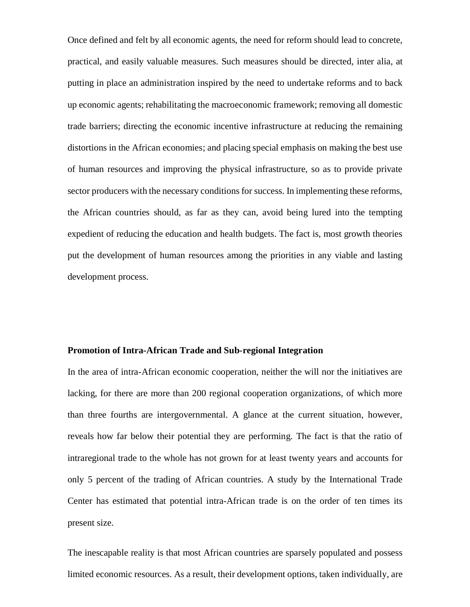Once defined and felt by all economic agents, the need for reform should lead to concrete, practical, and easily valuable measures. Such measures should be directed, inter alia, at putting in place an administration inspired by the need to undertake reforms and to back up economic agents; rehabilitating the macroeconomic framework; removing all domestic trade barriers; directing the economic incentive infrastructure at reducing the remaining distortions in the African economies; and placing special emphasis on making the best use of human resources and improving the physical infrastructure, so as to provide private sector producers with the necessary conditions for success. In implementing these reforms, the African countries should, as far as they can, avoid being lured into the tempting expedient of reducing the education and health budgets. The fact is, most growth theories put the development of human resources among the priorities in any viable and lasting development process.

### **Promotion of Intra-African Trade and Sub-regional Integration**

In the area of intra-African economic cooperation, neither the will nor the initiatives are lacking, for there are more than 200 regional cooperation organizations, of which more than three fourths are intergovernmental. A glance at the current situation, however, reveals how far below their potential they are performing. The fact is that the ratio of intraregional trade to the whole has not grown for at least twenty years and accounts for only 5 percent of the trading of African countries. A study by the International Trade Center has estimated that potential intra-African trade is on the order of ten times its present size.

The inescapable reality is that most African countries are sparsely populated and possess limited economic resources. As a result, their development options, taken individually, are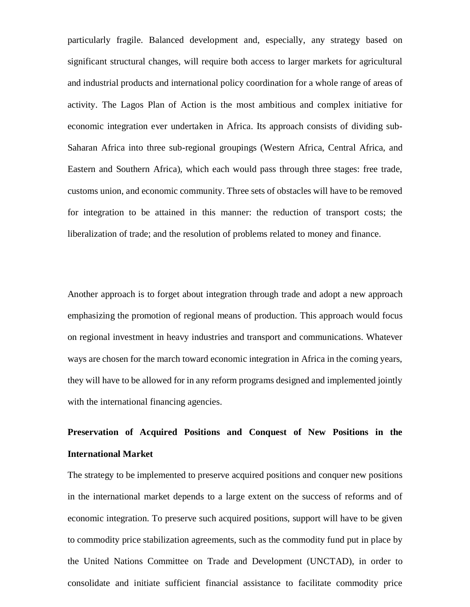particularly fragile. Balanced development and, especially, any strategy based on significant structural changes, will require both access to larger markets for agricultural and industrial products and international policy coordination for a whole range of areas of activity. The Lagos Plan of Action is the most ambitious and complex initiative for economic integration ever undertaken in Africa. Its approach consists of dividing sub-Saharan Africa into three sub-regional groupings (Western Africa, Central Africa, and Eastern and Southern Africa), which each would pass through three stages: free trade, customs union, and economic community. Three sets of obstacles will have to be removed for integration to be attained in this manner: the reduction of transport costs; the liberalization of trade; and the resolution of problems related to money and finance.

Another approach is to forget about integration through trade and adopt a new approach emphasizing the promotion of regional means of production. This approach would focus on regional investment in heavy industries and transport and communications. Whatever ways are chosen for the march toward economic integration in Africa in the coming years, they will have to be allowed for in any reform programs designed and implemented jointly with the international financing agencies.

# **Preservation of Acquired Positions and Conquest of New Positions in the International Market**

The strategy to be implemented to preserve acquired positions and conquer new positions in the international market depends to a large extent on the success of reforms and of economic integration. To preserve such acquired positions, support will have to be given to commodity price stabilization agreements, such as the commodity fund put in place by the United Nations Committee on Trade and Development (UNCTAD), in order to consolidate and initiate sufficient financial assistance to facilitate commodity price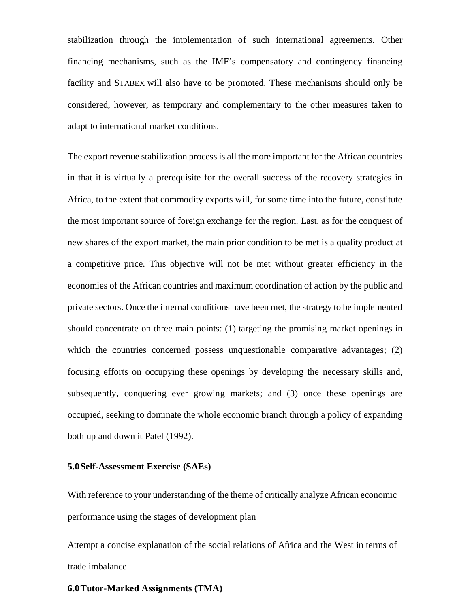stabilization through the implementation of such international agreements. Other financing mechanisms, such as the IMF's compensatory and contingency financing facility and STABEX will also have to be promoted. These mechanisms should only be considered, however, as temporary and complementary to the other measures taken to adapt to international market conditions.

The export revenue stabilization process is all the more important for the African countries in that it is virtually a prerequisite for the overall success of the recovery strategies in Africa, to the extent that commodity exports will, for some time into the future, constitute the most important source of foreign exchange for the region. Last, as for the conquest of new shares of the export market, the main prior condition to be met is a quality product at a competitive price. This objective will not be met without greater efficiency in the economies of the African countries and maximum coordination of action by the public and private sectors. Once the internal conditions have been met, the strategy to be implemented should concentrate on three main points: (1) targeting the promising market openings in which the countries concerned possess unquestionable comparative advantages; (2) focusing efforts on occupying these openings by developing the necessary skills and, subsequently, conquering ever growing markets; and (3) once these openings are occupied, seeking to dominate the whole economic branch through a policy of expanding both up and down it Patel (1992).

### **5.0Self-Assessment Exercise (SAEs)**

With reference to your understanding of the theme of critically analyze African economic performance using the stages of development plan

Attempt a concise explanation of the social relations of Africa and the West in terms of trade imbalance.

#### **6.0Tutor-Marked Assignments (TMA)**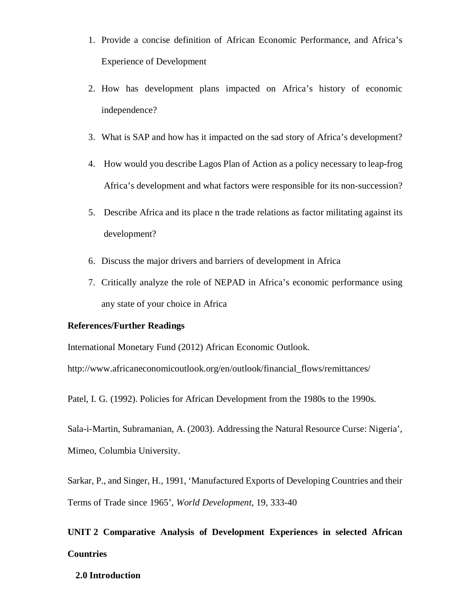- 1. Provide a concise definition of African Economic Performance, and Africa's Experience of Development
- 2. How has development plans impacted on Africa's history of economic independence?
- 3. What is SAP and how has it impacted on the sad story of Africa's development?
- 4. How would you describe Lagos Plan of Action as a policy necessary to leap-frog Africa's development and what factors were responsible for its non-succession?
- 5. Describe Africa and its place n the trade relations as factor militating against its development?
- 6. Discuss the major drivers and barriers of development in Africa
- 7. Critically analyze the role of NEPAD in Africa's economic performance using any state of your choice in Africa

### **References/Further Readings**

International Monetary Fund (2012) African Economic Outlook.

http://www.africaneconomicoutlook.org/en/outlook/financial\_flows/remittances/

Patel, I. G. (1992). Policies for African Development from the 1980s to the 1990s.

Sala-i-Martin, Subramanian, A. (2003). Addressing the Natural Resource Curse: Nigeria', Mimeo, Columbia University.

Sarkar, P., and Singer, H., 1991, 'Manufactured Exports of Developing Countries and their Terms of Trade since 1965', *World Development*, 19, 333-40

# **UNIT 2 Comparative Analysis of Development Experiences in selected African Countries**

### **2.0 Introduction**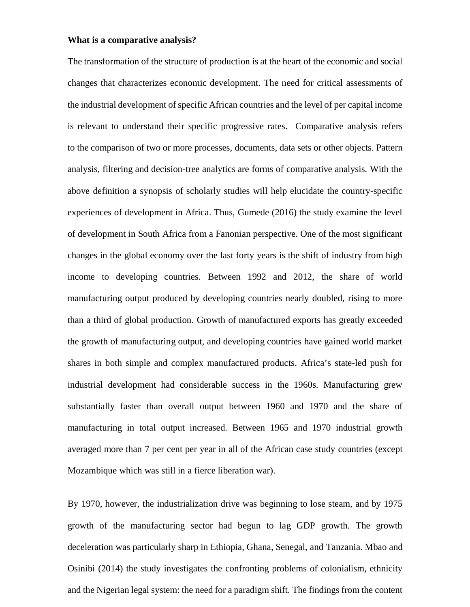#### **What is a comparative analysis?**

The transformation of the structure of production is at the heart of the economic and social changes that characterizes economic development. The need for critical assessments of the industrial development of specific African countries and the level of per capital income is relevant to understand their specific progressive rates. Comparative analysis refers to the comparison of two or more processes, documents, data sets or other objects. Pattern analysis, filtering and decision-tree analytics are forms of comparative analysis. With the above definition a synopsis of scholarly studies will help elucidate the country-specific experiences of development in Africa. Thus, Gumede (2016) the study examine the level of development in South Africa from a Fanonian perspective. One of the most significant changes in the global economy over the last forty years is the shift of industry from high income to developing countries. Between 1992 and 2012, the share of world manufacturing output produced by developing countries nearly doubled, rising to more than a third of global production. Growth of manufactured exports has greatly exceeded the growth of manufacturing output, and developing countries have gained world market shares in both simple and complex manufactured products. Africa's state-led push for industrial development had considerable success in the 1960s. Manufacturing grew substantially faster than overall output between 1960 and 1970 and the share of manufacturing in total output increased. Between 1965 and 1970 industrial growth averaged more than 7 per cent per year in all of the African case study countries (except Mozambique which was still in a fierce liberation war).

By 1970, however, the industrialization drive was beginning to lose steam, and by 1975 growth of the manufacturing sector had begun to lag GDP growth. The growth deceleration was particularly sharp in Ethiopia, Ghana, Senegal, and Tanzania. Mbao and Osinibi (2014) the study investigates the confronting problems of colonialism, ethnicity and the Nigerian legal system: the need for a paradigm shift. The findings from the content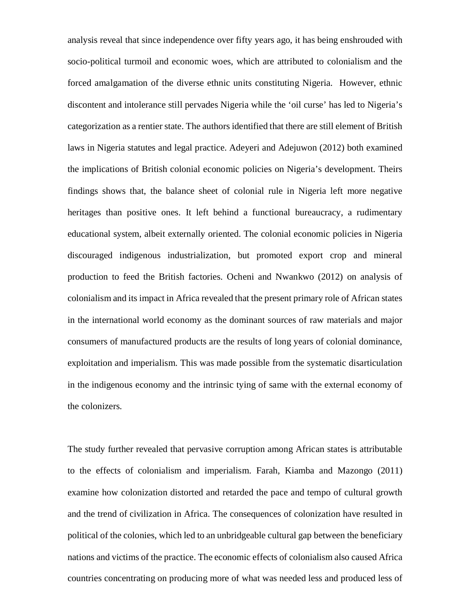analysis reveal that since independence over fifty years ago, it has being enshrouded with socio-political turmoil and economic woes, which are attributed to colonialism and the forced amalgamation of the diverse ethnic units constituting Nigeria. However, ethnic discontent and intolerance still pervades Nigeria while the 'oil curse' has led to Nigeria's categorization as a rentier state. The authors identified that there are still element of British laws in Nigeria statutes and legal practice. Adeyeri and Adejuwon (2012) both examined the implications of British colonial economic policies on Nigeria's development. Theirs findings shows that, the balance sheet of colonial rule in Nigeria left more negative heritages than positive ones. It left behind a functional bureaucracy, a rudimentary educational system, albeit externally oriented. The colonial economic policies in Nigeria discouraged indigenous industrialization, but promoted export crop and mineral production to feed the British factories. Ocheni and Nwankwo (2012) on analysis of colonialism and its impact in Africa revealed that the present primary role of African states in the international world economy as the dominant sources of raw materials and major consumers of manufactured products are the results of long years of colonial dominance, exploitation and imperialism. This was made possible from the systematic disarticulation in the indigenous economy and the intrinsic tying of same with the external economy of the colonizers.

The study further revealed that pervasive corruption among African states is attributable to the effects of colonialism and imperialism. Farah, Kiamba and Mazongo (2011) examine how colonization distorted and retarded the pace and tempo of cultural growth and the trend of civilization in Africa. The consequences of colonization have resulted in political of the colonies, which led to an unbridgeable cultural gap between the beneficiary nations and victims of the practice. The economic effects of colonialism also caused Africa countries concentrating on producing more of what was needed less and produced less of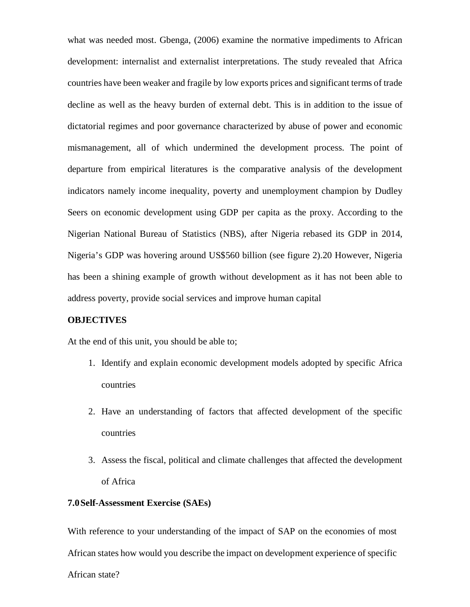what was needed most. Gbenga, (2006) examine the normative impediments to African development: internalist and externalist interpretations. The study revealed that Africa countries have been weaker and fragile by low exports prices and significant terms of trade decline as well as the heavy burden of external debt. This is in addition to the issue of dictatorial regimes and poor governance characterized by abuse of power and economic mismanagement, all of which undermined the development process. The point of departure from empirical literatures is the comparative analysis of the development indicators namely income inequality, poverty and unemployment champion by Dudley Seers on economic development using GDP per capita as the proxy. According to the Nigerian National Bureau of Statistics (NBS), after Nigeria rebased its GDP in 2014, Nigeria's GDP was hovering around US\$560 billion (see figure 2).20 However, Nigeria has been a shining example of growth without development as it has not been able to address poverty, provide social services and improve human capital

### **OBJECTIVES**

At the end of this unit, you should be able to;

- 1. Identify and explain economic development models adopted by specific Africa countries
- 2. Have an understanding of factors that affected development of the specific countries
- 3. Assess the fiscal, political and climate challenges that affected the development of Africa

## **7.0Self-Assessment Exercise (SAEs)**

With reference to your understanding of the impact of SAP on the economies of most African states how would you describe the impact on development experience of specific African state?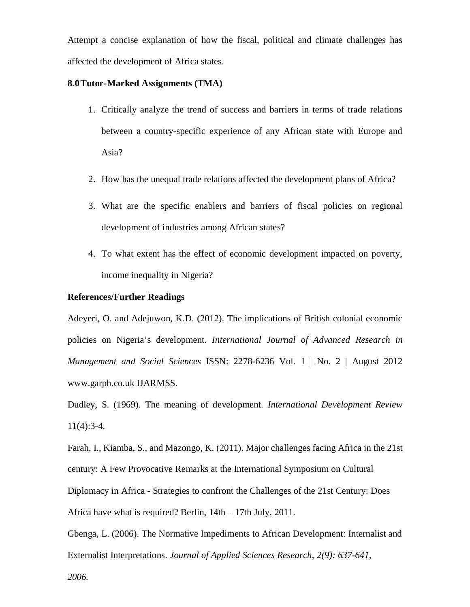Attempt a concise explanation of how the fiscal, political and climate challenges has affected the development of Africa states.

### **8.0Tutor-Marked Assignments (TMA)**

- 1. Critically analyze the trend of success and barriers in terms of trade relations between a country-specific experience of any African state with Europe and Asia?
- 2. How has the unequal trade relations affected the development plans of Africa?
- 3. What are the specific enablers and barriers of fiscal policies on regional development of industries among African states?
- 4. To what extent has the effect of economic development impacted on poverty, income inequality in Nigeria?

## **References/Further Readings**

Adeyeri, O. and Adejuwon, K.D. (2012). The implications of British colonial economic policies on Nigeria's development. *International Journal of Advanced Research in Management and Social Sciences* ISSN: 2278-6236 Vol. 1 | No. 2 | August 2012 www.garph.co.uk IJARMSS.

Dudley, S. (1969). The meaning of development. *International Development Review*  11(4):3-4.

Farah, I., Kiamba, S., and Mazongo, K. (2011). Major challenges facing Africa in the 21st century: A Few Provocative Remarks at the International Symposium on Cultural Diplomacy in Africa - Strategies to confront the Challenges of the 21st Century: Does Africa have what is required? Berlin, 14th – 17th July, 2011.

Gbenga, L. (2006). The Normative Impediments to African Development: Internalist and Externalist Interpretations. *Journal of Applied Sciences Research, 2(9): 637-641,*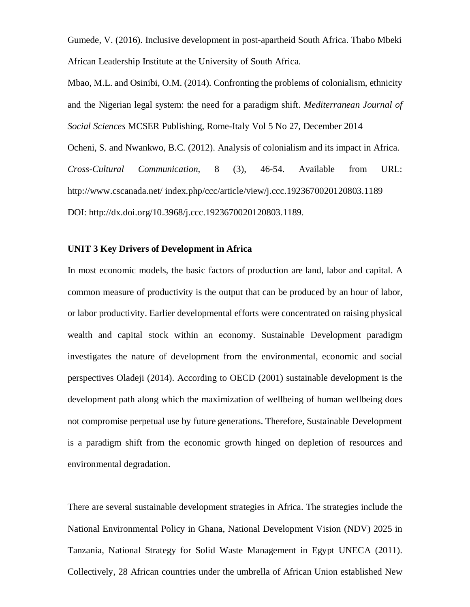Gumede, V. (2016). Inclusive development in post-apartheid South Africa. Thabo Mbeki African Leadership Institute at the University of South Africa.

Mbao, M.L. and Osinibi, O.M. (2014). Confronting the problems of colonialism, ethnicity and the Nigerian legal system: the need for a paradigm shift. *Mediterranean Journal of Social Sciences* MCSER Publishing, Rome-Italy Vol 5 No 27, December 2014 Ocheni, S. and Nwankwo, B.C. (2012). Analysis of colonialism and its impact in Africa. *Cross-Cultural Communication*, 8 (3), 46-54. Available from URL: http://www.cscanada.net/ index.php/ccc/article/view/j.ccc.1923670020120803.1189 DOI: http://dx.doi.org/10.3968/j.ccc.1923670020120803.1189.

### **UNIT 3 Key Drivers of Development in Africa**

In most economic models, the basic factors of production are land, labor and capital. A common measure of productivity is the output that can be produced by an hour of labor, or labor productivity. Earlier developmental efforts were concentrated on raising physical wealth and capital stock within an economy. Sustainable Development paradigm investigates the nature of development from the environmental, economic and social perspectives Oladeji (2014). According to OECD (2001) sustainable development is the development path along which the maximization of wellbeing of human wellbeing does not compromise perpetual use by future generations. Therefore, Sustainable Development is a paradigm shift from the economic growth hinged on depletion of resources and environmental degradation.

There are several sustainable development strategies in Africa. The strategies include the National Environmental Policy in Ghana, National Development Vision (NDV) 2025 in Tanzania, National Strategy for Solid Waste Management in Egypt UNECA (2011). Collectively, 28 African countries under the umbrella of African Union established New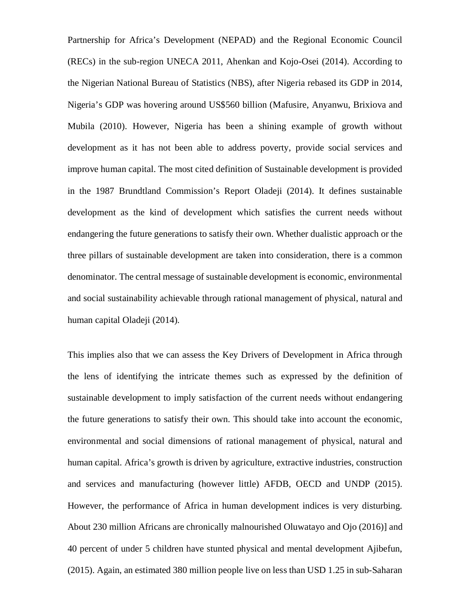Partnership for Africa's Development (NEPAD) and the Regional Economic Council (RECs) in the sub-region UNECA 2011, Ahenkan and Kojo-Osei (2014). According to the Nigerian National Bureau of Statistics (NBS), after Nigeria rebased its GDP in 2014, Nigeria's GDP was hovering around US\$560 billion (Mafusire, Anyanwu, Brixiova and Mubila (2010). However, Nigeria has been a shining example of growth without development as it has not been able to address poverty, provide social services and improve human capital. The most cited definition of Sustainable development is provided in the 1987 Brundtland Commission's Report Oladeji (2014). It defines sustainable development as the kind of development which satisfies the current needs without endangering the future generations to satisfy their own. Whether dualistic approach or the three pillars of sustainable development are taken into consideration, there is a common denominator. The central message of sustainable development is economic, environmental and social sustainability achievable through rational management of physical, natural and human capital Oladeji (2014).

This implies also that we can assess the Key Drivers of Development in Africa through the lens of identifying the intricate themes such as expressed by the definition of sustainable development to imply satisfaction of the current needs without endangering the future generations to satisfy their own. This should take into account the economic, environmental and social dimensions of rational management of physical, natural and human capital. Africa's growth is driven by agriculture, extractive industries, construction and services and manufacturing (however little) AFDB, OECD and UNDP (2015). However, the performance of Africa in human development indices is very disturbing. About 230 million Africans are chronically malnourished Oluwatayo and Ojo (2016)] and 40 percent of under 5 children have stunted physical and mental development Ajibefun, (2015). Again, an estimated 380 million people live on less than USD 1.25 in sub-Saharan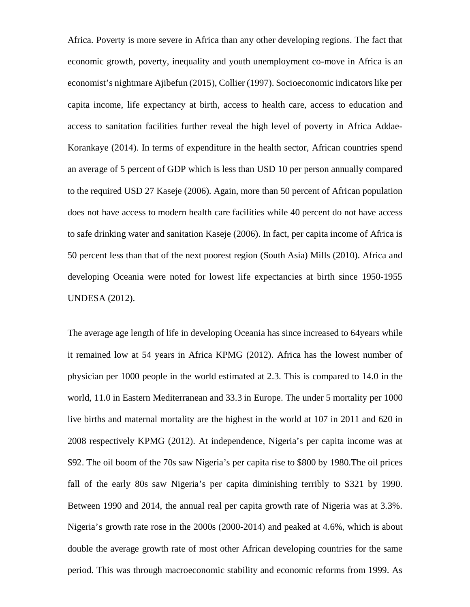Africa. Poverty is more severe in Africa than any other developing regions. The fact that economic growth, poverty, inequality and youth unemployment co-move in Africa is an economist's nightmare Ajibefun (2015), Collier (1997). Socioeconomic indicators like per capita income, life expectancy at birth, access to health care, access to education and access to sanitation facilities further reveal the high level of poverty in Africa Addae-Korankaye (2014). In terms of expenditure in the health sector, African countries spend an average of 5 percent of GDP which is less than USD 10 per person annually compared to the required USD 27 Kaseje (2006). Again, more than 50 percent of African population does not have access to modern health care facilities while 40 percent do not have access to safe drinking water and sanitation Kaseje (2006). In fact, per capita income of Africa is 50 percent less than that of the next poorest region (South Asia) Mills (2010). Africa and developing Oceania were noted for lowest life expectancies at birth since 1950-1955 UNDESA (2012).

The average age length of life in developing Oceania has since increased to 64years while it remained low at 54 years in Africa KPMG (2012). Africa has the lowest number of physician per 1000 people in the world estimated at 2.3. This is compared to 14.0 in the world, 11.0 in Eastern Mediterranean and 33.3 in Europe. The under 5 mortality per 1000 live births and maternal mortality are the highest in the world at 107 in 2011 and 620 in 2008 respectively KPMG (2012). At independence, Nigeria's per capita income was at \$92. The oil boom of the 70s saw Nigeria's per capita rise to \$800 by 1980.The oil prices fall of the early 80s saw Nigeria's per capita diminishing terribly to \$321 by 1990. Between 1990 and 2014, the annual real per capita growth rate of Nigeria was at 3.3%. Nigeria's growth rate rose in the 2000s (2000-2014) and peaked at 4.6%, which is about double the average growth rate of most other African developing countries for the same period. This was through macroeconomic stability and economic reforms from 1999. As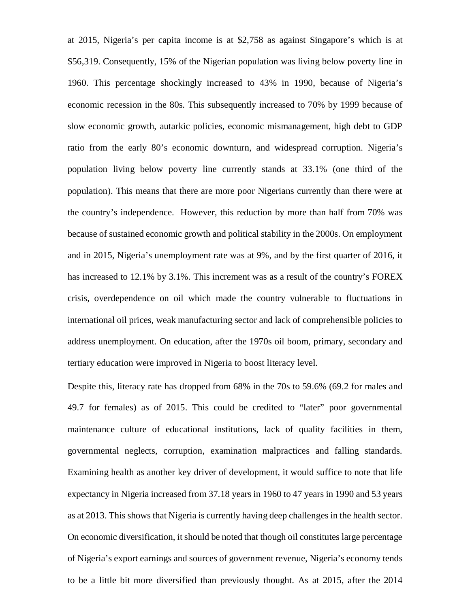at 2015, Nigeria's per capita income is at \$2,758 as against Singapore's which is at \$56,319. Consequently, 15% of the Nigerian population was living below poverty line in 1960. This percentage shockingly increased to 43% in 1990, because of Nigeria's economic recession in the 80s. This subsequently increased to 70% by 1999 because of slow economic growth, autarkic policies, economic mismanagement, high debt to GDP ratio from the early 80's economic downturn, and widespread corruption. Nigeria's population living below poverty line currently stands at 33.1% (one third of the population). This means that there are more poor Nigerians currently than there were at the country's independence. However, this reduction by more than half from 70% was because of sustained economic growth and political stability in the 2000s. On employment and in 2015, Nigeria's unemployment rate was at 9%, and by the first quarter of 2016, it has increased to 12.1% by 3.1%. This increment was as a result of the country's FOREX crisis, overdependence on oil which made the country vulnerable to fluctuations in international oil prices, weak manufacturing sector and lack of comprehensible policies to address unemployment. On education, after the 1970s oil boom, primary, secondary and tertiary education were improved in Nigeria to boost literacy level.

Despite this, literacy rate has dropped from 68% in the 70s to 59.6% (69.2 for males and 49.7 for females) as of 2015. This could be credited to "later" poor governmental maintenance culture of educational institutions, lack of quality facilities in them, governmental neglects, corruption, examination malpractices and falling standards. Examining health as another key driver of development, it would suffice to note that life expectancy in Nigeria increased from 37.18 years in 1960 to 47 years in 1990 and 53 years as at 2013. This shows that Nigeria is currently having deep challenges in the health sector. On economic diversification, it should be noted that though oil constitutes large percentage of Nigeria's export earnings and sources of government revenue, Nigeria's economy tends to be a little bit more diversified than previously thought. As at 2015, after the 2014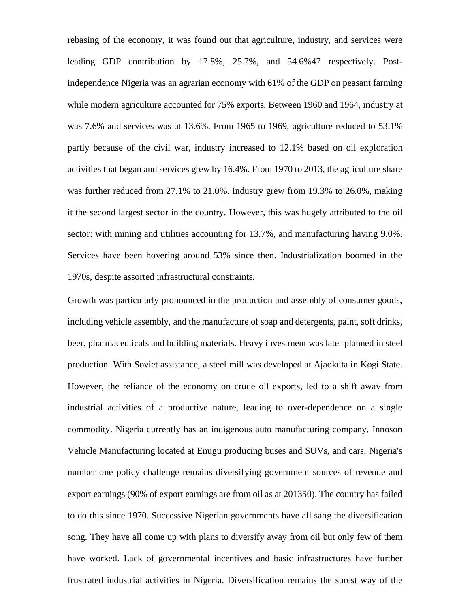rebasing of the economy, it was found out that agriculture, industry, and services were leading GDP contribution by 17.8%, 25.7%, and 54.6%47 respectively. Postindependence Nigeria was an agrarian economy with 61% of the GDP on peasant farming while modern agriculture accounted for 75% exports. Between 1960 and 1964, industry at was 7.6% and services was at 13.6%. From 1965 to 1969, agriculture reduced to 53.1% partly because of the civil war, industry increased to 12.1% based on oil exploration activities that began and services grew by 16.4%. From 1970 to 2013, the agriculture share was further reduced from 27.1% to 21.0%. Industry grew from 19.3% to 26.0%, making it the second largest sector in the country. However, this was hugely attributed to the oil sector: with mining and utilities accounting for 13.7%, and manufacturing having 9.0%. Services have been hovering around 53% since then. Industrialization boomed in the 1970s, despite assorted infrastructural constraints.

Growth was particularly pronounced in the production and assembly of consumer goods, including vehicle assembly, and the manufacture of soap and detergents, paint, soft drinks, beer, pharmaceuticals and building materials. Heavy investment was later planned in steel production. With Soviet assistance, a steel mill was developed at Ajaokuta in Kogi State. However, the reliance of the economy on crude oil exports, led to a shift away from industrial activities of a productive nature, leading to over-dependence on a single commodity. Nigeria currently has an indigenous auto manufacturing company, Innoson Vehicle Manufacturing located at Enugu producing buses and SUVs, and cars. Nigeria's number one policy challenge remains diversifying government sources of revenue and export earnings (90% of export earnings are from oil as at 201350). The country has failed to do this since 1970. Successive Nigerian governments have all sang the diversification song. They have all come up with plans to diversify away from oil but only few of them have worked. Lack of governmental incentives and basic infrastructures have further frustrated industrial activities in Nigeria. Diversification remains the surest way of the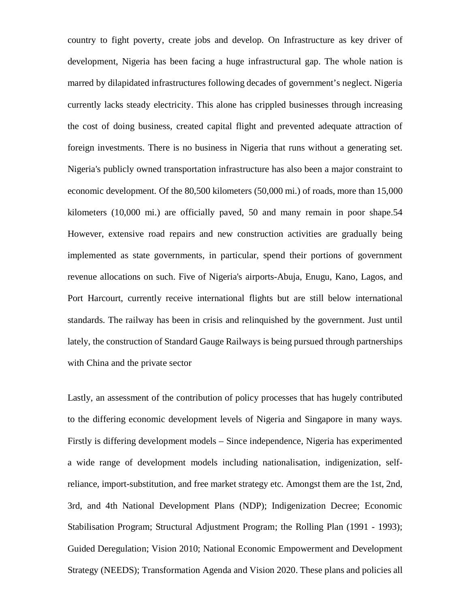country to fight poverty, create jobs and develop. On Infrastructure as key driver of development, Nigeria has been facing a huge infrastructural gap. The whole nation is marred by dilapidated infrastructures following decades of government's neglect. Nigeria currently lacks steady electricity. This alone has crippled businesses through increasing the cost of doing business, created capital flight and prevented adequate attraction of foreign investments. There is no business in Nigeria that runs without a generating set. Nigeria's publicly owned transportation infrastructure has also been a major constraint to economic development. Of the 80,500 kilometers (50,000 mi.) of roads, more than 15,000 kilometers (10,000 mi.) are officially paved, 50 and many remain in poor shape.54 However, extensive road repairs and new construction activities are gradually being implemented as state governments, in particular, spend their portions of government revenue allocations on such. Five of Nigeria's airports-Abuja, Enugu, Kano, Lagos, and Port Harcourt, currently receive international flights but are still below international standards. The railway has been in crisis and relinquished by the government. Just until lately, the construction of Standard Gauge Railways is being pursued through partnerships with China and the private sector

Lastly, an assessment of the contribution of policy processes that has hugely contributed to the differing economic development levels of Nigeria and Singapore in many ways. Firstly is differing development models – Since independence, Nigeria has experimented a wide range of development models including nationalisation, indigenization, selfreliance, import-substitution, and free market strategy etc. Amongst them are the 1st, 2nd, 3rd, and 4th National Development Plans (NDP); Indigenization Decree; Economic Stabilisation Program; Structural Adjustment Program; the Rolling Plan (1991 - 1993); Guided Deregulation; Vision 2010; National Economic Empowerment and Development Strategy (NEEDS); Transformation Agenda and Vision 2020. These plans and policies all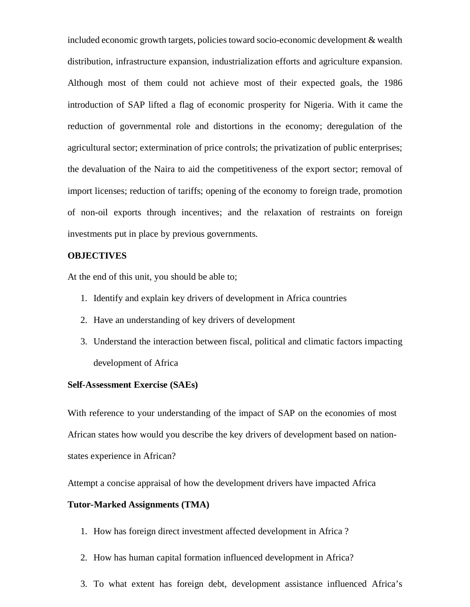included economic growth targets, policies toward socio-economic development & wealth distribution, infrastructure expansion, industrialization efforts and agriculture expansion. Although most of them could not achieve most of their expected goals, the 1986 introduction of SAP lifted a flag of economic prosperity for Nigeria. With it came the reduction of governmental role and distortions in the economy; deregulation of the agricultural sector; extermination of price controls; the privatization of public enterprises; the devaluation of the Naira to aid the competitiveness of the export sector; removal of import licenses; reduction of tariffs; opening of the economy to foreign trade, promotion of non-oil exports through incentives; and the relaxation of restraints on foreign investments put in place by previous governments.

#### **OBJECTIVES**

At the end of this unit, you should be able to;

- 1. Identify and explain key drivers of development in Africa countries
- 2. Have an understanding of key drivers of development
- 3. Understand the interaction between fiscal, political and climatic factors impacting development of Africa

### **Self-Assessment Exercise (SAEs)**

With reference to your understanding of the impact of SAP on the economies of most African states how would you describe the key drivers of development based on nationstates experience in African?

Attempt a concise appraisal of how the development drivers have impacted Africa

## **Tutor-Marked Assignments (TMA)**

- 1. How has foreign direct investment affected development in Africa ?
- 2. How has human capital formation influenced development in Africa?
- 3. To what extent has foreign debt, development assistance influenced Africa's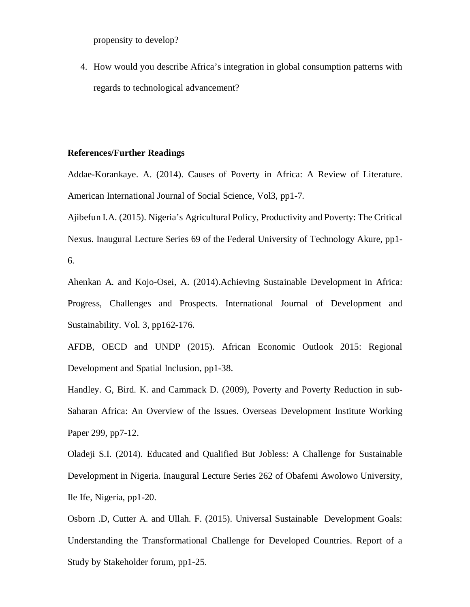propensity to develop?

4. How would you describe Africa's integration in global consumption patterns with regards to technological advancement?

## **References/Further Readings**

Addae-Korankaye. A. (2014). Causes of Poverty in Africa: A Review of Literature. American International Journal of Social Science, Vol3, pp1-7.

Ajibefun I.A. (2015). Nigeria's Agricultural Policy, Productivity and Poverty: The Critical Nexus. Inaugural Lecture Series 69 of the Federal University of Technology Akure, pp1- 6.

Ahenkan A. and Kojo-Osei, A. (2014).Achieving Sustainable Development in Africa: Progress, Challenges and Prospects. International Journal of Development and Sustainability. Vol. 3, pp162-176.

AFDB, OECD and UNDP (2015). African Economic Outlook 2015: Regional Development and Spatial Inclusion, pp1-38.

Handley. G, Bird. K. and Cammack D. (2009), Poverty and Poverty Reduction in sub-Saharan Africa: An Overview of the Issues. Overseas Development Institute Working Paper 299, pp7-12.

Oladeji S.I. (2014). Educated and Qualified But Jobless: A Challenge for Sustainable Development in Nigeria. Inaugural Lecture Series 262 of Obafemi Awolowo University, Ile Ife, Nigeria, pp1-20.

Osborn .D, Cutter A. and Ullah. F. (2015). Universal Sustainable Development Goals: Understanding the Transformational Challenge for Developed Countries. Report of a Study by Stakeholder forum, pp1-25.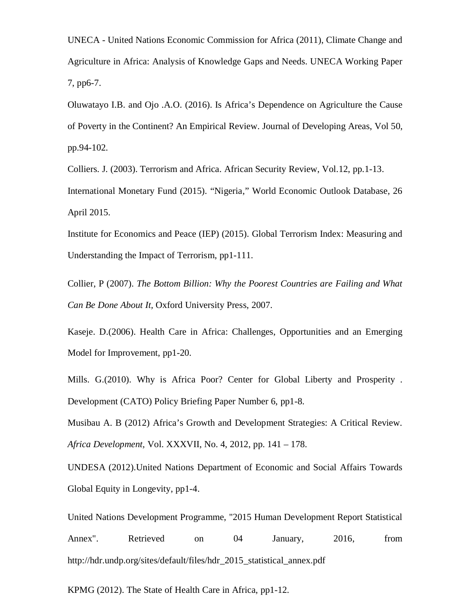UNECA - United Nations Economic Commission for Africa (2011), Climate Change and Agriculture in Africa: Analysis of Knowledge Gaps and Needs. UNECA Working Paper 7, pp6-7.

Oluwatayo I.B. and Ojo .A.O. (2016). Is Africa's Dependence on Agriculture the Cause of Poverty in the Continent? An Empirical Review. Journal of Developing Areas, Vol 50, pp.94-102.

Colliers. J. (2003). Terrorism and Africa. African Security Review, Vol.12, pp.1-13. International Monetary Fund (2015). "Nigeria," World Economic Outlook Database, 26 April 2015.

Institute for Economics and Peace (IEP) (2015). Global Terrorism Index: Measuring and Understanding the Impact of Terrorism, pp1-111.

Collier, P (2007). *The Bottom Billion: Why the Poorest Countries are Failing and What Can Be Done About It,* Oxford University Press, 2007.

Kaseje. D.(2006). Health Care in Africa: Challenges, Opportunities and an Emerging Model for Improvement, pp1-20.

Mills. G.(2010). Why is Africa Poor? Center for Global Liberty and Prosperity . Development (CATO) Policy Briefing Paper Number 6, pp1-8.

Musibau A. B (2012) Africa's Growth and Development Strategies: A Critical Review. *Africa Development,* Vol. XXXVII, No. 4, 2012, pp. 141 – 178.

UNDESA (2012).United Nations Department of Economic and Social Affairs Towards Global Equity in Longevity, pp1-4.

United Nations Development Programme, "2015 Human Development Report Statistical Annex". Retrieved on 04 January, 2016, from http://hdr.undp.org/sites/default/files/hdr\_2015\_statistical\_annex.pdf

KPMG (2012). The State of Health Care in Africa, pp1-12.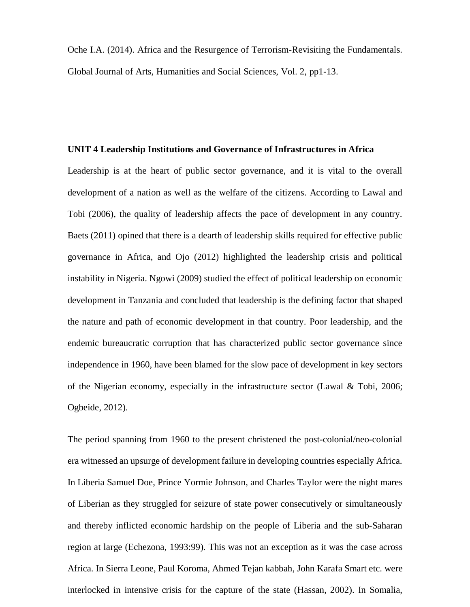Oche I.A. (2014). Africa and the Resurgence of Terrorism-Revisiting the Fundamentals. Global Journal of Arts, Humanities and Social Sciences, Vol. 2, pp1-13.

## **UNIT 4 Leadership Institutions and Governance of Infrastructures in Africa**

Leadership is at the heart of public sector governance, and it is vital to the overall development of a nation as well as the welfare of the citizens. According to Lawal and Tobi (2006), the quality of leadership affects the pace of development in any country. Baets (2011) opined that there is a dearth of leadership skills required for effective public governance in Africa, and Ojo (2012) highlighted the leadership crisis and political instability in Nigeria. Ngowi (2009) studied the effect of political leadership on economic development in Tanzania and concluded that leadership is the defining factor that shaped the nature and path of economic development in that country. Poor leadership, and the endemic bureaucratic corruption that has characterized public sector governance since independence in 1960, have been blamed for the slow pace of development in key sectors of the Nigerian economy, especially in the infrastructure sector (Lawal  $\&$  Tobi, 2006; Ogbeide, 2012).

The period spanning from 1960 to the present christened the post-colonial/neo-colonial era witnessed an upsurge of development failure in developing countries especially Africa. In Liberia Samuel Doe, Prince Yormie Johnson, and Charles Taylor were the night mares of Liberian as they struggled for seizure of state power consecutively or simultaneously and thereby inflicted economic hardship on the people of Liberia and the sub-Saharan region at large (Echezona, 1993:99). This was not an exception as it was the case across Africa. In Sierra Leone, Paul Koroma, Ahmed Tejan kabbah, John Karafa Smart etc. were interlocked in intensive crisis for the capture of the state (Hassan, 2002). In Somalia,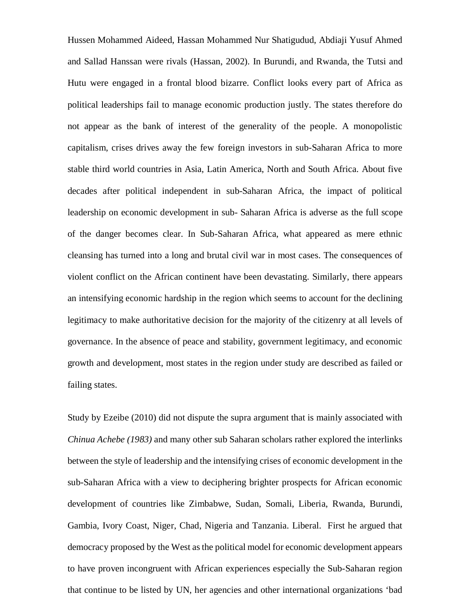Hussen Mohammed Aideed, Hassan Mohammed Nur Shatigudud, Abdiaji Yusuf Ahmed and Sallad Hanssan were rivals (Hassan, 2002). In Burundi, and Rwanda, the Tutsi and Hutu were engaged in a frontal blood bizarre. Conflict looks every part of Africa as political leaderships fail to manage economic production justly. The states therefore do not appear as the bank of interest of the generality of the people. A monopolistic capitalism, crises drives away the few foreign investors in sub-Saharan Africa to more stable third world countries in Asia, Latin America, North and South Africa. About five decades after political independent in sub-Saharan Africa, the impact of political leadership on economic development in sub- Saharan Africa is adverse as the full scope of the danger becomes clear. In Sub-Saharan Africa, what appeared as mere ethnic cleansing has turned into a long and brutal civil war in most cases. The consequences of violent conflict on the African continent have been devastating. Similarly, there appears an intensifying economic hardship in the region which seems to account for the declining legitimacy to make authoritative decision for the majority of the citizenry at all levels of governance. In the absence of peace and stability, government legitimacy, and economic growth and development, most states in the region under study are described as failed or failing states.

Study by Ezeibe (2010) did not dispute the supra argument that is mainly associated with *Chinua Achebe (1983)* and many other sub Saharan scholars rather explored the interlinks between the style of leadership and the intensifying crises of economic development in the sub-Saharan Africa with a view to deciphering brighter prospects for African economic development of countries like Zimbabwe, Sudan, Somali, Liberia, Rwanda, Burundi, Gambia, Ivory Coast, Niger, Chad, Nigeria and Tanzania. Liberal. First he argued that democracy proposed by the West as the political model for economic development appears to have proven incongruent with African experiences especially the Sub-Saharan region that continue to be listed by UN, her agencies and other international organizations 'bad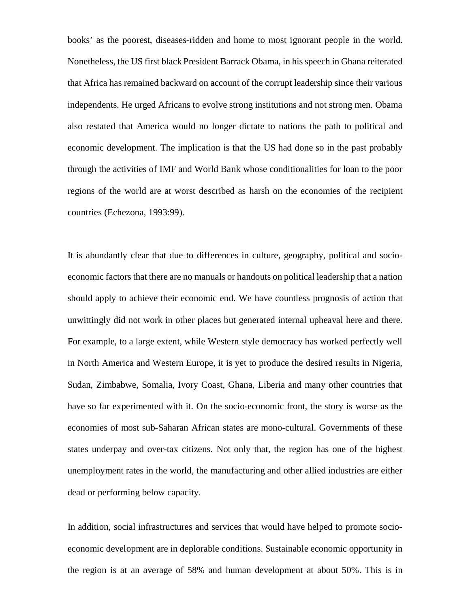books' as the poorest, diseases-ridden and home to most ignorant people in the world. Nonetheless, the US first black President Barrack Obama, in his speech in Ghana reiterated that Africa has remained backward on account of the corrupt leadership since their various independents. He urged Africans to evolve strong institutions and not strong men. Obama also restated that America would no longer dictate to nations the path to political and economic development. The implication is that the US had done so in the past probably through the activities of IMF and World Bank whose conditionalities for loan to the poor regions of the world are at worst described as harsh on the economies of the recipient countries (Echezona, 1993:99).

It is abundantly clear that due to differences in culture, geography, political and socioeconomic factors that there are no manuals or handouts on political leadership that a nation should apply to achieve their economic end. We have countless prognosis of action that unwittingly did not work in other places but generated internal upheaval here and there. For example, to a large extent, while Western style democracy has worked perfectly well in North America and Western Europe, it is yet to produce the desired results in Nigeria, Sudan, Zimbabwe, Somalia, Ivory Coast, Ghana, Liberia and many other countries that have so far experimented with it. On the socio-economic front, the story is worse as the economies of most sub-Saharan African states are mono-cultural. Governments of these states underpay and over-tax citizens. Not only that, the region has one of the highest unemployment rates in the world, the manufacturing and other allied industries are either dead or performing below capacity.

In addition, social infrastructures and services that would have helped to promote socioeconomic development are in deplorable conditions. Sustainable economic opportunity in the region is at an average of 58% and human development at about 50%. This is in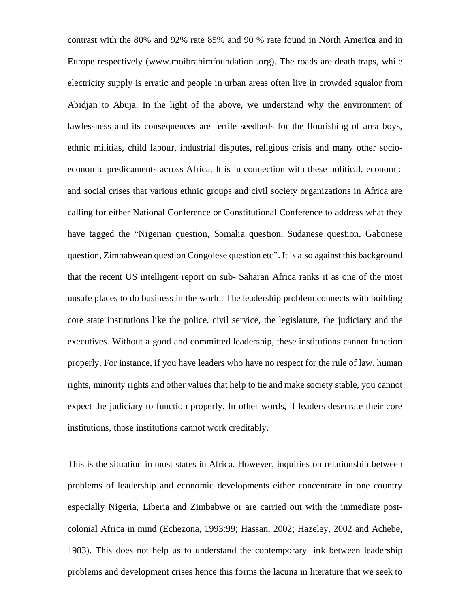contrast with the 80% and 92% rate 85% and 90 % rate found in North America and in Europe respectively (www.moibrahimfoundation .org). The roads are death traps, while electricity supply is erratic and people in urban areas often live in crowded squalor from Abidjan to Abuja. In the light of the above, we understand why the environment of lawlessness and its consequences are fertile seedbeds for the flourishing of area boys, ethnic militias, child labour, industrial disputes, religious crisis and many other socioeconomic predicaments across Africa. It is in connection with these political, economic and social crises that various ethnic groups and civil society organizations in Africa are calling for either National Conference or Constitutional Conference to address what they have tagged the "Nigerian question, Somalia question, Sudanese question, Gabonese question, Zimbabwean question Congolese question etc". It is also against this background that the recent US intelligent report on sub- Saharan Africa ranks it as one of the most unsafe places to do business in the world. The leadership problem connects with building core state institutions like the police, civil service, the legislature, the judiciary and the executives. Without a good and committed leadership, these institutions cannot function properly. For instance, if you have leaders who have no respect for the rule of law, human rights, minority rights and other values that help to tie and make society stable, you cannot expect the judiciary to function properly. In other words, if leaders desecrate their core institutions, those institutions cannot work creditably.

This is the situation in most states in Africa. However, inquiries on relationship between problems of leadership and economic developments either concentrate in one country especially Nigeria, Liberia and Zimbabwe or are carried out with the immediate postcolonial Africa in mind (Echezona, 1993:99; Hassan, 2002; Hazeley, 2002 and Achebe, 1983). This does not help us to understand the contemporary link between leadership problems and development crises hence this forms the lacuna in literature that we seek to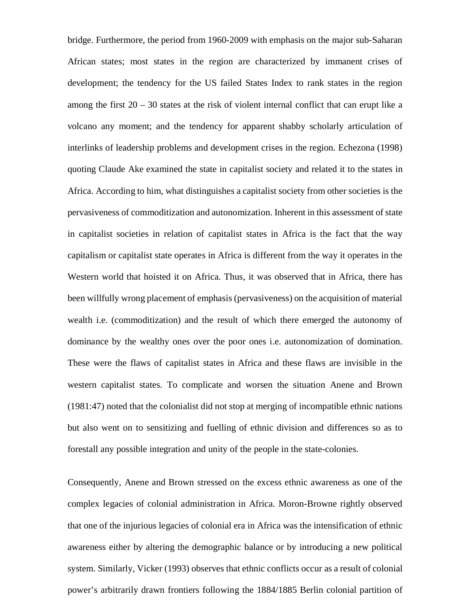bridge. Furthermore, the period from 1960-2009 with emphasis on the major sub-Saharan African states; most states in the region are characterized by immanent crises of development; the tendency for the US failed States Index to rank states in the region among the first  $20 - 30$  states at the risk of violent internal conflict that can erupt like a volcano any moment; and the tendency for apparent shabby scholarly articulation of interlinks of leadership problems and development crises in the region. Echezona (1998) quoting Claude Ake examined the state in capitalist society and related it to the states in Africa. According to him, what distinguishes a capitalist society from other societies is the pervasiveness of commoditization and autonomization. Inherent in this assessment of state in capitalist societies in relation of capitalist states in Africa is the fact that the way capitalism or capitalist state operates in Africa is different from the way it operates in the Western world that hoisted it on Africa. Thus, it was observed that in Africa, there has been willfully wrong placement of emphasis (pervasiveness) on the acquisition of material wealth i.e. (commoditization) and the result of which there emerged the autonomy of dominance by the wealthy ones over the poor ones i.e. autonomization of domination. These were the flaws of capitalist states in Africa and these flaws are invisible in the western capitalist states. To complicate and worsen the situation Anene and Brown (1981:47) noted that the colonialist did not stop at merging of incompatible ethnic nations but also went on to sensitizing and fuelling of ethnic division and differences so as to forestall any possible integration and unity of the people in the state-colonies.

Consequently, Anene and Brown stressed on the excess ethnic awareness as one of the complex legacies of colonial administration in Africa. Moron-Browne rightly observed that one of the injurious legacies of colonial era in Africa was the intensification of ethnic awareness either by altering the demographic balance or by introducing a new political system. Similarly, Vicker (1993) observes that ethnic conflicts occur as a result of colonial power's arbitrarily drawn frontiers following the 1884/1885 Berlin colonial partition of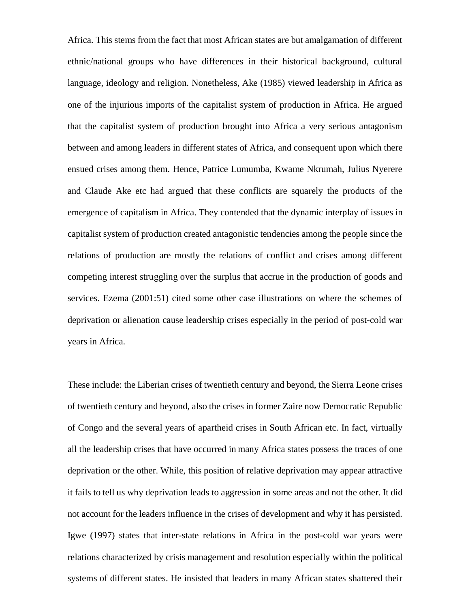Africa. This stems from the fact that most African states are but amalgamation of different ethnic/national groups who have differences in their historical background, cultural language, ideology and religion. Nonetheless, Ake (1985) viewed leadership in Africa as one of the injurious imports of the capitalist system of production in Africa. He argued that the capitalist system of production brought into Africa a very serious antagonism between and among leaders in different states of Africa, and consequent upon which there ensued crises among them. Hence, Patrice Lumumba, Kwame Nkrumah, Julius Nyerere and Claude Ake etc had argued that these conflicts are squarely the products of the emergence of capitalism in Africa. They contended that the dynamic interplay of issues in capitalist system of production created antagonistic tendencies among the people since the relations of production are mostly the relations of conflict and crises among different competing interest struggling over the surplus that accrue in the production of goods and services. Ezema (2001:51) cited some other case illustrations on where the schemes of deprivation or alienation cause leadership crises especially in the period of post-cold war years in Africa.

These include: the Liberian crises of twentieth century and beyond, the Sierra Leone crises of twentieth century and beyond, also the crises in former Zaire now Democratic Republic of Congo and the several years of apartheid crises in South African etc. In fact, virtually all the leadership crises that have occurred in many Africa states possess the traces of one deprivation or the other. While, this position of relative deprivation may appear attractive it fails to tell us why deprivation leads to aggression in some areas and not the other. It did not account for the leaders influence in the crises of development and why it has persisted. Igwe (1997) states that inter-state relations in Africa in the post-cold war years were relations characterized by crisis management and resolution especially within the political systems of different states. He insisted that leaders in many African states shattered their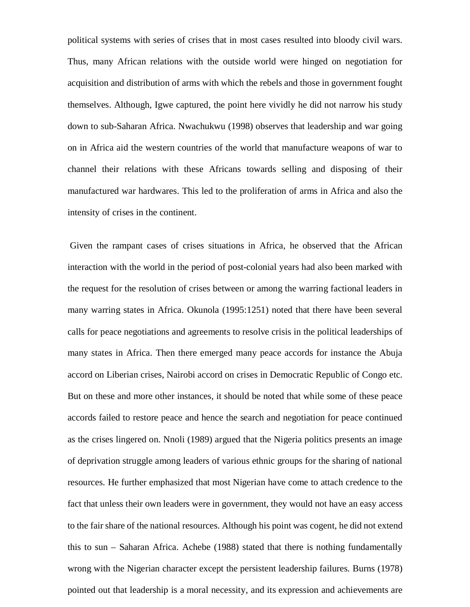political systems with series of crises that in most cases resulted into bloody civil wars. Thus, many African relations with the outside world were hinged on negotiation for acquisition and distribution of arms with which the rebels and those in government fought themselves. Although, Igwe captured, the point here vividly he did not narrow his study down to sub-Saharan Africa. Nwachukwu (1998) observes that leadership and war going on in Africa aid the western countries of the world that manufacture weapons of war to channel their relations with these Africans towards selling and disposing of their manufactured war hardwares. This led to the proliferation of arms in Africa and also the intensity of crises in the continent.

 Given the rampant cases of crises situations in Africa, he observed that the African interaction with the world in the period of post-colonial years had also been marked with the request for the resolution of crises between or among the warring factional leaders in many warring states in Africa. Okunola (1995:1251) noted that there have been several calls for peace negotiations and agreements to resolve crisis in the political leaderships of many states in Africa. Then there emerged many peace accords for instance the Abuja accord on Liberian crises, Nairobi accord on crises in Democratic Republic of Congo etc. But on these and more other instances, it should be noted that while some of these peace accords failed to restore peace and hence the search and negotiation for peace continued as the crises lingered on. Nnoli (1989) argued that the Nigeria politics presents an image of deprivation struggle among leaders of various ethnic groups for the sharing of national resources. He further emphasized that most Nigerian have come to attach credence to the fact that unless their own leaders were in government, they would not have an easy access to the fair share of the national resources. Although his point was cogent, he did not extend this to sun – Saharan Africa. Achebe (1988) stated that there is nothing fundamentally wrong with the Nigerian character except the persistent leadership failures. Burns (1978) pointed out that leadership is a moral necessity, and its expression and achievements are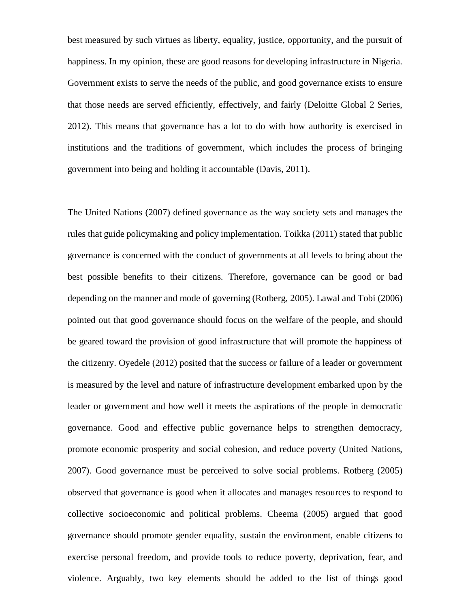best measured by such virtues as liberty, equality, justice, opportunity, and the pursuit of happiness. In my opinion, these are good reasons for developing infrastructure in Nigeria. Government exists to serve the needs of the public, and good governance exists to ensure that those needs are served efficiently, effectively, and fairly (Deloitte Global 2 Series, 2012). This means that governance has a lot to do with how authority is exercised in institutions and the traditions of government, which includes the process of bringing government into being and holding it accountable (Davis, 2011).

The United Nations (2007) defined governance as the way society sets and manages the rules that guide policymaking and policy implementation. Toikka (2011) stated that public governance is concerned with the conduct of governments at all levels to bring about the best possible benefits to their citizens. Therefore, governance can be good or bad depending on the manner and mode of governing (Rotberg, 2005). Lawal and Tobi (2006) pointed out that good governance should focus on the welfare of the people, and should be geared toward the provision of good infrastructure that will promote the happiness of the citizenry. Oyedele (2012) posited that the success or failure of a leader or government is measured by the level and nature of infrastructure development embarked upon by the leader or government and how well it meets the aspirations of the people in democratic governance. Good and effective public governance helps to strengthen democracy, promote economic prosperity and social cohesion, and reduce poverty (United Nations, 2007). Good governance must be perceived to solve social problems. Rotberg (2005) observed that governance is good when it allocates and manages resources to respond to collective socioeconomic and political problems. Cheema (2005) argued that good governance should promote gender equality, sustain the environment, enable citizens to exercise personal freedom, and provide tools to reduce poverty, deprivation, fear, and violence. Arguably, two key elements should be added to the list of things good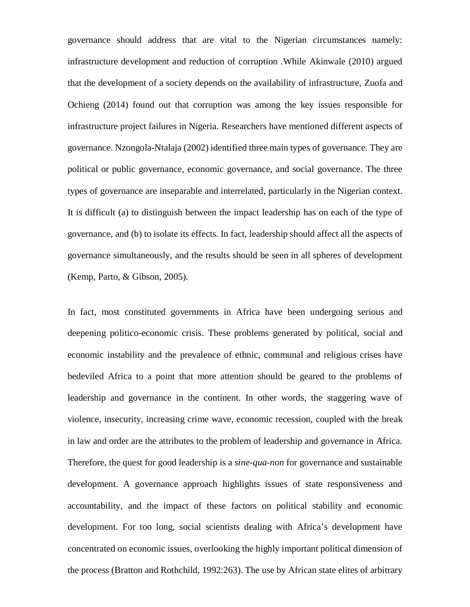governance should address that are vital to the Nigerian circumstances namely: infrastructure development and reduction of corruption *.*While Akinwale (2010) argued that the development of a society depends on the availability of infrastructure, Zuofa and Ochieng (2014) found out that corruption was among the key issues responsible for infrastructure project failures in Nigeria. Researchers have mentioned different aspects of governance. Nzongola-Ntalaja (2002) identified three main types of governance. They are political or public governance, economic governance, and social governance. The three types of governance are inseparable and interrelated, particularly in the Nigerian context. It is difficult (a) to distinguish between the impact leadership has on each of the type of governance, and (b) to isolate its effects. In fact, leadership should affect all the aspects of governance simultaneously, and the results should be seen in all spheres of development (Kemp, Parto, & Gibson, 2005).

In fact, most constituted governments in Africa have been undergoing serious and deepening politico-economic crisis. These problems generated by political, social and economic instability and the prevalence of ethnic, communal and religious crises have bedeviled Africa to a point that more attention should be geared to the problems of leadership and governance in the continent. In other words, the staggering wave of violence, insecurity, increasing crime wave, economic recession, coupled with the break in law and order are the attributes to the problem of leadership and governance in Africa. Therefore, the quest for good leadership is a *sine-qua-non* for governance and sustainable development. A governance approach highlights issues of state responsiveness and accountability, and the impact of these factors on political stability and economic development. For too long, social scientists dealing with Africa's development have concentrated on economic issues, overlooking the highly important political dimension of the process (Bratton and Rothchild, 1992:263). The use by African state elites of arbitrary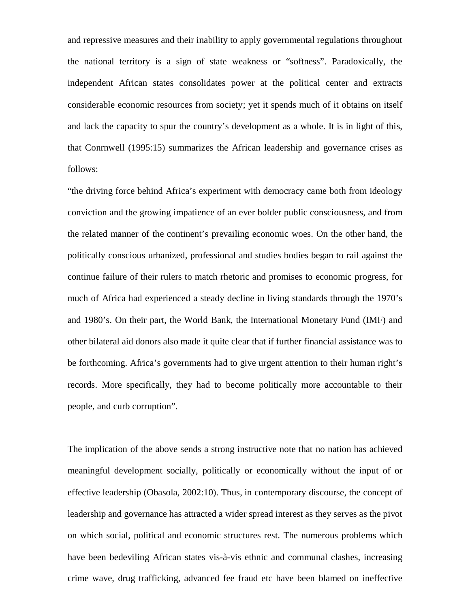and repressive measures and their inability to apply governmental regulations throughout the national territory is a sign of state weakness or "softness". Paradoxically, the independent African states consolidates power at the political center and extracts considerable economic resources from society; yet it spends much of it obtains on itself and lack the capacity to spur the country's development as a whole. It is in light of this, that Conrnwell (1995:15) summarizes the African leadership and governance crises as follows:

"the driving force behind Africa's experiment with democracy came both from ideology conviction and the growing impatience of an ever bolder public consciousness, and from the related manner of the continent's prevailing economic woes. On the other hand, the politically conscious urbanized, professional and studies bodies began to rail against the continue failure of their rulers to match rhetoric and promises to economic progress, for much of Africa had experienced a steady decline in living standards through the 1970's and 1980's. On their part, the World Bank, the International Monetary Fund (IMF) and other bilateral aid donors also made it quite clear that if further financial assistance was to be forthcoming. Africa's governments had to give urgent attention to their human right's records. More specifically, they had to become politically more accountable to their people, and curb corruption".

The implication of the above sends a strong instructive note that no nation has achieved meaningful development socially, politically or economically without the input of or effective leadership (Obasola, 2002:10). Thus, in contemporary discourse, the concept of leadership and governance has attracted a wider spread interest as they serves as the pivot on which social, political and economic structures rest. The numerous problems which have been bedeviling African states vis-à-vis ethnic and communal clashes, increasing crime wave, drug trafficking, advanced fee fraud etc have been blamed on ineffective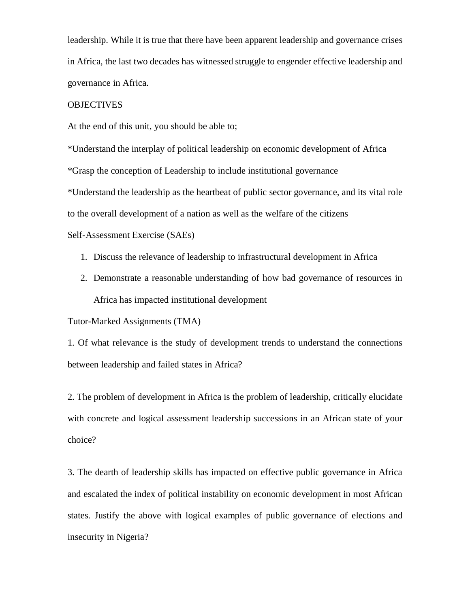leadership. While it is true that there have been apparent leadership and governance crises in Africa, the last two decades has witnessed struggle to engender effective leadership and governance in Africa.

#### **OBJECTIVES**

At the end of this unit, you should be able to;

\*Understand the interplay of political leadership on economic development of Africa

\*Grasp the conception of Leadership to include institutional governance

\*Understand the leadership as the heartbeat of public sector governance, and its vital role

to the overall development of a nation as well as the welfare of the citizens

Self-Assessment Exercise (SAEs)

- 1. Discuss the relevance of leadership to infrastructural development in Africa
- 2. Demonstrate a reasonable understanding of how bad governance of resources in Africa has impacted institutional development

Tutor-Marked Assignments (TMA)

1. Of what relevance is the study of development trends to understand the connections between leadership and failed states in Africa?

2. The problem of development in Africa is the problem of leadership, critically elucidate with concrete and logical assessment leadership successions in an African state of your choice?

3. The dearth of leadership skills has impacted on effective public governance in Africa and escalated the index of political instability on economic development in most African states. Justify the above with logical examples of public governance of elections and insecurity in Nigeria?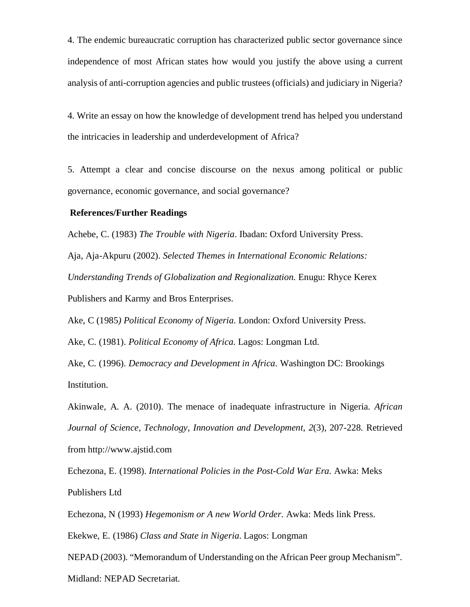4. The endemic bureaucratic corruption has characterized public sector governance since independence of most African states how would you justify the above using a current analysis of anti-corruption agencies and public trustees (officials) and judiciary in Nigeria?

4. Write an essay on how the knowledge of development trend has helped you understand the intricacies in leadership and underdevelopment of Africa?

5. Attempt a clear and concise discourse on the nexus among political or public governance, economic governance, and social governance?

#### **References/Further Readings**

Achebe, C. (1983) *The Trouble with Nigeria*. Ibadan: Oxford University Press. Aja, Aja-Akpuru (2002). *Selected Themes in International Economic Relations: Understanding Trends of Globalization and Regionalization.* Enugu: Rhyce Kerex Publishers and Karmy and Bros Enterprises.

Ake, C (1985*) Political Economy of Nigeria.* London: Oxford University Press.

Ake, C. (1981). *Political Economy of Africa*. Lagos: Longman Ltd.

Ake, C. (1996). *Democracy and Development in Africa.* Washington DC: Brookings Institution.

Akinwale, A. A. (2010). The menace of inadequate infrastructure in Nigeria. *African Journal of Science, Technology, Innovation and Development, 2*(3), 207-228. Retrieved from http://www.ajstid.com

Echezona, E. (1998). *International Policies in the Post-Cold War Era.* Awka: Meks Publishers Ltd

Echezona, N (1993) *Hegemonism or A new World Order*. Awka: Meds link Press.

Ekekwe, E. (1986) *Class and State in Nigeria*. Lagos: Longman

NEPAD (2003). "Memorandum of Understanding on the African Peer group Mechanism". Midland: NEPAD Secretariat.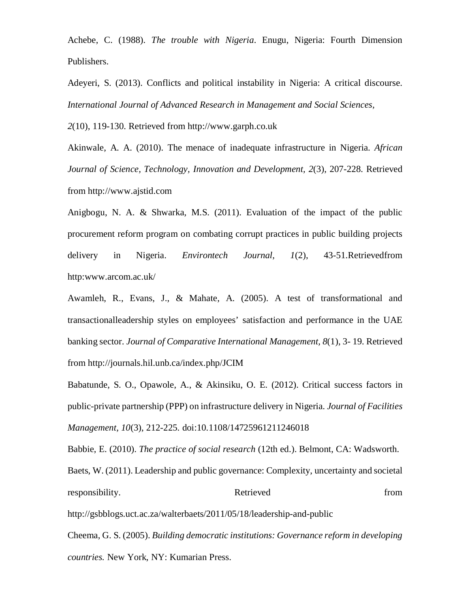Achebe, C. (1988). *The trouble with Nigeria*. Enugu, Nigeria: Fourth Dimension Publishers.

Adeyeri, S. (2013). Conflicts and political instability in Nigeria: A critical discourse. *International Journal of Advanced Research in Management and Social Sciences,*

*2*(10), 119-130. Retrieved from http://www.garph.co.uk

Akinwale, A. A. (2010). The menace of inadequate infrastructure in Nigeria. *African Journal of Science, Technology, Innovation and Development, 2*(3), 207-228. Retrieved from http://www.ajstid.com

Anigbogu, N. A. & Shwarka, M.S. (2011). Evaluation of the impact of the public procurement reform program on combating corrupt practices in public building projects delivery in Nigeria. *Environtech Journal, 1*(2), 43-51.Retrievedfrom http:www.arcom.ac.uk/

Awamleh, R., Evans, J., & Mahate, A. (2005). A test of transformational and transactionalleadership styles on employees' satisfaction and performance in the UAE banking sector. *Journal of Comparative International Management, 8*(1), 3- 19. Retrieved from http://journals.hil.unb.ca/index.php/JCIM

Babatunde, S. O., Opawole, A., & Akinsiku, O. E. (2012). Critical success factors in public-private partnership (PPP) on infrastructure delivery in Nigeria. *Journal of Facilities Management, 10*(3), 212-225. doi:10.1108/14725961211246018

Babbie, E. (2010). *The practice of social research* (12th ed.). Belmont, CA: Wadsworth. Baets, W. (2011). Leadership and public governance: Complexity, uncertainty and societal responsibility. Retrieved from  $\alpha$ 

http://gsbblogs.uct.ac.za/walterbaets/2011/05/18/leadership-and-public

Cheema, G. S. (2005). *Building democratic institutions: Governance reform in developing countries.* New York, NY: Kumarian Press.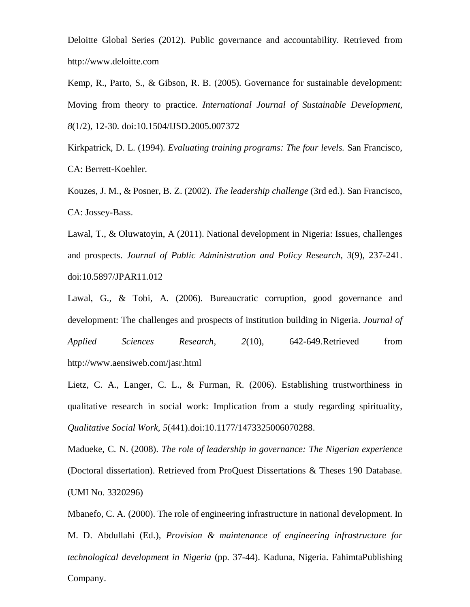Deloitte Global Series (2012). Public governance and accountability*.* Retrieved from http://www.deloitte.com

Kemp, R., Parto, S., & Gibson, R. B. (2005). Governance for sustainable development: Moving from theory to practice. *International Journal of Sustainable Development, 8*(1/2), 12-30. doi:10.1504/IJSD.2005.007372

Kirkpatrick, D. L. (1994). *Evaluating training programs: The four levels.* San Francisco, CA: Berrett-Koehler.

Kouzes, J. M., & Posner, B. Z. (2002). *The leadership challenge* (3rd ed.). San Francisco, CA: Jossey-Bass.

Lawal, T., & Oluwatoyin, A (2011). National development in Nigeria: Issues, challenges and prospects. *Journal of Public Administration and Policy Research, 3*(9), 237-241. doi:10.5897/JPAR11.012

Lawal, G., & Tobi, A. (2006). Bureaucratic corruption, good governance and development: The challenges and prospects of institution building in Nigeria. *Journal of Applied Sciences Research, 2*(10), 642-649.Retrieved from http://www.aensiweb.com/jasr.html

Lietz, C. A., Langer, C. L., & Furman, R. (2006). Establishing trustworthiness in qualitative research in social work: Implication from a study regarding spirituality, *Qualitative Social Work, 5*(441).doi:10.1177/1473325006070288.

Madueke, C. N. (2008). *The role of leadership in governance: The Nigerian experience*  (Doctoral dissertation). Retrieved from ProQuest Dissertations & Theses 190 Database. (UMI No. 3320296)

Mbanefo, C. A. (2000). The role of engineering infrastructure in national development. In M. D. Abdullahi (Ed.), *Provision & maintenance of engineering infrastructure for technological development in Nigeria* (pp. 37-44). Kaduna, Nigeria. FahimtaPublishing Company.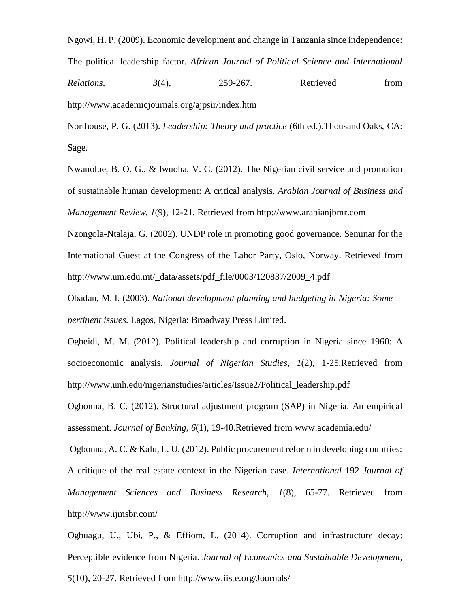Ngowi, H. P. (2009). Economic development and change in Tanzania since independence: The political leadership factor. *African Journal of Political Science and International Relations,* 3(4), 259-267. Retrieved from http://www.academicjournals.org/ajpsir/index.htm

Northouse, P. G. (2013). *Leadership: Theory and practice* (6th ed.).Thousand Oaks, CA: Sage.

Nwanolue, B. O. G., & Iwuoha, V. C. (2012). The Nigerian civil service and promotion of sustainable human development: A critical analysis. *Arabian Journal of Business and Management Review, 1*(9), 12-21. Retrieved from http://www.arabianjbmr.com Nzongola-Ntalaja, G. (2002). UNDP role in promoting good governance. Seminar for the

International Guest at the Congress of the Labor Party, Oslo, Norway. Retrieved from http://www.um.edu.mt/\_data/assets/pdf\_file/0003/120837/2009\_4.pdf

Obadan, M. I. (2003). *National development planning and budgeting in Nigeria: Some pertinent issues*. Lagos, Nigeria: Broadway Press Limited.

Ogbeidi, M. M. (2012). Political leadership and corruption in Nigeria since 1960: A socioeconomic analysis. *Journal of Nigerian Studies, 1*(2), 1-25.Retrieved from http://www.unh.edu/nigerianstudies/articles/Issue2/Political\_leadership.pdf

Ogbonna, B. C. (2012). Structural adjustment program (SAP) in Nigeria. An empirical assessment. *Journal of Banking, 6*(1), 19-40.Retrieved from www.academia.edu/

 Ogbonna, A. C. & Kalu, L. U. (2012). Public procurement reform in developing countries: A critique of the real estate context in the Nigerian case. *International* 192 *Journal of Management Sciences and Business Research, 1*(8), 65-77. Retrieved from http://www.ijmsbr.com/

Ogbuagu, U., Ubi, P., & Effiom, L. (2014). Corruption and infrastructure decay: Perceptible evidence from Nigeria. *Journal of Economics and Sustainable Development, 5*(10), 20-27. Retrieved from http://www.iiste.org/Journals/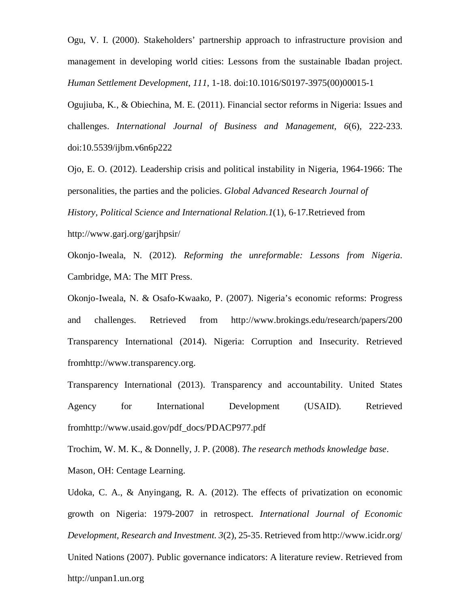Ogu, V. I. (2000). Stakeholders' partnership approach to infrastructure provision and management in developing world cities: Lessons from the sustainable Ibadan project. *Human Settlement Development*, *111*, 1-18. doi:10.1016/S0197-3975(00)00015-1

Ogujiuba, K., & Obiechina, M. E. (2011). Financial sector reforms in Nigeria: Issues and challenges. *International Journal of Business and Management, 6*(6), 222-233. doi:10.5539/ijbm.v6n6p222

Ojo, E. O. (2012). Leadership crisis and political instability in Nigeria, 1964-1966: The personalities, the parties and the policies. *Global Advanced Research Journal of History, Political Science and International Relation.1*(1), 6-17.Retrieved from http://www.garj.org/garjhpsir/

Okonjo-Iweala, N. (2012). *Reforming the unreformable: Lessons from Nigeria*. Cambridge, MA: The MIT Press.

Okonjo-Iweala, N. & Osafo-Kwaako, P. (2007). Nigeria's economic reforms: Progress and challenges. Retrieved from http://www.brokings.edu/research/papers/200 Transparency International (2014). Nigeria: Corruption and Insecurity. Retrieved fromhttp://www.transparency.org.

Transparency International (2013). Transparency and accountability. United States Agency for International Development (USAID). Retrieved fromhttp://www.usaid.gov/pdf\_docs/PDACP977.pdf

Trochim, W. M. K., & Donnelly, J. P. (2008). *The research methods knowledge base*.

Mason, OH: Centage Learning.

Udoka, C. A., & Anyingang, R. A. (2012). The effects of privatization on economic growth on Nigeria: 1979-2007 in retrospect. *International Journal of Economic Development, Research and Investment. 3*(2), 25-35. Retrieved from http://www.icidr.org/ United Nations (2007). Public governance indicators: A literature review. Retrieved from http://unpan1.un.org